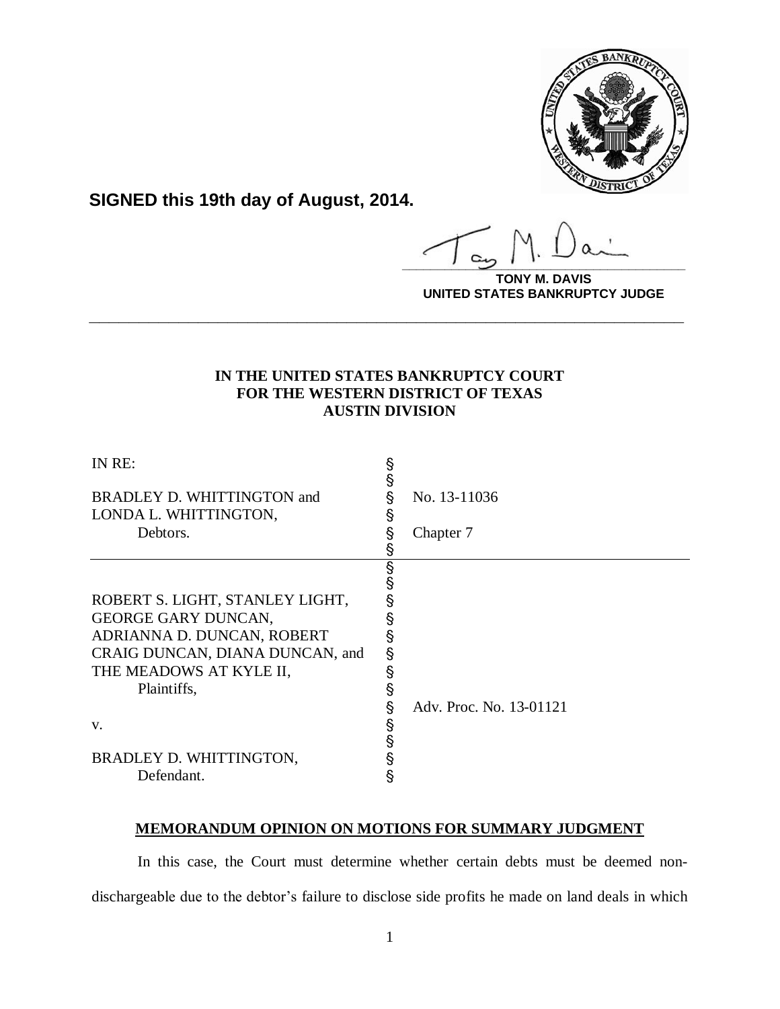

**SIGNED this 19th day of August, 2014.**

**\_\_\_\_\_\_\_\_\_\_\_\_\_\_\_\_\_\_\_\_\_\_\_\_\_\_\_\_\_\_\_\_\_\_\_\_\_\_\_\_**

**TONY M. DAVIS UNITED STATES BANKRUPTCY JUDGE**

# **IN THE UNITED STATES BANKRUPTCY COURT FOR THE WESTERN DISTRICT OF TEXAS AUSTIN DIVISION**

**\_\_\_\_\_\_\_\_\_\_\_\_\_\_\_\_\_\_\_\_\_\_\_\_\_\_\_\_\_\_\_\_\_\_\_\_\_\_\_\_\_\_\_\_\_\_\_\_\_\_\_\_\_\_\_\_\_\_\_\_**

| IN RE:                          | §<br>§ |                         |
|---------------------------------|--------|-------------------------|
| BRADLEY D. WHITTINGTON and      | §      | No. 13-11036            |
| LONDA L. WHITTINGTON,           | §      |                         |
| Debtors.                        | §      | Chapter 7               |
|                                 |        |                         |
|                                 | §      |                         |
|                                 | §      |                         |
| ROBERT S. LIGHT, STANLEY LIGHT, |        |                         |
| <b>GEORGE GARY DUNCAN,</b>      |        |                         |
| ADRIANNA D. DUNCAN, ROBERT      |        |                         |
| CRAIG DUNCAN, DIANA DUNCAN, and | §      |                         |
| THE MEADOWS AT KYLE II,         | §      |                         |
| Plaintiffs,                     | §      |                         |
|                                 | §      | Adv. Proc. No. 13-01121 |
| V.                              |        |                         |
|                                 | s<br>§ |                         |
| BRADLEY D. WHITTINGTON,         | §      |                         |
| Defendant.                      | §      |                         |

# **MEMORANDUM OPINION ON MOTIONS FOR SUMMARY JUDGMENT**

In this case, the Court must determine whether certain debts must be deemed nondischargeable due to the debtor's failure to disclose side profits he made on land deals in which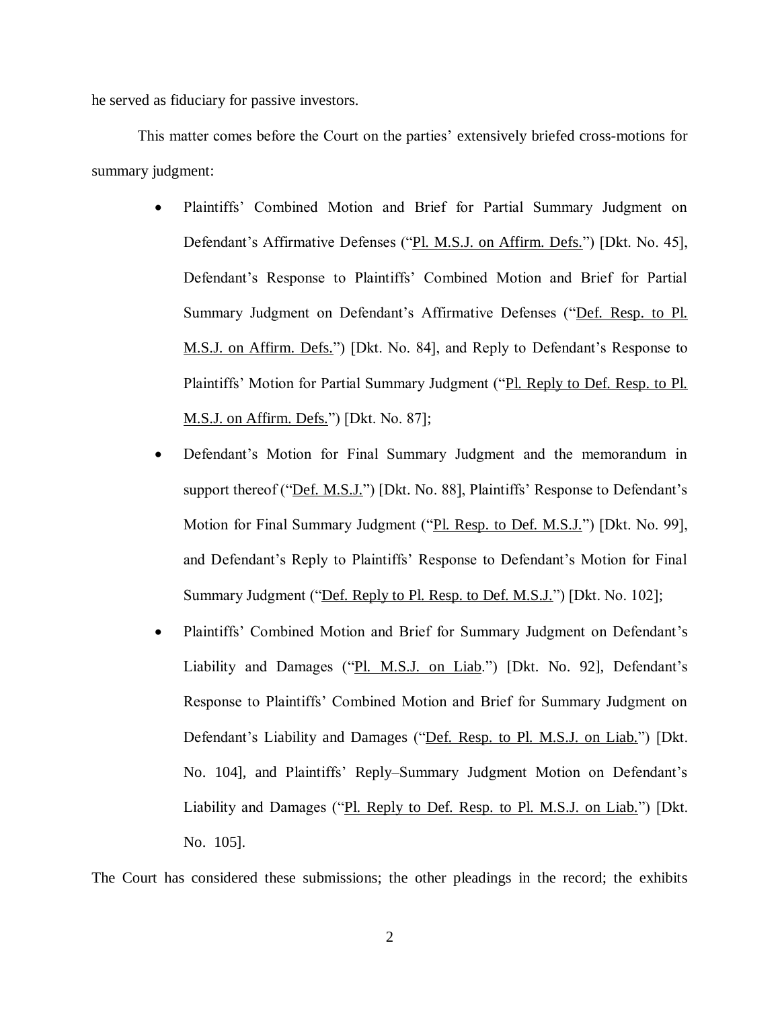he served as fiduciary for passive investors.

This matter comes before the Court on the parties' extensively briefed cross-motions for summary judgment:

- Plaintiffs' Combined Motion and Brief for Partial Summary Judgment on Defendant's Affirmative Defenses ("Pl. M.S.J. on Affirm. Defs.") [Dkt. No. 45], Defendant's Response to Plaintiffs' Combined Motion and Brief for Partial Summary Judgment on Defendant's Affirmative Defenses ("Def. Resp. to Pl. M.S.J. on Affirm. Defs.") [Dkt. No. 84], and Reply to Defendant's Response to Plaintiffs' Motion for Partial Summary Judgment ("Pl. Reply to Def. Resp. to Pl. M.S.J. on Affirm. Defs.") [Dkt. No. 87];
- Defendant's Motion for Final Summary Judgment and the memorandum in support thereof ("<u>Def. M.S.J.</u>") [Dkt. No. 88], Plaintiffs' Response to Defendant's Motion for Final Summary Judgment ("Pl. Resp. to Def. M.S.J.") [Dkt. No. 99], and Defendant's Reply to Plaintiffs' Response to Defendant's Motion for Final Summary Judgment ("Def. Reply to Pl. Resp. to Def. M.S.J.") [Dkt. No. 102];
- Plaintiffs' Combined Motion and Brief for Summary Judgment on Defendant's Liability and Damages ("Pl. M.S.J. on Liab.") [Dkt. No. 92], Defendant's Response to Plaintiffs' Combined Motion and Brief for Summary Judgment on Defendant's Liability and Damages ("Def. Resp. to Pl. M.S.J. on Liab.") [Dkt. No. 104], and Plaintiffs' Reply–Summary Judgment Motion on Defendant's Liability and Damages ("Pl. Reply to Def. Resp. to Pl. M.S.J. on Liab.") [Dkt. No. 105].

The Court has considered these submissions; the other pleadings in the record; the exhibits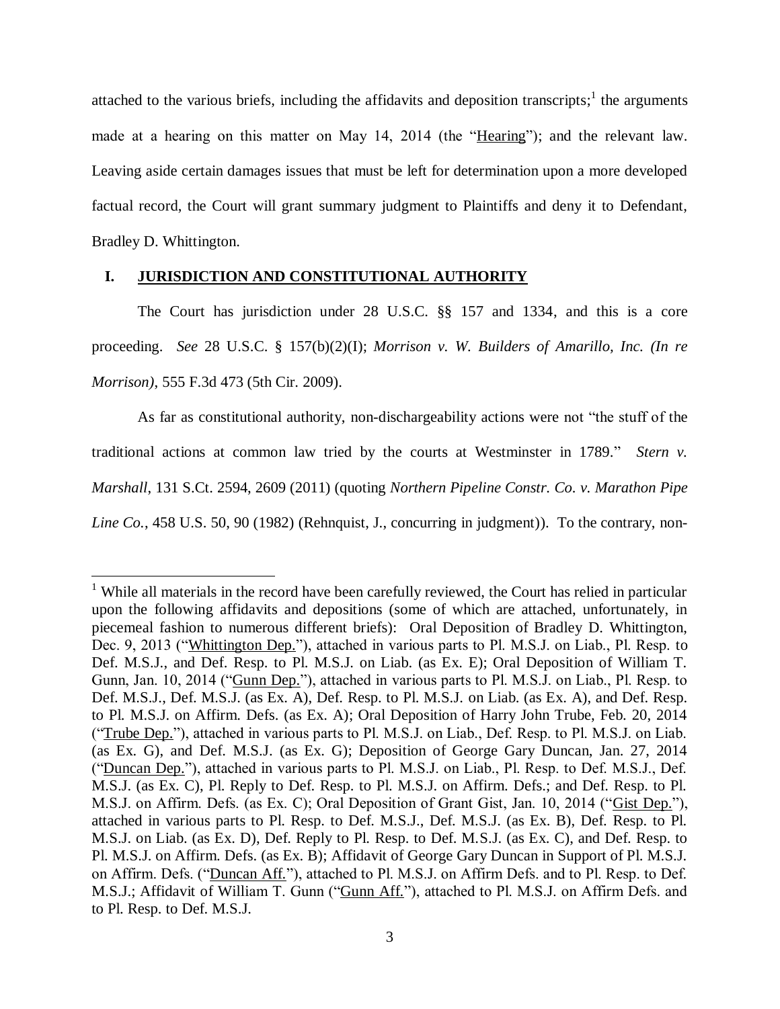attached to the various briefs, including the affidavits and deposition transcripts;  $\frac{1}{1}$  the arguments made at a hearing on this matter on May 14, 2014 (the "Hearing"); and the relevant law. Leaving aside certain damages issues that must be left for determination upon a more developed factual record, the Court will grant summary judgment to Plaintiffs and deny it to Defendant, Bradley D. Whittington.

# **I. JURISDICTION AND CONSTITUTIONAL AUTHORITY**

 $\overline{a}$ 

The Court has jurisdiction under 28 U.S.C. §§ 157 and 1334, and this is a core proceeding. *See* 28 U.S.C. § 157(b)(2)(I); *Morrison v. W. Builders of Amarillo, Inc. (In re Morrison)*, 555 F.3d 473 (5th Cir. 2009).

As far as constitutional authority, non-dischargeability actions were not "the stuff of the traditional actions at common law tried by the courts at Westminster in 1789." *Stern v. Marshall*, 131 S.Ct. 2594, 2609 (2011) (quoting *Northern Pipeline Constr. Co. v. Marathon Pipe Line Co.*, 458 U.S. 50, 90 (1982) (Rehnquist, J., concurring in judgment)). To the contrary, non-

<sup>&</sup>lt;sup>1</sup> While all materials in the record have been carefully reviewed, the Court has relied in particular upon the following affidavits and depositions (some of which are attached, unfortunately, in piecemeal fashion to numerous different briefs): Oral Deposition of Bradley D. Whittington, Dec. 9, 2013 ("Whittington Dep."), attached in various parts to Pl. M.S.J. on Liab., Pl. Resp. to Def. M.S.J., and Def. Resp. to Pl. M.S.J. on Liab. (as Ex. E); Oral Deposition of William T. Gunn, Jan. 10, 2014 ("Gunn Dep."), attached in various parts to Pl. M.S.J. on Liab., Pl. Resp. to Def. M.S.J., Def. M.S.J. (as Ex. A), Def. Resp. to Pl. M.S.J. on Liab. (as Ex. A), and Def. Resp. to Pl. M.S.J. on Affirm. Defs. (as Ex. A); Oral Deposition of Harry John Trube, Feb. 20, 2014 ("Trube Dep."), attached in various parts to Pl. M.S.J. on Liab., Def. Resp. to Pl. M.S.J. on Liab. (as Ex. G), and Def. M.S.J. (as Ex. G); Deposition of George Gary Duncan, Jan. 27, 2014 ("Duncan Dep."), attached in various parts to Pl. M.S.J. on Liab., Pl. Resp. to Def. M.S.J., Def. M.S.J. (as Ex. C), Pl. Reply to Def. Resp. to Pl. M.S.J. on Affirm. Defs.; and Def. Resp. to Pl. M.S.J. on Affirm. Defs. (as Ex. C); Oral Deposition of Grant Gist, Jan. 10, 2014 ("Gist Dep."), attached in various parts to Pl. Resp. to Def. M.S.J., Def. M.S.J. (as Ex. B), Def. Resp. to Pl. M.S.J. on Liab. (as Ex. D), Def. Reply to Pl. Resp. to Def. M.S.J. (as Ex. C), and Def. Resp. to Pl. M.S.J. on Affirm. Defs. (as Ex. B); Affidavit of George Gary Duncan in Support of Pl. M.S.J. on Affirm. Defs. ("Duncan Aff."), attached to Pl. M.S.J. on Affirm Defs. and to Pl. Resp. to Def. M.S.J.; Affidavit of William T. Gunn ("Gunn Aff."), attached to Pl. M.S.J. on Affirm Defs. and to Pl. Resp. to Def. M.S.J.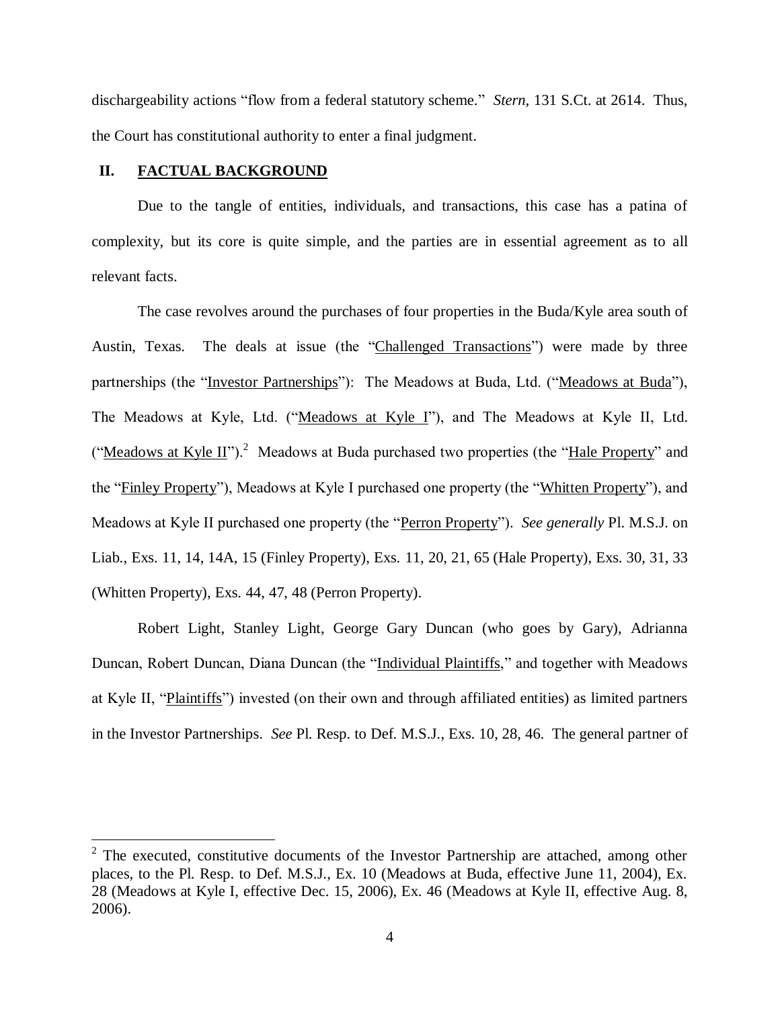dischargeability actions "flow from a federal statutory scheme." *Stern*, 131 S.Ct. at 2614. Thus, the Court has constitutional authority to enter a final judgment.

# **II. FACTUAL BACKGROUND**

 $\overline{a}$ 

Due to the tangle of entities, individuals, and transactions, this case has a patina of complexity, but its core is quite simple, and the parties are in essential agreement as to all relevant facts.

The case revolves around the purchases of four properties in the Buda/Kyle area south of Austin, Texas. The deals at issue (the "Challenged Transactions") were made by three partnerships (the "Investor Partnerships"): The Meadows at Buda, Ltd. ("Meadows at Buda"), The Meadows at Kyle, Ltd. ("Meadows at Kyle I"), and The Meadows at Kyle II, Ltd. ("Meadows at Kyle II").<sup>2</sup> Meadows at Buda purchased two properties (the "Hale Property" and the "Finley Property"), Meadows at Kyle I purchased one property (the "Whitten Property"), and Meadows at Kyle II purchased one property (the "Perron Property"). *See generally* Pl. M.S.J. on Liab., Exs. 11, 14, 14A, 15 (Finley Property), Exs. 11, 20, 21, 65 (Hale Property), Exs. 30, 31, 33 (Whitten Property), Exs. 44, 47, 48 (Perron Property).

Robert Light, Stanley Light, George Gary Duncan (who goes by Gary), Adrianna Duncan, Robert Duncan, Diana Duncan (the "Individual Plaintiffs," and together with Meadows at Kyle II, "Plaintiffs") invested (on their own and through affiliated entities) as limited partners in the Investor Partnerships. *See* Pl. Resp. to Def. M.S.J., Exs. 10, 28, 46. The general partner of

 $2$  The executed, constitutive documents of the Investor Partnership are attached, among other places, to the Pl. Resp. to Def. M.S.J., Ex. 10 (Meadows at Buda, effective June 11, 2004), Ex. 28 (Meadows at Kyle I, effective Dec. 15, 2006), Ex. 46 (Meadows at Kyle II, effective Aug. 8, 2006).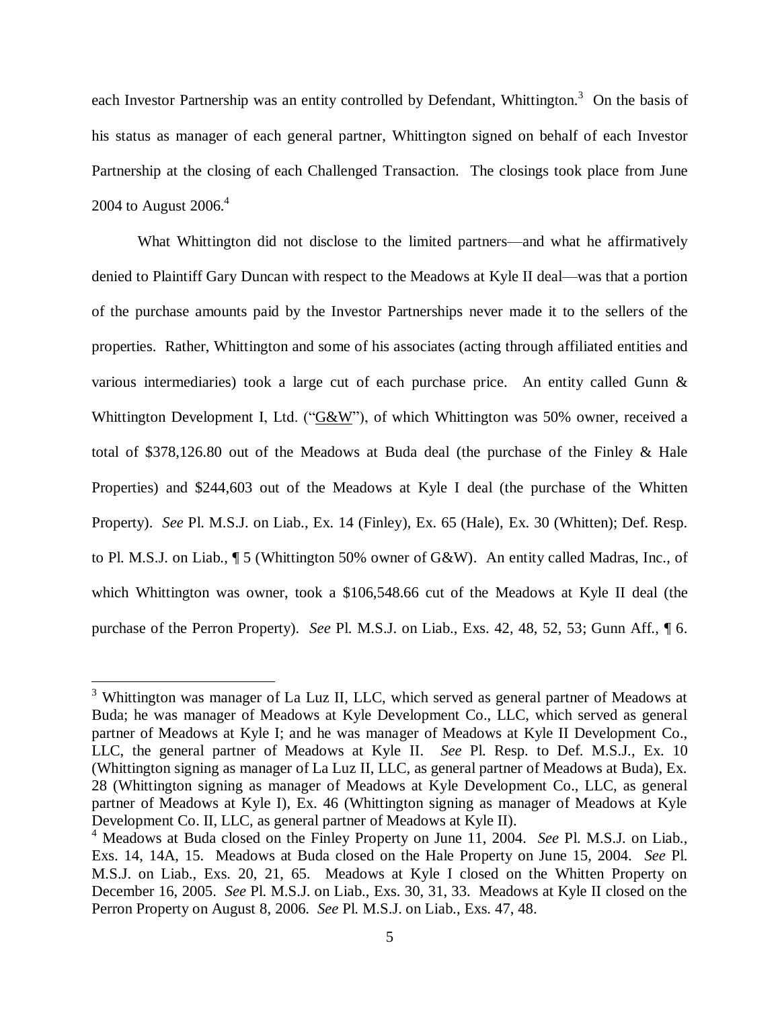each Investor Partnership was an entity controlled by Defendant, Whittington.<sup>3</sup> On the basis of his status as manager of each general partner, Whittington signed on behalf of each Investor Partnership at the closing of each Challenged Transaction. The closings took place from June 2004 to August 2006.<sup>4</sup>

<span id="page-4-0"></span>What Whittington did not disclose to the limited partners—and what he affirmatively denied to Plaintiff Gary Duncan with respect to the Meadows at Kyle II deal—was that a portion of the purchase amounts paid by the Investor Partnerships never made it to the sellers of the properties. Rather, Whittington and some of his associates (acting through affiliated entities and various intermediaries) took a large cut of each purchase price. An entity called Gunn & Whittington Development I, Ltd. (" $G&W$ "), of which Whittington was 50% owner, received a total of \$378,126.80 out of the Meadows at Buda deal (the purchase of the Finley & Hale Properties) and \$244,603 out of the Meadows at Kyle I deal (the purchase of the Whitten Property). *See* Pl. M.S.J. on Liab., Ex. 14 (Finley), Ex. 65 (Hale), Ex. 30 (Whitten); Def. Resp. to Pl. M.S.J. on Liab., ¶ 5 (Whittington 50% owner of G&W). An entity called Madras, Inc., of which Whittington was owner, took a \$106,548.66 cut of the Meadows at Kyle II deal (the purchase of the Perron Property). *See* Pl. M.S.J. on Liab., Exs. 42, 48, 52, 53; Gunn Aff., ¶ 6.

 $\overline{a}$ 

 $3$  Whittington was manager of La Luz II, LLC, which served as general partner of Meadows at Buda; he was manager of Meadows at Kyle Development Co., LLC, which served as general partner of Meadows at Kyle I; and he was manager of Meadows at Kyle II Development Co., LLC, the general partner of Meadows at Kyle II. *See* Pl. Resp. to Def. M.S.J., Ex. 10 (Whittington signing as manager of La Luz II, LLC, as general partner of Meadows at Buda), Ex. 28 (Whittington signing as manager of Meadows at Kyle Development Co., LLC, as general partner of Meadows at Kyle I), Ex. 46 (Whittington signing as manager of Meadows at Kyle Development Co. II, LLC, as general partner of Meadows at Kyle II).

<sup>4</sup> Meadows at Buda closed on the Finley Property on June 11, 2004. *See* Pl. M.S.J. on Liab., Exs. 14, 14A, 15. Meadows at Buda closed on the Hale Property on June 15, 2004. *See* Pl. M.S.J. on Liab., Exs. 20, 21, 65. Meadows at Kyle I closed on the Whitten Property on December 16, 2005. *See* Pl. M.S.J. on Liab., Exs. 30, 31, 33. Meadows at Kyle II closed on the Perron Property on August 8, 2006. *See* Pl. M.S.J. on Liab., Exs. 47, 48.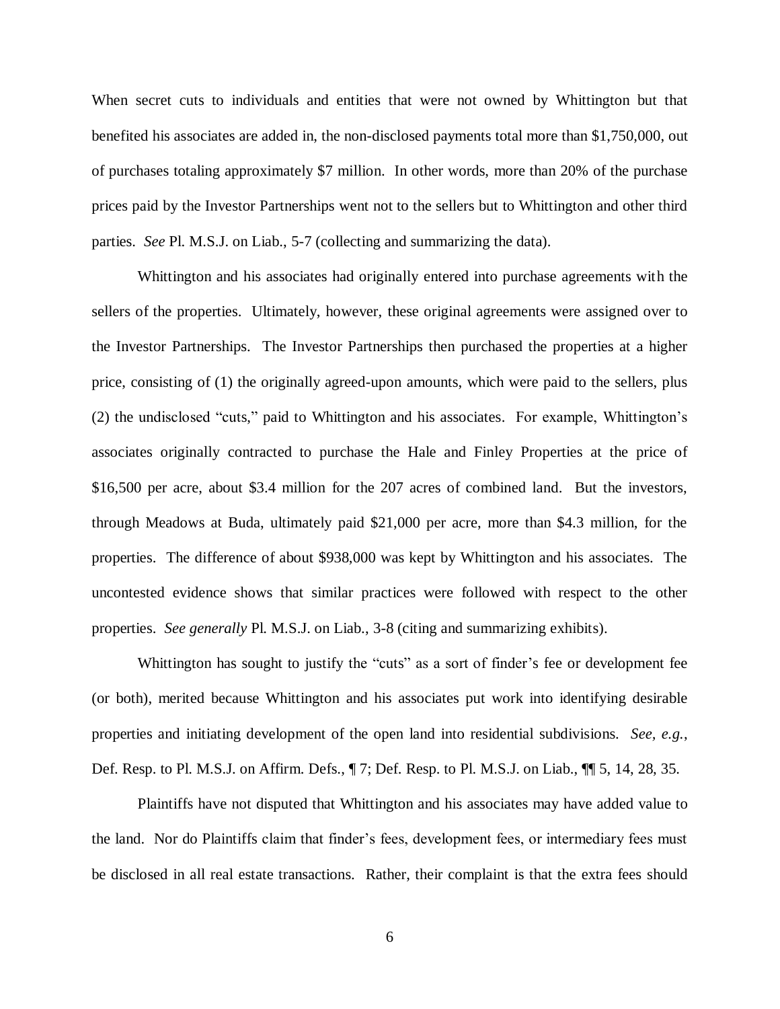When secret cuts to individuals and entities that were not owned by Whittington but that benefited his associates are added in, the non-disclosed payments total more than \$1,750,000, out of purchases totaling approximately \$7 million. In other words, more than 20% of the purchase prices paid by the Investor Partnerships went not to the sellers but to Whittington and other third parties. *See* Pl. M.S.J. on Liab., 5-7 (collecting and summarizing the data).

Whittington and his associates had originally entered into purchase agreements with the sellers of the properties. Ultimately, however, these original agreements were assigned over to the Investor Partnerships. The Investor Partnerships then purchased the properties at a higher price, consisting of (1) the originally agreed-upon amounts, which were paid to the sellers, plus (2) the undisclosed "cuts," paid to Whittington and his associates. For example, Whittington's associates originally contracted to purchase the Hale and Finley Properties at the price of \$16,500 per acre, about \$3.4 million for the 207 acres of combined land. But the investors, through Meadows at Buda, ultimately paid \$21,000 per acre, more than \$4.3 million, for the properties. The difference of about \$938,000 was kept by Whittington and his associates. The uncontested evidence shows that similar practices were followed with respect to the other properties. *See generally* Pl. M.S.J. on Liab., 3-8 (citing and summarizing exhibits).

Whittington has sought to justify the "cuts" as a sort of finder's fee or development fee (or both), merited because Whittington and his associates put work into identifying desirable properties and initiating development of the open land into residential subdivisions. *See, e.g.*, Def. Resp. to Pl. M.S.J. on Affirm. Defs., ¶ 7; Def. Resp. to Pl. M.S.J. on Liab., ¶¶ 5, 14, 28, 35.

Plaintiffs have not disputed that Whittington and his associates may have added value to the land. Nor do Plaintiffs claim that finder's fees, development fees, or intermediary fees must be disclosed in all real estate transactions. Rather, their complaint is that the extra fees should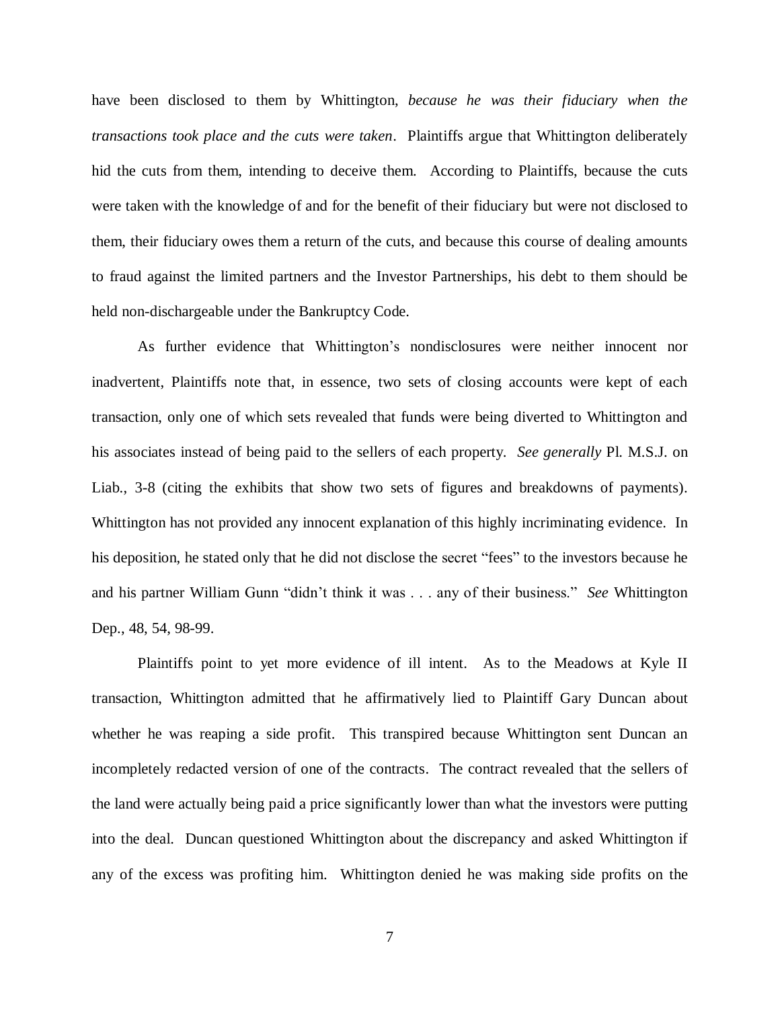have been disclosed to them by Whittington, *because he was their fiduciary when the transactions took place and the cuts were taken*. Plaintiffs argue that Whittington deliberately hid the cuts from them, intending to deceive them. According to Plaintiffs, because the cuts were taken with the knowledge of and for the benefit of their fiduciary but were not disclosed to them, their fiduciary owes them a return of the cuts, and because this course of dealing amounts to fraud against the limited partners and the Investor Partnerships, his debt to them should be held non-dischargeable under the Bankruptcy Code.

As further evidence that Whittington's nondisclosures were neither innocent nor inadvertent, Plaintiffs note that, in essence, two sets of closing accounts were kept of each transaction, only one of which sets revealed that funds were being diverted to Whittington and his associates instead of being paid to the sellers of each property. *See generally* Pl. M.S.J. on Liab., 3-8 (citing the exhibits that show two sets of figures and breakdowns of payments). Whittington has not provided any innocent explanation of this highly incriminating evidence. In his deposition, he stated only that he did not disclose the secret "fees" to the investors because he and his partner William Gunn "didn't think it was . . . any of their business." *See* Whittington Dep., 48, 54, 98-99.

Plaintiffs point to yet more evidence of ill intent. As to the Meadows at Kyle II transaction, Whittington admitted that he affirmatively lied to Plaintiff Gary Duncan about whether he was reaping a side profit. This transpired because Whittington sent Duncan an incompletely redacted version of one of the contracts. The contract revealed that the sellers of the land were actually being paid a price significantly lower than what the investors were putting into the deal. Duncan questioned Whittington about the discrepancy and asked Whittington if any of the excess was profiting him. Whittington denied he was making side profits on the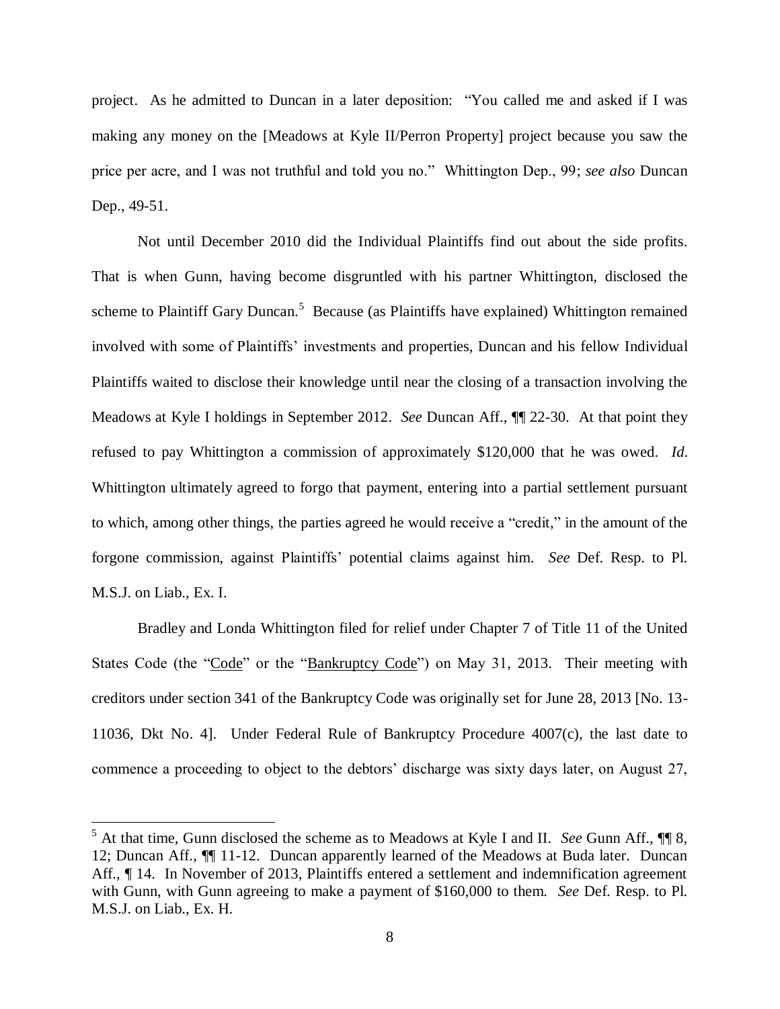project. As he admitted to Duncan in a later deposition: "You called me and asked if I was making any money on the [Meadows at Kyle II/Perron Property] project because you saw the price per acre, and I was not truthful and told you no." Whittington Dep., 99; *see also* Duncan Dep., 49-51.

Not until December 2010 did the Individual Plaintiffs find out about the side profits. That is when Gunn, having become disgruntled with his partner Whittington, disclosed the scheme to Plaintiff Gary Duncan.<sup>5</sup> Because (as Plaintiffs have explained) Whittington remained involved with some of Plaintiffs' investments and properties, Duncan and his fellow Individual Plaintiffs waited to disclose their knowledge until near the closing of a transaction involving the Meadows at Kyle I holdings in September 2012. *See* Duncan Aff., ¶¶ 22-30. At that point they refused to pay Whittington a commission of approximately \$120,000 that he was owed. *Id*. Whittington ultimately agreed to forgo that payment, entering into a partial settlement pursuant to which, among other things, the parties agreed he would receive a "credit," in the amount of the forgone commission, against Plaintiffs' potential claims against him. *See* Def. Resp. to Pl. M.S.J. on Liab., Ex. I.

Bradley and Londa Whittington filed for relief under Chapter 7 of Title 11 of the United States Code (the "Code" or the "Bankruptcy Code") on May 31, 2013. Their meeting with creditors under section 341 of the Bankruptcy Code was originally set for June 28, 2013 [No. 13- 11036, Dkt No. 4]. Under Federal Rule of Bankruptcy Procedure 4007(c), the last date to commence a proceeding to object to the debtors' discharge was sixty days later, on August 27,

 $\overline{a}$ 

<sup>5</sup> At that time, Gunn disclosed the scheme as to Meadows at Kyle I and II. *See* Gunn Aff., ¶¶ 8, 12; Duncan Aff., ¶¶ 11-12. Duncan apparently learned of the Meadows at Buda later. Duncan Aff.,  $\P$  14. In November of 2013, Plaintiffs entered a settlement and indemnification agreement with Gunn, with Gunn agreeing to make a payment of \$160,000 to them. *See* Def. Resp. to Pl. M.S.J. on Liab., Ex. H.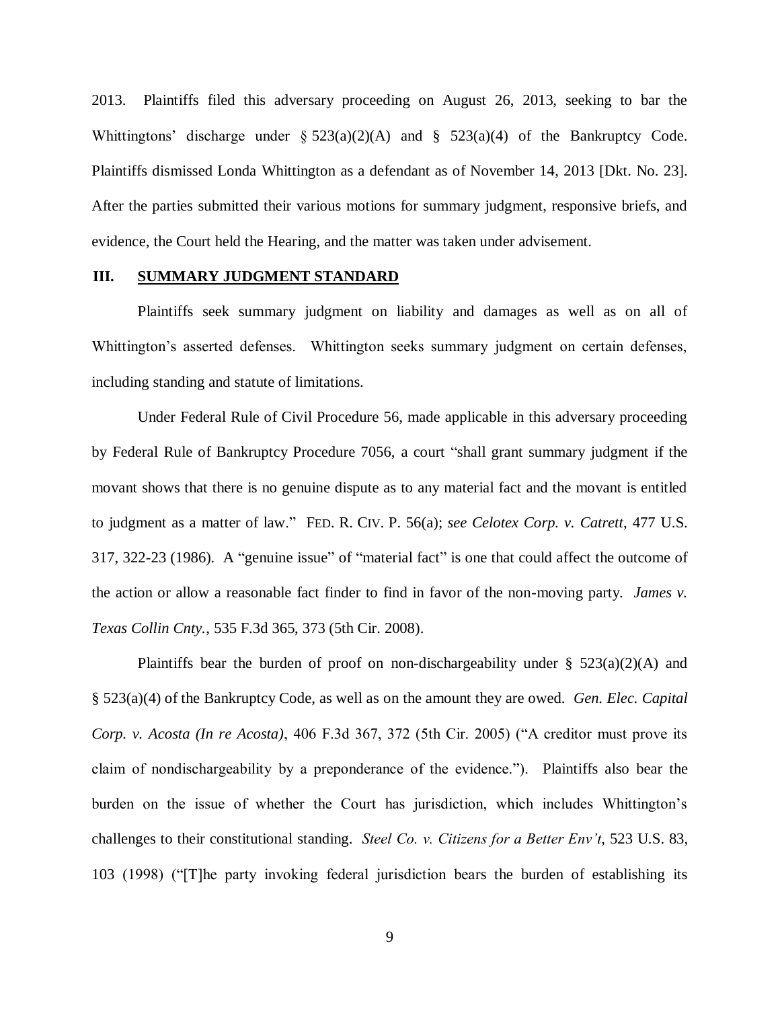2013. Plaintiffs filed this adversary proceeding on August 26, 2013, seeking to bar the Whittingtons' discharge under  $\S 523(a)(2)(A)$  and  $\S 523(a)(4)$  of the Bankruptcy Code. Plaintiffs dismissed Londa Whittington as a defendant as of November 14, 2013 [Dkt. No. 23]. After the parties submitted their various motions for summary judgment, responsive briefs, and evidence, the Court held the Hearing, and the matter was taken under advisement.

### **III. SUMMARY JUDGMENT STANDARD**

Plaintiffs seek summary judgment on liability and damages as well as on all of Whittington's asserted defenses. Whittington seeks summary judgment on certain defenses, including standing and statute of limitations.

Under Federal Rule of Civil Procedure 56, made applicable in this adversary proceeding by Federal Rule of Bankruptcy Procedure 7056, a court "shall grant summary judgment if the movant shows that there is no genuine dispute as to any material fact and the movant is entitled to judgment as a matter of law." FED. R. CIV. P. 56(a); *see Celotex Corp. v. Catrett*, 477 U.S. 317, 322-23 (1986). A "genuine issue" of "material fact" is one that could affect the outcome of the action or allow a reasonable fact finder to find in favor of the non-moving party. *James v. Texas Collin Cnty.*, 535 F.3d 365, 373 (5th Cir. 2008).

Plaintiffs bear the burden of proof on non-dischargeability under  $\S$  523(a)(2)(A) and § 523(a)(4) of the Bankruptcy Code, as well as on the amount they are owed. *Gen. Elec. Capital Corp. v. Acosta (In re Acosta)*, 406 F.3d 367, 372 (5th Cir. 2005) ("A creditor must prove its claim of nondischargeability by a preponderance of the evidence."). Plaintiffs also bear the burden on the issue of whether the Court has jurisdiction, which includes Whittington's challenges to their constitutional standing. *Steel Co. v. Citizens for a Better Env't*, 523 U.S. 83, 103 (1998) ("[T]he party invoking federal jurisdiction bears the burden of establishing its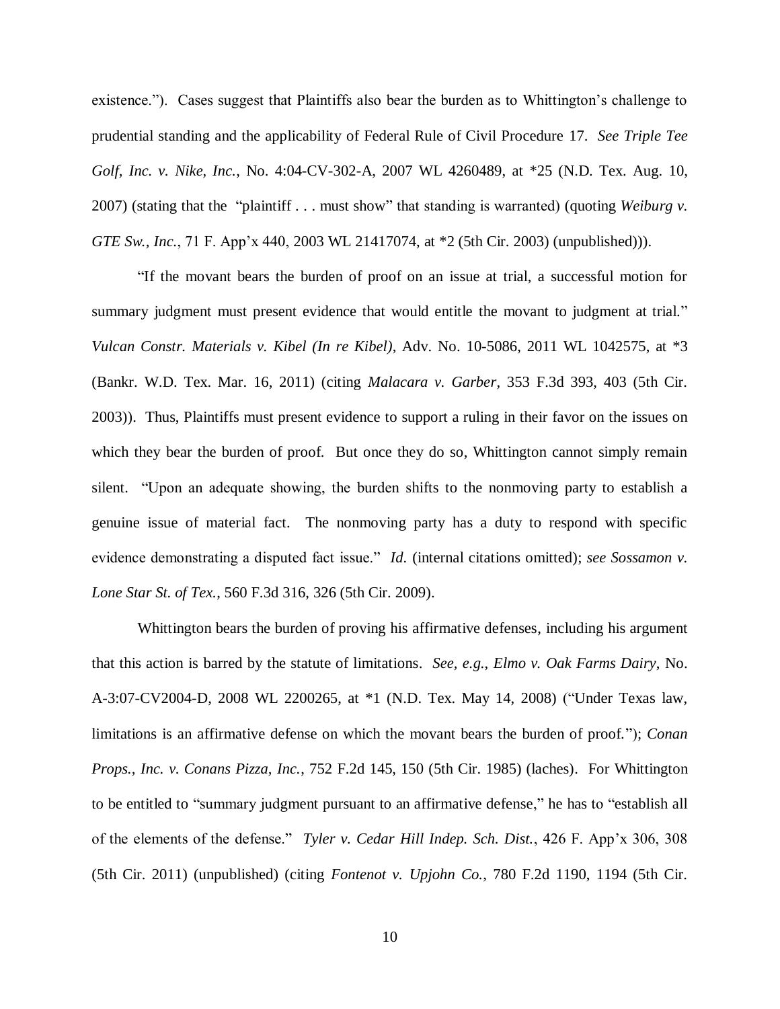existence."). Cases suggest that Plaintiffs also bear the burden as to Whittington's challenge to prudential standing and the applicability of Federal Rule of Civil Procedure 17. *See Triple Tee Golf, Inc. v. Nike, Inc.*, No. 4:04-CV-302-A, 2007 WL 4260489, at \*25 (N.D. Tex. Aug. 10, 2007) (stating that the "plaintiff . . . must show" that standing is warranted) (quoting *Weiburg v. GTE Sw., Inc.*, 71 F. App'x 440, 2003 WL 21417074, at \*2 (5th Cir. 2003) (unpublished))).

"If the movant bears the burden of proof on an issue at trial, a successful motion for summary judgment must present evidence that would entitle the movant to judgment at trial." *Vulcan Constr. Materials v. Kibel (In re Kibel)*, Adv. No. 10-5086, 2011 WL 1042575, at \*3 (Bankr. W.D. Tex. Mar. 16, 2011) (citing *Malacara v. Garber*, 353 F.3d 393, 403 (5th Cir. 2003)). Thus, Plaintiffs must present evidence to support a ruling in their favor on the issues on which they bear the burden of proof. But once they do so, Whittington cannot simply remain silent. "Upon an adequate showing, the burden shifts to the nonmoving party to establish a genuine issue of material fact. The nonmoving party has a duty to respond with specific evidence demonstrating a disputed fact issue." *Id.* (internal citations omitted); *see Sossamon v. Lone Star St. of Tex.*, 560 F.3d 316, 326 (5th Cir. 2009).

Whittington bears the burden of proving his affirmative defenses, including his argument that this action is barred by the statute of limitations. *See, e.g.*, *Elmo v. Oak Farms Dairy*, No. A-3:07-CV2004-D, 2008 WL 2200265, at \*1 (N.D. Tex. May 14, 2008) ("Under Texas law, limitations is an affirmative defense on which the movant bears the burden of proof."); *Conan Props., Inc. v. Conans Pizza, Inc.*, 752 F.2d 145, 150 (5th Cir. 1985) (laches). For Whittington to be entitled to "summary judgment pursuant to an affirmative defense," he has to "establish all of the elements of the defense." *Tyler v. Cedar Hill Indep. Sch. Dist.*, 426 F. App'x 306, 308 (5th Cir. 2011) (unpublished) (citing *Fontenot v. Upjohn Co.*, 780 F.2d 1190, 1194 (5th Cir.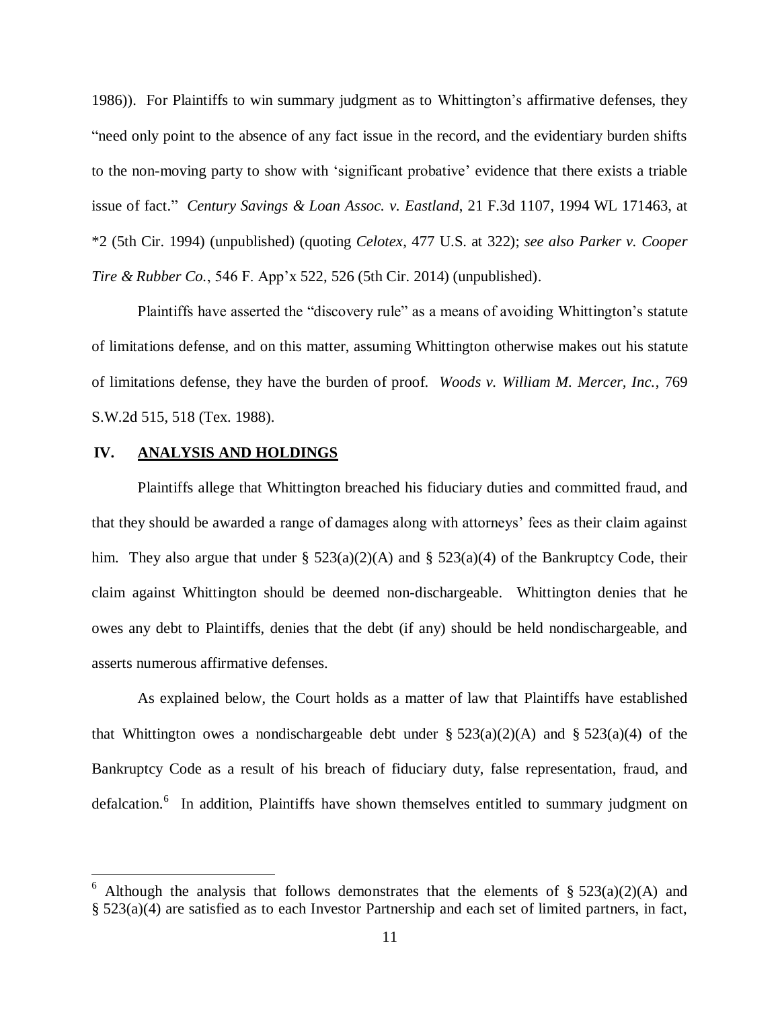1986)). For Plaintiffs to win summary judgment as to Whittington's affirmative defenses, they "need only point to the absence of any fact issue in the record, and the evidentiary burden shifts to the non-moving party to show with 'significant probative' evidence that there exists a triable issue of fact." *Century Savings & Loan Assoc. v. Eastland*, 21 F.3d 1107, 1994 WL 171463, at \*2 (5th Cir. 1994) (unpublished) (quoting *Celotex*, 477 U.S. at 322); *see also Parker v. Cooper Tire & Rubber Co.*, 546 F. App'x 522, 526 (5th Cir. 2014) (unpublished).

Plaintiffs have asserted the "discovery rule" as a means of avoiding Whittington's statute of limitations defense, and on this matter, assuming Whittington otherwise makes out his statute of limitations defense, they have the burden of proof. *Woods v. William M. Mercer, Inc.*, 769 S.W.2d 515, 518 (Tex. 1988).

## **IV. ANALYSIS AND HOLDINGS**

 $\overline{a}$ 

Plaintiffs allege that Whittington breached his fiduciary duties and committed fraud, and that they should be awarded a range of damages along with attorneys' fees as their claim against him. They also argue that under §  $523(a)(2)(A)$  and §  $523(a)(4)$  of the Bankruptcy Code, their claim against Whittington should be deemed non-dischargeable. Whittington denies that he owes any debt to Plaintiffs, denies that the debt (if any) should be held nondischargeable, and asserts numerous affirmative defenses.

As explained below, the Court holds as a matter of law that Plaintiffs have established that Whittington owes a nondischargeable debt under  $\S 523(a)(2)(A)$  and  $\S 523(a)(4)$  of the Bankruptcy Code as a result of his breach of fiduciary duty, false representation, fraud, and defalcation.<sup>6</sup> In addition, Plaintiffs have shown themselves entitled to summary judgment on

Although the analysis that follows demonstrates that the elements of  $\S$  523(a)(2)(A) and § 523(a)(4) are satisfied as to each Investor Partnership and each set of limited partners, in fact,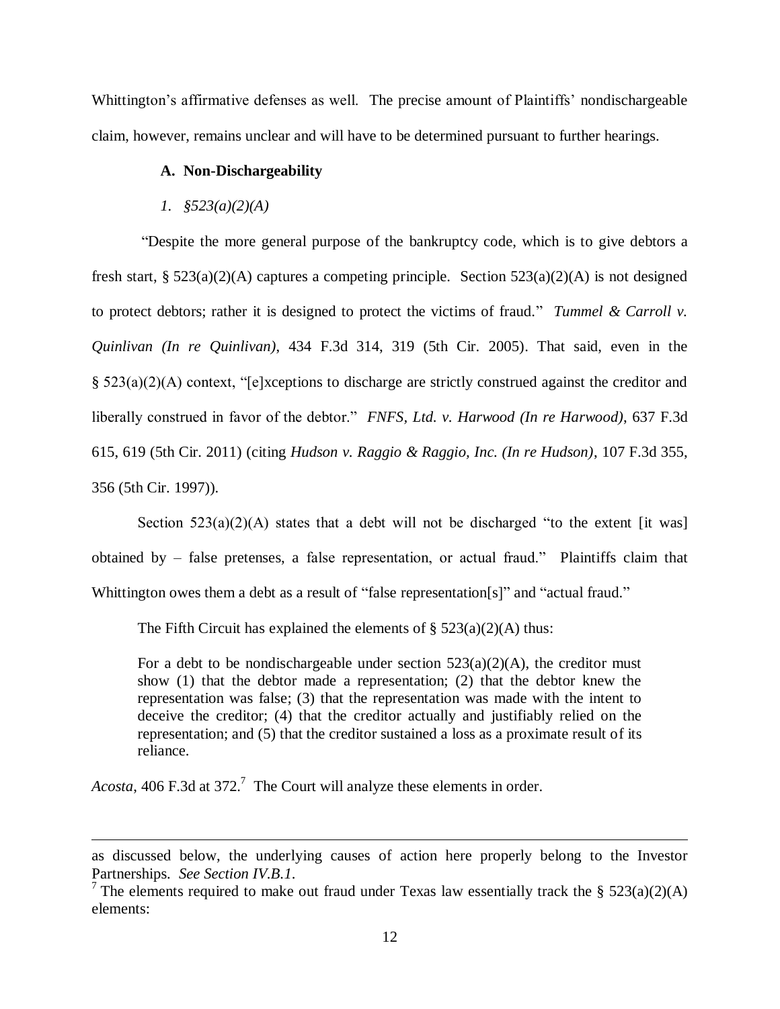Whittington's affirmative defenses as well. The precise amount of Plaintiffs' nondischargeable claim, however, remains unclear and will have to be determined pursuant to further hearings.

### **A. Non-Dischargeability**

#### *1. §523(a)(2)(A)*

"Despite the more general purpose of the bankruptcy code, which is to give debtors a fresh start, § 523(a)(2)(A) captures a competing principle. Section 523(a)(2)(A) is not designed to protect debtors; rather it is designed to protect the victims of fraud." *Tummel & Carroll v. Quinlivan (In re Quinlivan)*, 434 F.3d 314, 319 (5th Cir. 2005). That said, even in the § 523(a)(2)(A) context, "[e]xceptions to discharge are strictly construed against the creditor and liberally construed in favor of the debtor." *FNFS, Ltd. v. Harwood (In re Harwood)*, 637 F.3d 615, 619 (5th Cir. 2011) (citing *Hudson v. Raggio & Raggio, Inc. (In re Hudson)*, 107 F.3d 355, 356 (5th Cir. 1997)).

Section  $523(a)(2)(A)$  states that a debt will not be discharged "to the extent [it was] obtained by – false pretenses, a false representation, or actual fraud." Plaintiffs claim that Whittington owes them a debt as a result of "false representation[s]" and "actual fraud."

The Fifth Circuit has explained the elements of  $\S 523(a)(2)(A)$  thus:

For a debt to be nondischargeable under section  $523(a)(2)(A)$ , the creditor must show (1) that the debtor made a representation; (2) that the debtor knew the representation was false; (3) that the representation was made with the intent to deceive the creditor; (4) that the creditor actually and justifiably relied on the representation; and (5) that the creditor sustained a loss as a proximate result of its reliance.

Acosta, 406 F.3d at 372.<sup>7</sup> The Court will analyze these elements in order.

 $\overline{a}$ 

as discussed below, the underlying causes of action here properly belong to the Investor Partnerships. *See Section IV.B.1*.

<sup>&</sup>lt;sup>7</sup> The elements required to make out fraud under Texas law essentially track the § 523(a)(2)(A) elements: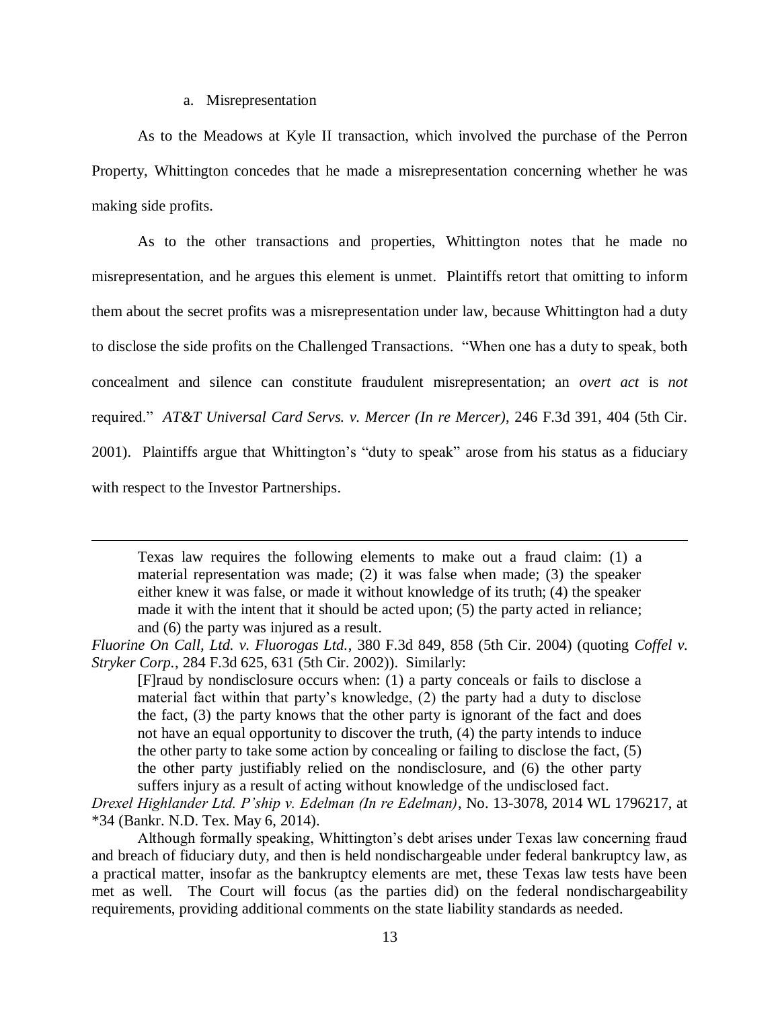#### a. Misrepresentation

 $\overline{a}$ 

As to the Meadows at Kyle II transaction, which involved the purchase of the Perron Property, Whittington concedes that he made a misrepresentation concerning whether he was making side profits.

As to the other transactions and properties, Whittington notes that he made no misrepresentation, and he argues this element is unmet. Plaintiffs retort that omitting to inform them about the secret profits was a misrepresentation under law, because Whittington had a duty to disclose the side profits on the Challenged Transactions. "When one has a duty to speak, both concealment and silence can constitute fraudulent misrepresentation; an *overt act* is *not*  required." *AT&T Universal Card Servs. v. Mercer (In re Mercer)*, 246 F.3d 391, 404 (5th Cir. 2001). Plaintiffs argue that Whittington's "duty to speak" arose from his status as a fiduciary with respect to the Investor Partnerships.

Texas law requires the following elements to make out a fraud claim: (1) a material representation was made; (2) it was false when made; (3) the speaker either knew it was false, or made it without knowledge of its truth; (4) the speaker made it with the intent that it should be acted upon; (5) the party acted in reliance; and (6) the party was injured as a result.

*Drexel Highlander Ltd. P'ship v. Edelman (In re Edelman)*, No. 13-3078, 2014 WL 1796217, at \*34 (Bankr. N.D. Tex. May 6, 2014).

Although formally speaking, Whittington's debt arises under Texas law concerning fraud and breach of fiduciary duty, and then is held nondischargeable under federal bankruptcy law, as a practical matter, insofar as the bankruptcy elements are met, these Texas law tests have been met as well. The Court will focus (as the parties did) on the federal nondischargeability requirements, providing additional comments on the state liability standards as needed.

*Fluorine On Call, Ltd. v. Fluorogas Ltd.*, 380 F.3d 849, 858 (5th Cir. 2004) (quoting *Coffel v. Stryker Corp.*, 284 F.3d 625, 631 (5th Cir. 2002)). Similarly:

<sup>[</sup>F]raud by nondisclosure occurs when: (1) a party conceals or fails to disclose a material fact within that party's knowledge, (2) the party had a duty to disclose the fact, (3) the party knows that the other party is ignorant of the fact and does not have an equal opportunity to discover the truth, (4) the party intends to induce the other party to take some action by concealing or failing to disclose the fact, (5) the other party justifiably relied on the nondisclosure, and (6) the other party suffers injury as a result of acting without knowledge of the undisclosed fact.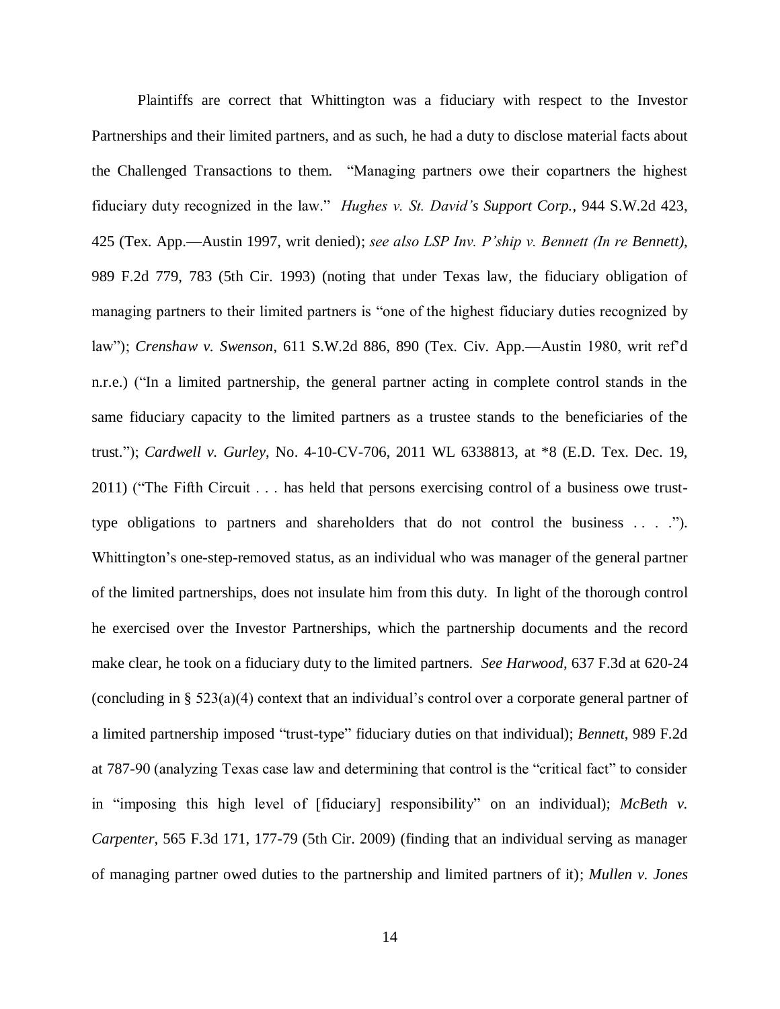Plaintiffs are correct that Whittington was a fiduciary with respect to the Investor Partnerships and their limited partners, and as such, he had a duty to disclose material facts about the Challenged Transactions to them. "Managing partners owe their copartners the highest fiduciary duty recognized in the law." *Hughes v. St. David's Support Corp.*, 944 S.W.2d 423, 425 (Tex. App.—Austin 1997, writ denied); *see also LSP Inv. P'ship v. Bennett (In re Bennett)*, 989 F.2d 779, 783 (5th Cir. 1993) (noting that under Texas law, the fiduciary obligation of managing partners to their limited partners is "one of the highest fiduciary duties recognized by law"); *Crenshaw v. Swenson*, 611 S.W.2d 886, 890 (Tex. Civ. App.—Austin 1980, writ ref'd n.r.e.) ("In a limited partnership, the general partner acting in complete control stands in the same fiduciary capacity to the limited partners as a trustee stands to the beneficiaries of the trust."); *Cardwell v. Gurley*, No. 4-10-CV-706, 2011 WL 6338813, at \*8 (E.D. Tex. Dec. 19, 2011) ("The Fifth Circuit . . . has held that persons exercising control of a business owe trusttype obligations to partners and shareholders that do not control the business . . . ."). Whittington's one-step-removed status, as an individual who was manager of the general partner of the limited partnerships, does not insulate him from this duty. In light of the thorough control he exercised over the Investor Partnerships, which the partnership documents and the record make clear, he took on a fiduciary duty to the limited partners. *See Harwood*, 637 F.3d at 620-24 (concluding in § 523(a)(4) context that an individual's control over a corporate general partner of a limited partnership imposed "trust-type" fiduciary duties on that individual); *Bennett*, 989 F.2d at 787-90 (analyzing Texas case law and determining that control is the "critical fact" to consider in "imposing this high level of [fiduciary] responsibility" on an individual); *McBeth v. Carpenter*, 565 F.3d 171, 177-79 (5th Cir. 2009) (finding that an individual serving as manager of managing partner owed duties to the partnership and limited partners of it); *Mullen v. Jones*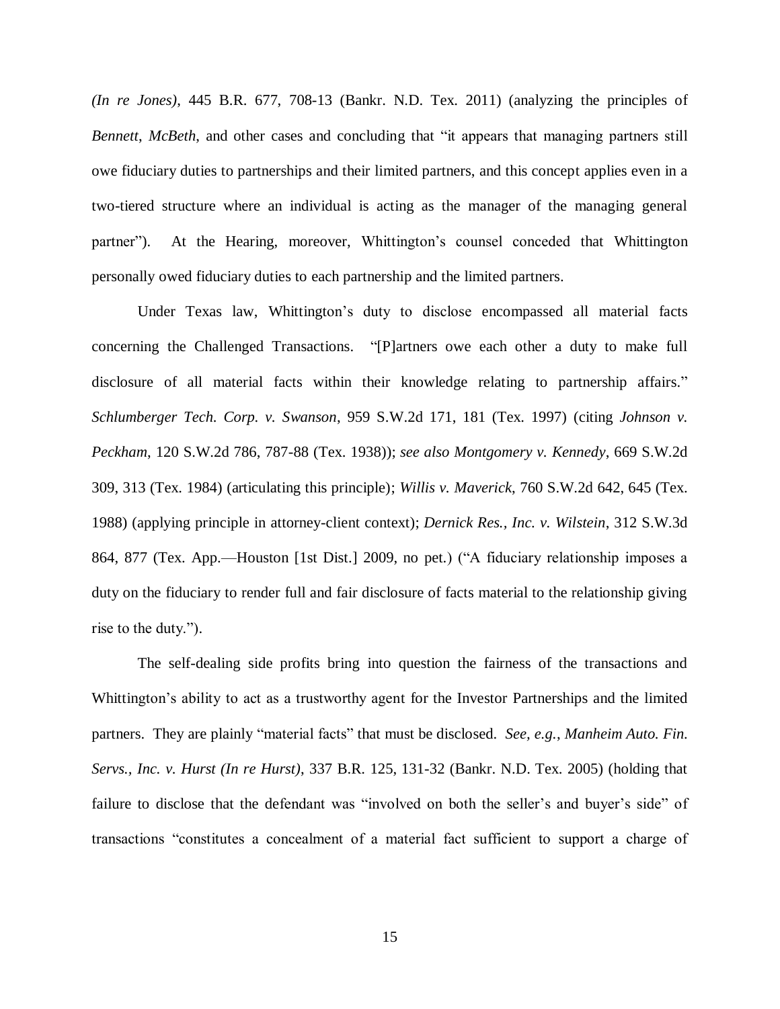*(In re Jones)*, 445 B.R. 677, 708-13 (Bankr. N.D. Tex. 2011) (analyzing the principles of *Bennett*, *McBeth*, and other cases and concluding that "it appears that managing partners still owe fiduciary duties to partnerships and their limited partners, and this concept applies even in a two-tiered structure where an individual is acting as the manager of the managing general partner"). At the Hearing, moreover, Whittington's counsel conceded that Whittington personally owed fiduciary duties to each partnership and the limited partners.

Under Texas law, Whittington's duty to disclose encompassed all material facts concerning the Challenged Transactions. "[P]artners owe each other a duty to make full disclosure of all material facts within their knowledge relating to partnership affairs." *Schlumberger Tech. Corp. v. Swanson*, 959 S.W.2d 171, 181 (Tex. 1997) (citing *Johnson v. Peckham*, 120 S.W.2d 786, 787-88 (Tex. 1938)); *see also Montgomery v. Kennedy*, 669 S.W.2d 309, 313 (Tex. 1984) (articulating this principle); *Willis v. Maverick*, 760 S.W.2d 642, 645 (Tex. 1988) (applying principle in attorney-client context); *Dernick Res., Inc. v. Wilstein*, 312 S.W.3d 864, 877 (Tex. App.—Houston [1st Dist.] 2009, no pet.) ("A fiduciary relationship imposes a duty on the fiduciary to render full and fair disclosure of facts material to the relationship giving rise to the duty.").

The self-dealing side profits bring into question the fairness of the transactions and Whittington's ability to act as a trustworthy agent for the Investor Partnerships and the limited partners. They are plainly "material facts" that must be disclosed. *See, e.g.*, *Manheim Auto. Fin. Servs., Inc. v. Hurst (In re Hurst)*, 337 B.R. 125, 131-32 (Bankr. N.D. Tex. 2005) (holding that failure to disclose that the defendant was "involved on both the seller's and buyer's side" of transactions "constitutes a concealment of a material fact sufficient to support a charge of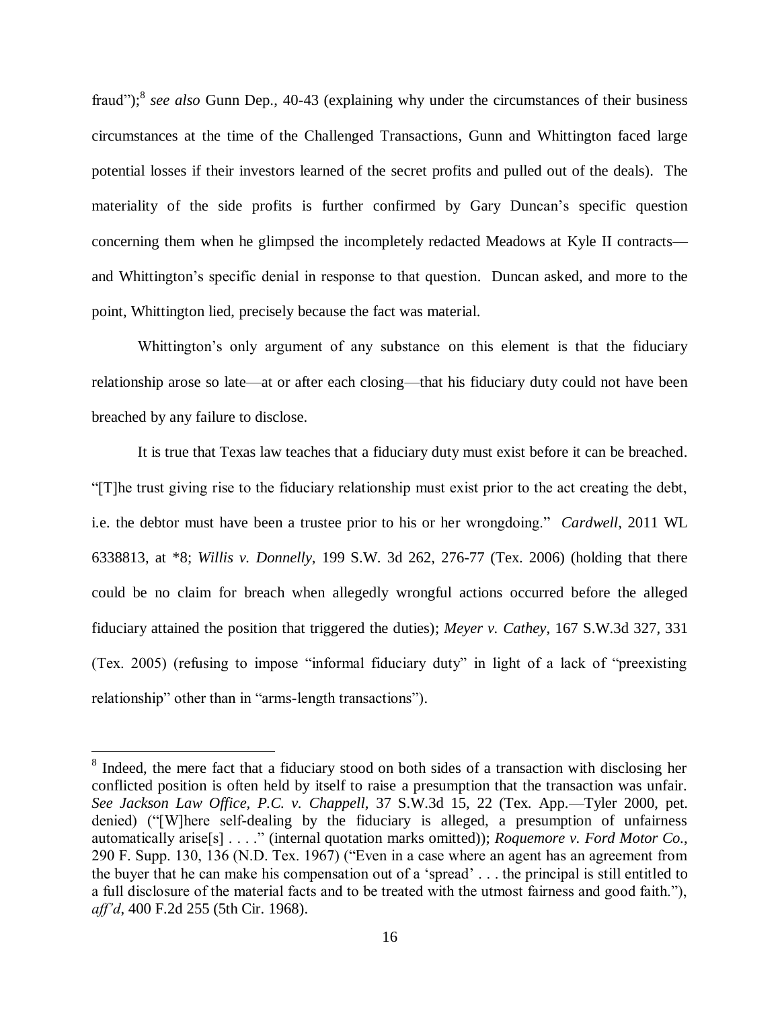fraud");<sup>8</sup> see also Gunn Dep., 40-43 (explaining why under the circumstances of their business circumstances at the time of the Challenged Transactions, Gunn and Whittington faced large potential losses if their investors learned of the secret profits and pulled out of the deals). The materiality of the side profits is further confirmed by Gary Duncan's specific question concerning them when he glimpsed the incompletely redacted Meadows at Kyle II contracts and Whittington's specific denial in response to that question. Duncan asked, and more to the point, Whittington lied, precisely because the fact was material.

Whittington's only argument of any substance on this element is that the fiduciary relationship arose so late—at or after each closing—that his fiduciary duty could not have been breached by any failure to disclose.

It is true that Texas law teaches that a fiduciary duty must exist before it can be breached. "[T]he trust giving rise to the fiduciary relationship must exist prior to the act creating the debt, i.e. the debtor must have been a trustee prior to his or her wrongdoing." *Cardwell*, 2011 WL 6338813, at \*8; *Willis v. Donnelly*, 199 S.W. 3d 262, 276-77 (Tex. 2006) (holding that there could be no claim for breach when allegedly wrongful actions occurred before the alleged fiduciary attained the position that triggered the duties); *Meyer v. Cathey*, 167 S.W.3d 327, 331 (Tex. 2005) (refusing to impose "informal fiduciary duty" in light of a lack of "preexisting relationship" other than in "arms-length transactions").

 $\overline{a}$ 

<sup>&</sup>lt;sup>8</sup> Indeed, the mere fact that a fiduciary stood on both sides of a transaction with disclosing her conflicted position is often held by itself to raise a presumption that the transaction was unfair. *See Jackson Law Office, P.C. v. Chappell*, 37 S.W.3d 15, 22 (Tex. App.—Tyler 2000, pet. denied) ("[W]here self-dealing by the fiduciary is alleged, a presumption of unfairness automatically arise[s] . . . ." (internal quotation marks omitted)); *Roquemore v. Ford Motor Co.*, 290 F. Supp. 130, 136 (N.D. Tex. 1967) ("Even in a case where an agent has an agreement from the buyer that he can make his compensation out of a 'spread' . . . the principal is still entitled to a full disclosure of the material facts and to be treated with the utmost fairness and good faith."), *aff'd*, 400 F.2d 255 (5th Cir. 1968).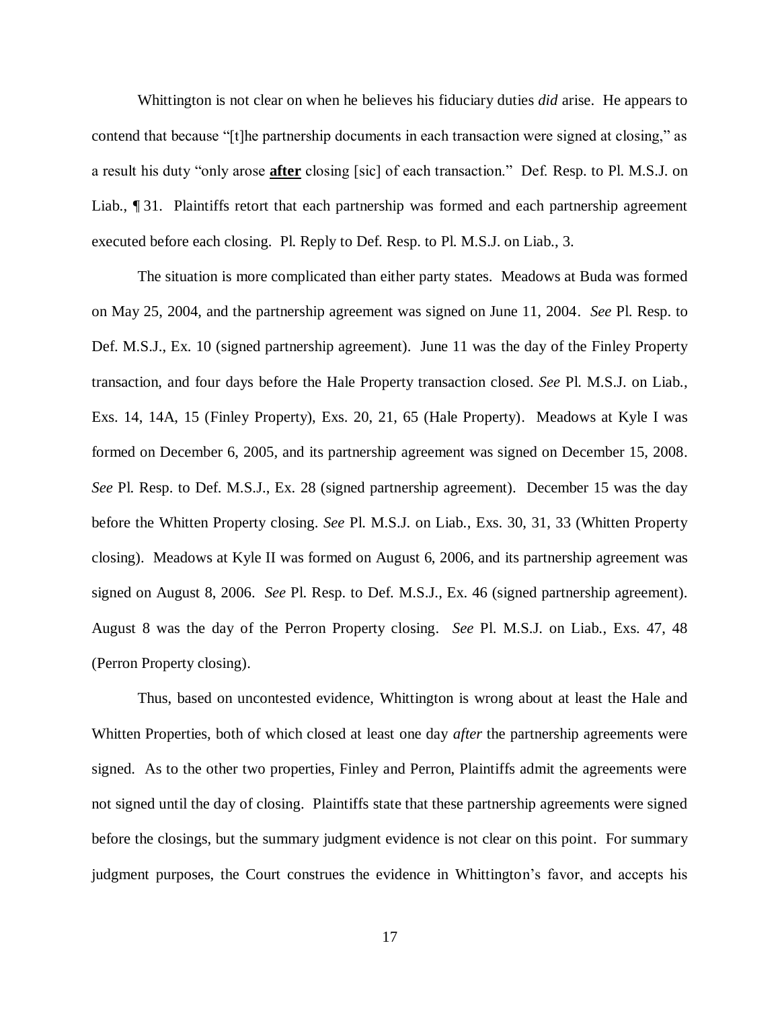Whittington is not clear on when he believes his fiduciary duties *did* arise. He appears to contend that because "[t]he partnership documents in each transaction were signed at closing," as a result his duty "only arose **after** closing [sic] of each transaction." Def. Resp. to Pl. M.S.J. on Liab., ¶ 31. Plaintiffs retort that each partnership was formed and each partnership agreement executed before each closing. Pl. Reply to Def. Resp. to Pl. M.S.J. on Liab., 3.

The situation is more complicated than either party states. Meadows at Buda was formed on May 25, 2004, and the partnership agreement was signed on June 11, 2004. *See* Pl. Resp. to Def. M.S.J., Ex. 10 (signed partnership agreement). June 11 was the day of the Finley Property transaction, and four days before the Hale Property transaction closed. *See* Pl. M.S.J. on Liab., Exs. 14, 14A, 15 (Finley Property), Exs. 20, 21, 65 (Hale Property). Meadows at Kyle I was formed on December 6, 2005, and its partnership agreement was signed on December 15, 2008. *See* Pl. Resp. to Def. M.S.J., Ex. 28 (signed partnership agreement). December 15 was the day before the Whitten Property closing. *See* Pl. M.S.J. on Liab., Exs. 30, 31, 33 (Whitten Property closing). Meadows at Kyle II was formed on August 6, 2006, and its partnership agreement was signed on August 8, 2006. *See* Pl. Resp. to Def. M.S.J., Ex. 46 (signed partnership agreement). August 8 was the day of the Perron Property closing. *See* Pl. M.S.J. on Liab., Exs. 47, 48 (Perron Property closing).

Thus, based on uncontested evidence, Whittington is wrong about at least the Hale and Whitten Properties, both of which closed at least one day *after* the partnership agreements were signed. As to the other two properties, Finley and Perron, Plaintiffs admit the agreements were not signed until the day of closing. Plaintiffs state that these partnership agreements were signed before the closings, but the summary judgment evidence is not clear on this point. For summary judgment purposes, the Court construes the evidence in Whittington's favor, and accepts his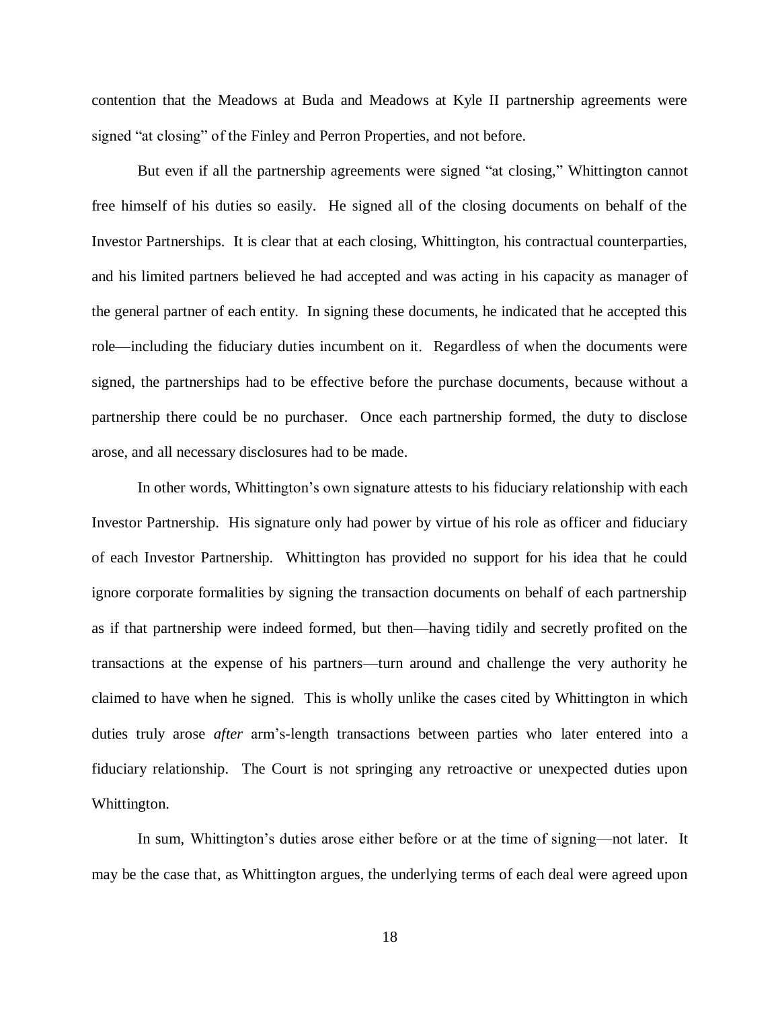contention that the Meadows at Buda and Meadows at Kyle II partnership agreements were signed "at closing" of the Finley and Perron Properties, and not before.

But even if all the partnership agreements were signed "at closing," Whittington cannot free himself of his duties so easily. He signed all of the closing documents on behalf of the Investor Partnerships. It is clear that at each closing, Whittington, his contractual counterparties, and his limited partners believed he had accepted and was acting in his capacity as manager of the general partner of each entity. In signing these documents, he indicated that he accepted this role—including the fiduciary duties incumbent on it. Regardless of when the documents were signed, the partnerships had to be effective before the purchase documents, because without a partnership there could be no purchaser. Once each partnership formed, the duty to disclose arose, and all necessary disclosures had to be made.

In other words, Whittington's own signature attests to his fiduciary relationship with each Investor Partnership. His signature only had power by virtue of his role as officer and fiduciary of each Investor Partnership. Whittington has provided no support for his idea that he could ignore corporate formalities by signing the transaction documents on behalf of each partnership as if that partnership were indeed formed, but then—having tidily and secretly profited on the transactions at the expense of his partners—turn around and challenge the very authority he claimed to have when he signed. This is wholly unlike the cases cited by Whittington in which duties truly arose *after* arm's-length transactions between parties who later entered into a fiduciary relationship. The Court is not springing any retroactive or unexpected duties upon Whittington.

In sum, Whittington's duties arose either before or at the time of signing—not later. It may be the case that, as Whittington argues, the underlying terms of each deal were agreed upon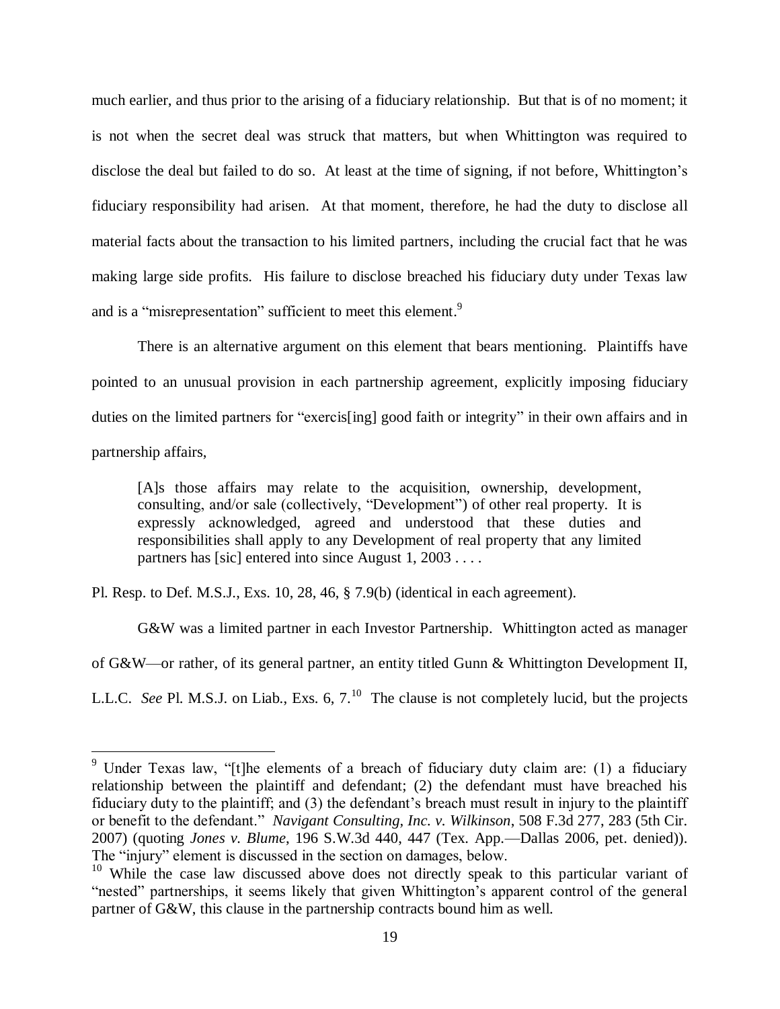much earlier, and thus prior to the arising of a fiduciary relationship. But that is of no moment; it is not when the secret deal was struck that matters, but when Whittington was required to disclose the deal but failed to do so. At least at the time of signing, if not before, Whittington's fiduciary responsibility had arisen. At that moment, therefore, he had the duty to disclose all material facts about the transaction to his limited partners, including the crucial fact that he was making large side profits. His failure to disclose breached his fiduciary duty under Texas law and is a "misrepresentation" sufficient to meet this element.<sup>9</sup>

There is an alternative argument on this element that bears mentioning. Plaintiffs have pointed to an unusual provision in each partnership agreement, explicitly imposing fiduciary duties on the limited partners for "exercis[ing] good faith or integrity" in their own affairs and in partnership affairs,

[A]s those affairs may relate to the acquisition, ownership, development, consulting, and/or sale (collectively, "Development") of other real property. It is expressly acknowledged, agreed and understood that these duties and responsibilities shall apply to any Development of real property that any limited partners has [sic] entered into since August 1, 2003....

Pl. Resp. to Def. M.S.J., Exs. 10, 28, 46, § 7.9(b) (identical in each agreement).

 $\overline{a}$ 

G&W was a limited partner in each Investor Partnership. Whittington acted as manager of G&W—or rather, of its general partner, an entity titled Gunn & Whittington Development II, L.L.C. See Pl. M.S.J. on Liab., Exs. 6, 7.<sup>10</sup> The clause is not completely lucid, but the projects

<sup>&</sup>lt;sup>9</sup> Under Texas law, "[t]he elements of a breach of fiduciary duty claim are: (1) a fiduciary relationship between the plaintiff and defendant; (2) the defendant must have breached his fiduciary duty to the plaintiff; and (3) the defendant's breach must result in injury to the plaintiff or benefit to the defendant." *Navigant Consulting, Inc. v. Wilkinson*, 508 F.3d 277, 283 (5th Cir. 2007) (quoting *Jones v. Blume*, 196 S.W.3d 440, 447 (Tex. App.—Dallas 2006, pet. denied)). The "injury" element is discussed in the section on damages, below.

<sup>&</sup>lt;sup>10</sup> While the case law discussed above does not directly speak to this particular variant of "nested" partnerships, it seems likely that given Whittington's apparent control of the general partner of G&W, this clause in the partnership contracts bound him as well.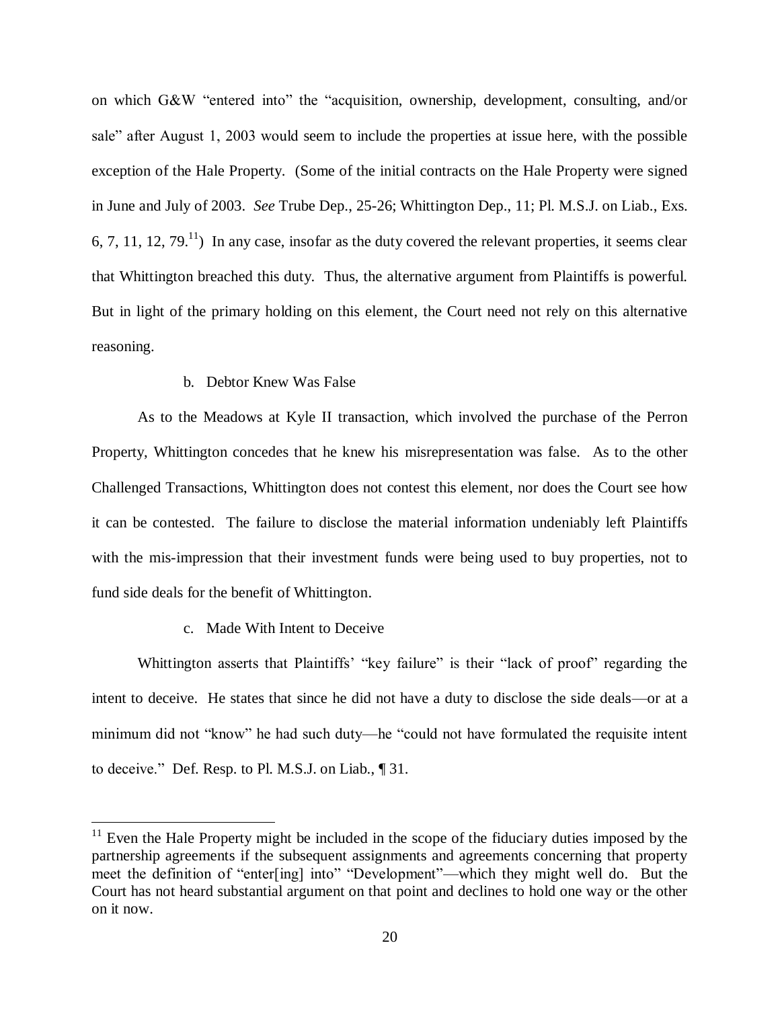on which G&W "entered into" the "acquisition, ownership, development, consulting, and/or sale" after August 1, 2003 would seem to include the properties at issue here, with the possible exception of the Hale Property. (Some of the initial contracts on the Hale Property were signed in June and July of 2003. *See* Trube Dep., 25-26; Whittington Dep., 11; Pl. M.S.J. on Liab., Exs. 6, 7, 11, 12, 79.<sup>11</sup>) In any case, insofar as the duty covered the relevant properties, it seems clear that Whittington breached this duty. Thus, the alternative argument from Plaintiffs is powerful. But in light of the primary holding on this element, the Court need not rely on this alternative reasoning.

### b. Debtor Knew Was False

As to the Meadows at Kyle II transaction, which involved the purchase of the Perron Property, Whittington concedes that he knew his misrepresentation was false. As to the other Challenged Transactions, Whittington does not contest this element, nor does the Court see how it can be contested. The failure to disclose the material information undeniably left Plaintiffs with the mis-impression that their investment funds were being used to buy properties, not to fund side deals for the benefit of Whittington.

#### c. Made With Intent to Deceive

 $\overline{a}$ 

Whittington asserts that Plaintiffs' "key failure" is their "lack of proof" regarding the intent to deceive. He states that since he did not have a duty to disclose the side deals—or at a minimum did not "know" he had such duty—he "could not have formulated the requisite intent to deceive." Def. Resp. to Pl. M.S.J. on Liab., ¶ 31.

 $11$  Even the Hale Property might be included in the scope of the fiduciary duties imposed by the partnership agreements if the subsequent assignments and agreements concerning that property meet the definition of "enter[ing] into" "Development"—which they might well do. But the Court has not heard substantial argument on that point and declines to hold one way or the other on it now.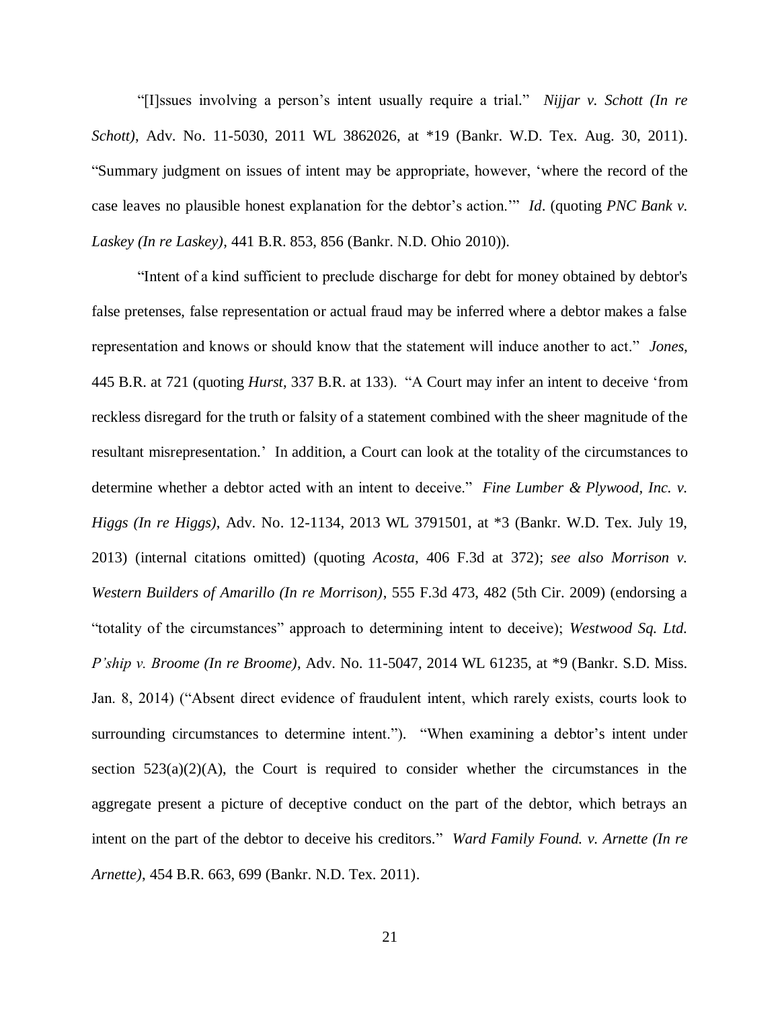"[I]ssues involving a person's intent usually require a trial." *Nijjar v. Schott (In re Schott)*, Adv. No. 11-5030, 2011 WL 3862026, at \*19 (Bankr. W.D. Tex. Aug. 30, 2011). "Summary judgment on issues of intent may be appropriate, however, 'where the record of the case leaves no plausible honest explanation for the debtor's action.'" *Id*. (quoting *PNC Bank v. Laskey (In re Laskey)*, 441 B.R. 853, 856 (Bankr. N.D. Ohio 2010)).

"Intent of a kind sufficient to preclude discharge for debt for money obtained by debtor's false pretenses, false representation or actual fraud may be inferred where a debtor makes a false representation and knows or should know that the statement will induce another to act." *Jones*, 445 B.R. at 721 (quoting *Hurst*, 337 B.R. at 133). "A Court may infer an intent to deceive 'from reckless disregard for the truth or falsity of a statement combined with the sheer magnitude of the resultant misrepresentation.' In addition, a Court can look at the totality of the circumstances to determine whether a debtor acted with an intent to deceive." *Fine Lumber & Plywood, Inc. v. Higgs (In re Higgs)*, Adv. No. 12-1134, 2013 WL 3791501, at \*3 (Bankr. W.D. Tex. July 19, 2013) (internal citations omitted) (quoting *Acosta*, 406 F.3d at 372); *see also Morrison v. Western Builders of Amarillo (In re Morrison)*, 555 F.3d 473, 482 (5th Cir. 2009) (endorsing a "totality of the circumstances" approach to determining intent to deceive); *Westwood Sq. Ltd. P'ship v. Broome (In re Broome)*, Adv. No. 11-5047, 2014 WL 61235, at \*9 (Bankr. S.D. Miss. Jan. 8, 2014) ("Absent direct evidence of fraudulent intent, which rarely exists, courts look to surrounding circumstances to determine intent."). "When examining a debtor's intent under section  $523(a)(2)(A)$ , the Court is required to consider whether the circumstances in the aggregate present a picture of deceptive conduct on the part of the debtor, which betrays an intent on the part of the debtor to deceive his creditors." *Ward Family Found. v. Arnette (In re Arnette)*, 454 B.R. 663, 699 (Bankr. N.D. Tex. 2011).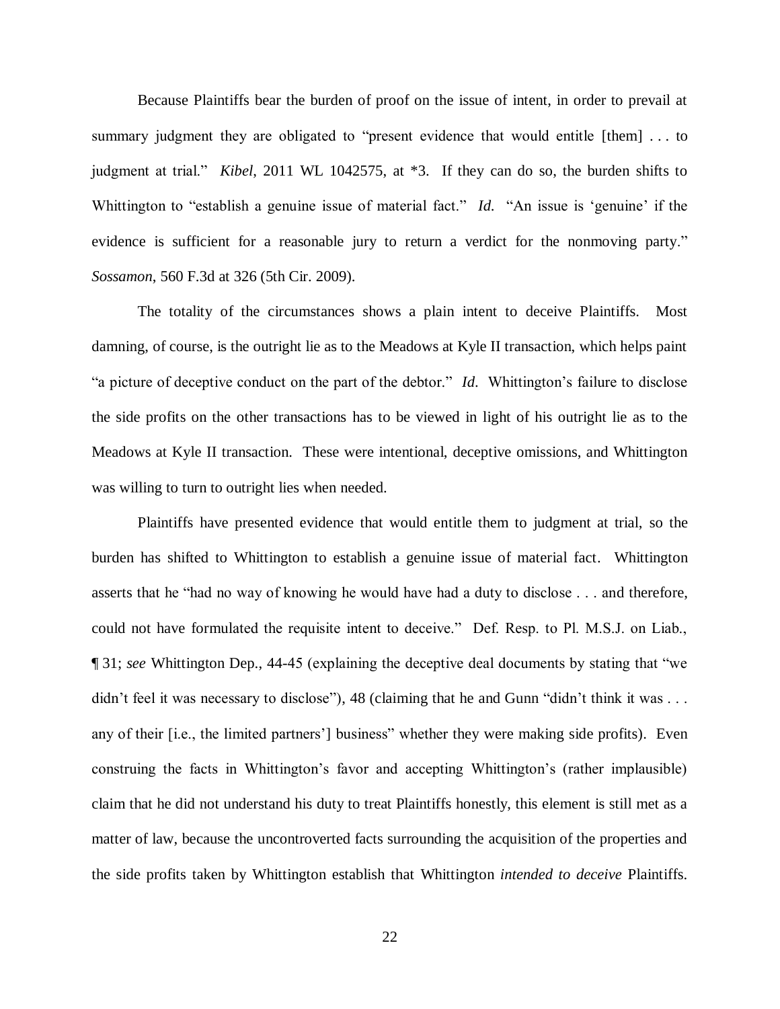Because Plaintiffs bear the burden of proof on the issue of intent, in order to prevail at summary judgment they are obligated to "present evidence that would entitle [them] ... to judgment at trial." *Kibel*, 2011 WL 1042575, at \*3. If they can do so, the burden shifts to Whittington to "establish a genuine issue of material fact." *Id*. "An issue is 'genuine' if the evidence is sufficient for a reasonable jury to return a verdict for the nonmoving party." *Sossamon*, 560 F.3d at 326 (5th Cir. 2009).

The totality of the circumstances shows a plain intent to deceive Plaintiffs. Most damning, of course, is the outright lie as to the Meadows at Kyle II transaction, which helps paint "a picture of deceptive conduct on the part of the debtor." *Id*. Whittington's failure to disclose the side profits on the other transactions has to be viewed in light of his outright lie as to the Meadows at Kyle II transaction. These were intentional, deceptive omissions, and Whittington was willing to turn to outright lies when needed.

Plaintiffs have presented evidence that would entitle them to judgment at trial, so the burden has shifted to Whittington to establish a genuine issue of material fact. Whittington asserts that he "had no way of knowing he would have had a duty to disclose . . . and therefore, could not have formulated the requisite intent to deceive." Def. Resp. to Pl. M.S.J. on Liab., ¶ 31; *see* Whittington Dep., 44-45 (explaining the deceptive deal documents by stating that "we didn't feel it was necessary to disclose"), 48 (claiming that he and Gunn "didn't think it was . . . any of their [i.e., the limited partners'] business" whether they were making side profits). Even construing the facts in Whittington's favor and accepting Whittington's (rather implausible) claim that he did not understand his duty to treat Plaintiffs honestly, this element is still met as a matter of law, because the uncontroverted facts surrounding the acquisition of the properties and the side profits taken by Whittington establish that Whittington *intended to deceive* Plaintiffs.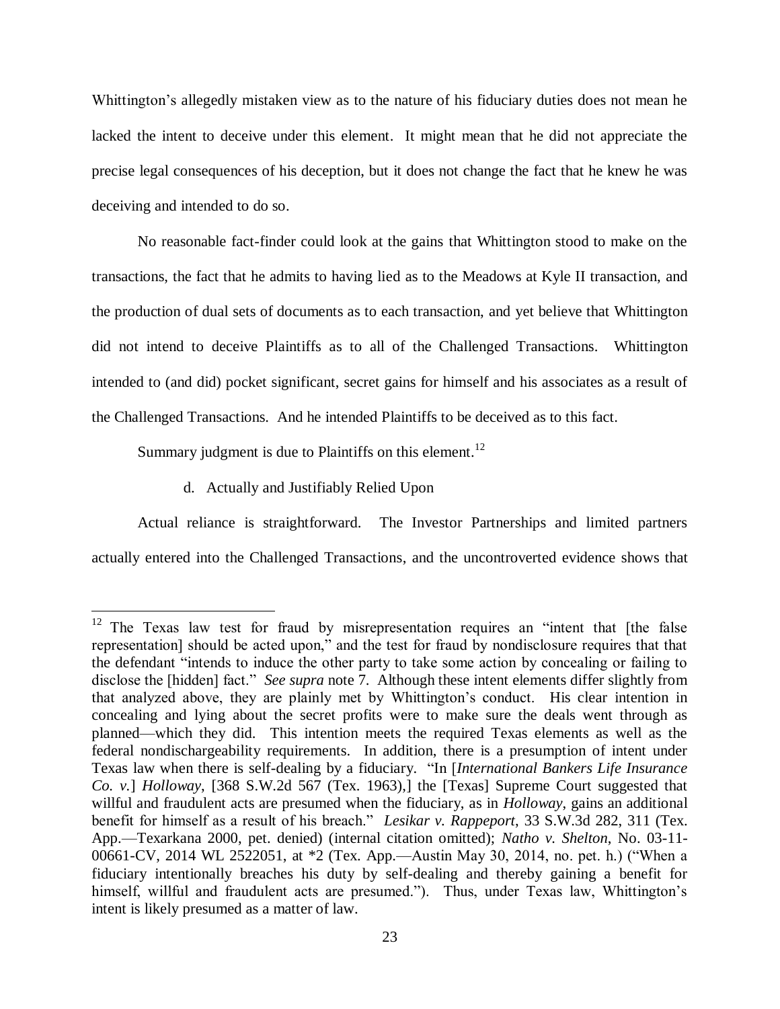Whittington's allegedly mistaken view as to the nature of his fiduciary duties does not mean he lacked the intent to deceive under this element. It might mean that he did not appreciate the precise legal consequences of his deception, but it does not change the fact that he knew he was deceiving and intended to do so.

No reasonable fact-finder could look at the gains that Whittington stood to make on the transactions, the fact that he admits to having lied as to the Meadows at Kyle II transaction, and the production of dual sets of documents as to each transaction, and yet believe that Whittington did not intend to deceive Plaintiffs as to all of the Challenged Transactions. Whittington intended to (and did) pocket significant, secret gains for himself and his associates as a result of the Challenged Transactions. And he intended Plaintiffs to be deceived as to this fact.

Summary judgment is due to Plaintiffs on this element.<sup>12</sup>

d. Actually and Justifiably Relied Upon

 $\overline{a}$ 

Actual reliance is straightforward. The Investor Partnerships and limited partners actually entered into the Challenged Transactions, and the uncontroverted evidence shows that

 $12$  The Texas law test for fraud by misrepresentation requires an "intent that [the false representation] should be acted upon," and the test for fraud by nondisclosure requires that that the defendant "intends to induce the other party to take some action by concealing or failing to disclose the [hidden] fact." *See supra* note 7. Although these intent elements differ slightly from that analyzed above, they are plainly met by Whittington's conduct. His clear intention in concealing and lying about the secret profits were to make sure the deals went through as planned—which they did. This intention meets the required Texas elements as well as the federal nondischargeability requirements. In addition, there is a presumption of intent under Texas law when there is self-dealing by a fiduciary. "In [*International Bankers Life Insurance Co. v.*] *Holloway*, [368 S.W.2d 567 (Tex. 1963),] the [Texas] Supreme Court suggested that willful and fraudulent acts are presumed when the fiduciary, as in *Holloway*, gains an additional benefit for himself as a result of his breach." *Lesikar v. Rappeport*, 33 S.W.3d 282, 311 (Tex. App.—Texarkana 2000, pet. denied) (internal citation omitted); *Natho v. Shelton*, No. 03-11- 00661-CV, 2014 WL 2522051, at \*2 (Tex. App.—Austin May 30, 2014, no. pet. h.) ("When a fiduciary intentionally breaches his duty by self-dealing and thereby gaining a benefit for himself, willful and fraudulent acts are presumed."). Thus, under Texas law, Whittington's intent is likely presumed as a matter of law.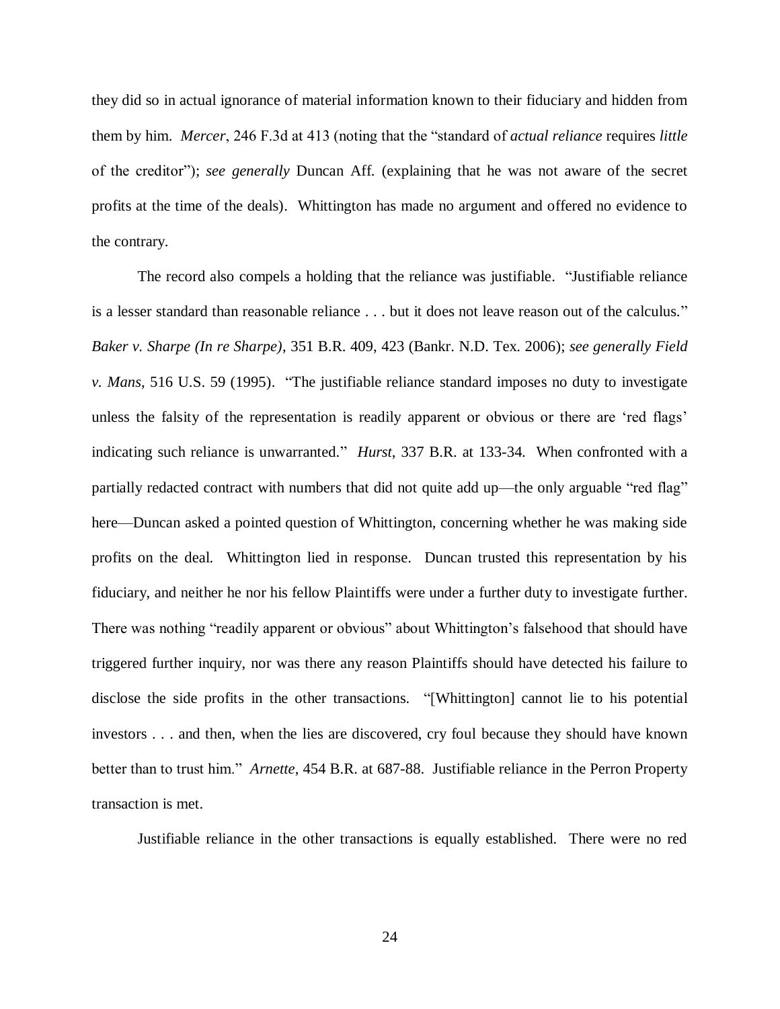they did so in actual ignorance of material information known to their fiduciary and hidden from them by him. *Mercer*, 246 F.3d at 413 (noting that the "standard of *actual reliance* requires *little* of the creditor"); *see generally* Duncan Aff. (explaining that he was not aware of the secret profits at the time of the deals). Whittington has made no argument and offered no evidence to the contrary.

The record also compels a holding that the reliance was justifiable. "Justifiable reliance is a lesser standard than reasonable reliance . . . but it does not leave reason out of the calculus." *Baker v. Sharpe (In re Sharpe)*, 351 B.R. 409, 423 (Bankr. N.D. Tex. 2006); *see generally Field v. Mans*, 516 U.S. 59 (1995). "The justifiable reliance standard imposes no duty to investigate unless the falsity of the representation is readily apparent or obvious or there are 'red flags' indicating such reliance is unwarranted." *Hurst*, 337 B.R. at 133-34. When confronted with a partially redacted contract with numbers that did not quite add up—the only arguable "red flag" here—Duncan asked a pointed question of Whittington, concerning whether he was making side profits on the deal. Whittington lied in response. Duncan trusted this representation by his fiduciary, and neither he nor his fellow Plaintiffs were under a further duty to investigate further. There was nothing "readily apparent or obvious" about Whittington's falsehood that should have triggered further inquiry, nor was there any reason Plaintiffs should have detected his failure to disclose the side profits in the other transactions. "[Whittington] cannot lie to his potential investors . . . and then, when the lies are discovered, cry foul because they should have known better than to trust him." *Arnette*, 454 B.R. at 687-88. Justifiable reliance in the Perron Property transaction is met.

Justifiable reliance in the other transactions is equally established. There were no red

24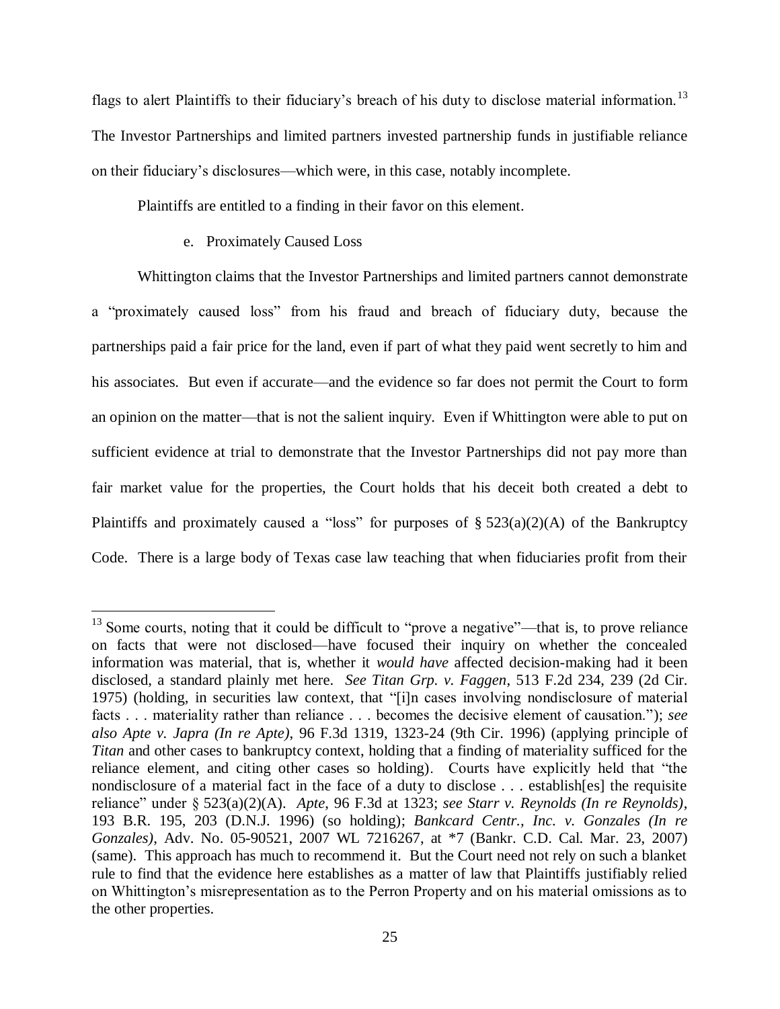flags to alert Plaintiffs to their fiduciary's breach of his duty to disclose material information.<sup>13</sup> The Investor Partnerships and limited partners invested partnership funds in justifiable reliance on their fiduciary's disclosures—which were, in this case, notably incomplete.

Plaintiffs are entitled to a finding in their favor on this element.

e. Proximately Caused Loss

 $\overline{a}$ 

Whittington claims that the Investor Partnerships and limited partners cannot demonstrate a "proximately caused loss" from his fraud and breach of fiduciary duty, because the partnerships paid a fair price for the land, even if part of what they paid went secretly to him and his associates. But even if accurate—and the evidence so far does not permit the Court to form an opinion on the matter—that is not the salient inquiry. Even if Whittington were able to put on sufficient evidence at trial to demonstrate that the Investor Partnerships did not pay more than fair market value for the properties, the Court holds that his deceit both created a debt to Plaintiffs and proximately caused a "loss" for purposes of  $\S 523(a)(2)(A)$  of the Bankruptcy Code. There is a large body of Texas case law teaching that when fiduciaries profit from their

<sup>&</sup>lt;sup>13</sup> Some courts, noting that it could be difficult to "prove a negative"—that is, to prove reliance on facts that were not disclosed—have focused their inquiry on whether the concealed information was material, that is, whether it *would have* affected decision-making had it been disclosed, a standard plainly met here. *See Titan Grp. v. Faggen*, 513 F.2d 234, 239 (2d Cir. 1975) (holding, in securities law context, that "[i]n cases involving nondisclosure of material facts . . . materiality rather than reliance . . . becomes the decisive element of causation."); *see also Apte v. Japra (In re Apte)*, 96 F.3d 1319, 1323-24 (9th Cir. 1996) (applying principle of *Titan* and other cases to bankruptcy context, holding that a finding of materiality sufficed for the reliance element, and citing other cases so holding). Courts have explicitly held that "the nondisclosure of a material fact in the face of a duty to disclose . . . establish[es] the requisite reliance" under § 523(a)(2)(A). *Apte*, 96 F.3d at 1323; *see Starr v. Reynolds (In re Reynolds)*, 193 B.R. 195, 203 (D.N.J. 1996) (so holding); *Bankcard Centr., Inc. v. Gonzales (In re Gonzales)*, Adv. No. 05-90521, 2007 WL 7216267, at \*7 (Bankr. C.D. Cal. Mar. 23, 2007) (same). This approach has much to recommend it. But the Court need not rely on such a blanket rule to find that the evidence here establishes as a matter of law that Plaintiffs justifiably relied on Whittington's misrepresentation as to the Perron Property and on his material omissions as to the other properties.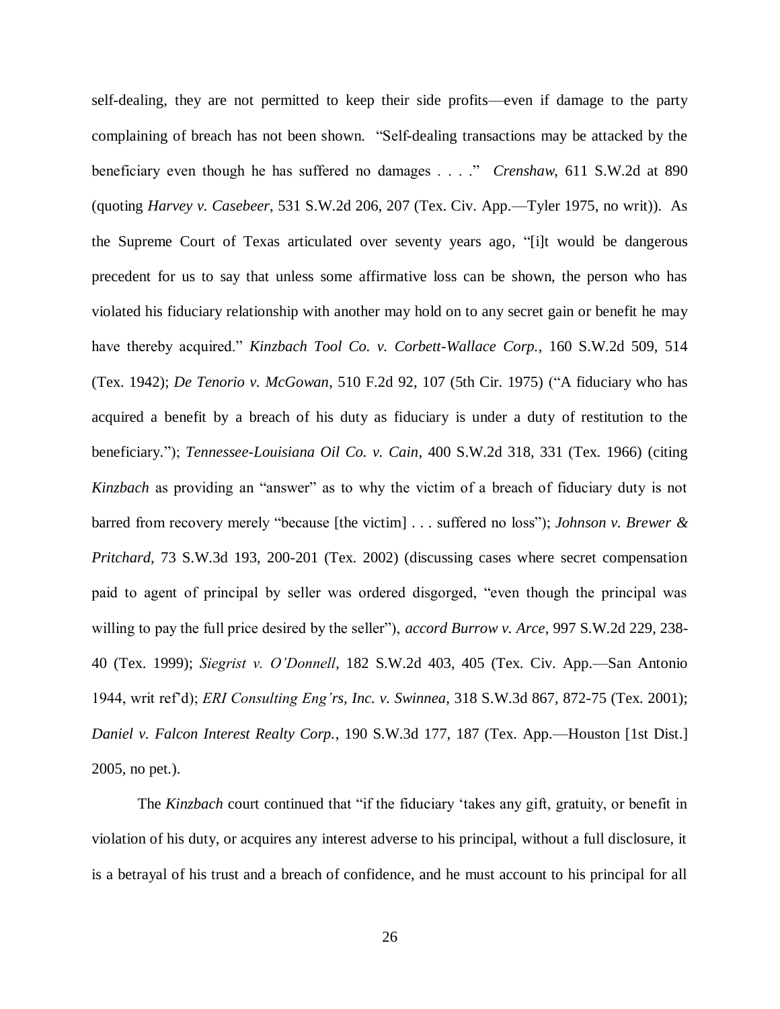self-dealing, they are not permitted to keep their side profits—even if damage to the party complaining of breach has not been shown. "Self-dealing transactions may be attacked by the beneficiary even though he has suffered no damages . . . ." *Crenshaw*, 611 S.W.2d at 890 (quoting *Harvey v. Casebeer*, 531 S.W.2d 206, 207 (Tex. Civ. App.—Tyler 1975, no writ)). As the Supreme Court of Texas articulated over seventy years ago, "[i]t would be dangerous precedent for us to say that unless some affirmative loss can be shown, the person who has violated his fiduciary relationship with another may hold on to any secret gain or benefit he may have thereby acquired." *Kinzbach Tool Co. v. Corbett-Wallace Corp.*, 160 S.W.2d 509, 514 (Tex. 1942); *De Tenorio v. McGowan*, 510 F.2d 92, 107 (5th Cir. 1975) ("A fiduciary who has acquired a benefit by a breach of his duty as fiduciary is under a duty of restitution to the beneficiary."); *Tennessee-Louisiana Oil Co. v. Cain*, 400 S.W.2d 318, 331 (Tex. 1966) (citing *Kinzbach* as providing an "answer" as to why the victim of a breach of fiduciary duty is not barred from recovery merely "because [the victim] . . . suffered no loss"); *Johnson v. Brewer & Pritchard*, 73 S.W.3d 193, 200-201 (Tex. 2002) (discussing cases where secret compensation paid to agent of principal by seller was ordered disgorged, "even though the principal was willing to pay the full price desired by the seller"), *accord Burrow v. Arce*, 997 S.W.2d 229, 238- 40 (Tex. 1999); *Siegrist v. O'Donnell*, 182 S.W.2d 403, 405 (Tex. Civ. App.—San Antonio 1944, writ ref'd); *ERI Consulting Eng'rs, Inc. v. Swinnea*, 318 S.W.3d 867, 872-75 (Tex. 2001); *Daniel v. Falcon Interest Realty Corp.*, 190 S.W.3d 177, 187 (Tex. App.—Houston [1st Dist.] 2005, no pet.).

The *Kinzbach* court continued that "if the fiduciary 'takes any gift, gratuity, or benefit in violation of his duty, or acquires any interest adverse to his principal, without a full disclosure, it is a betrayal of his trust and a breach of confidence, and he must account to his principal for all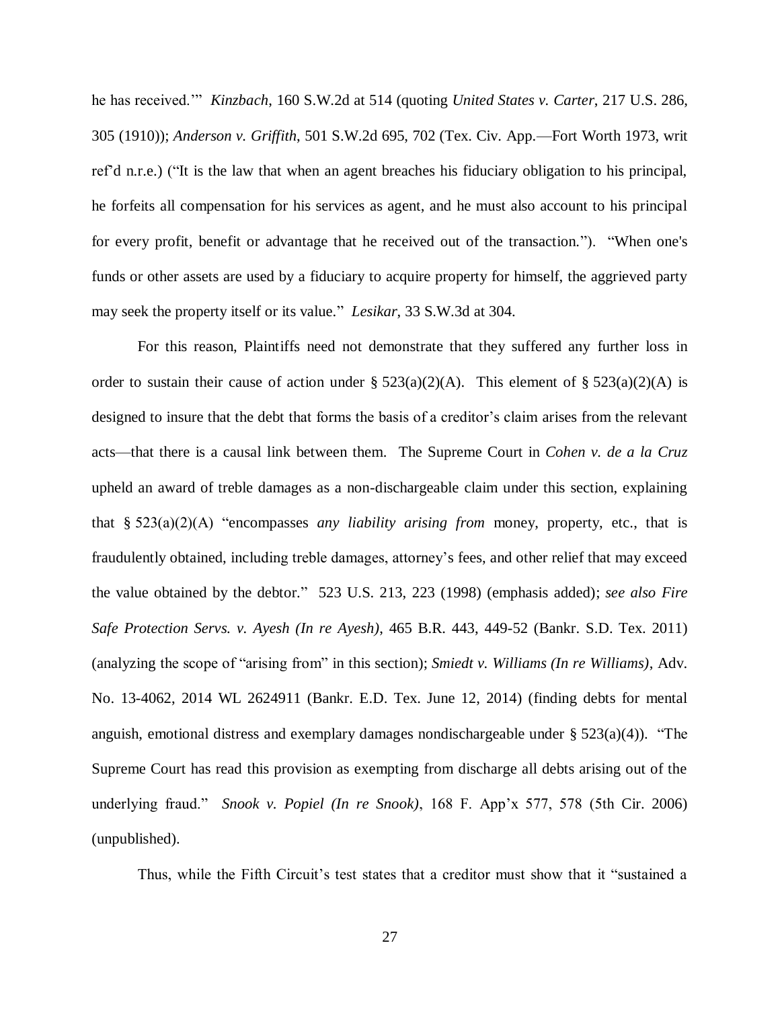he has received.'" *Kinzbach*, 160 S.W.2d at 514 (quoting *United States v. Carter*, 217 U.S. 286, 305 (1910)); *Anderson v. Griffith*, 501 S.W.2d 695, 702 (Tex. Civ. App.—Fort Worth 1973, writ ref'd n.r.e.) ("It is the law that when an agent breaches his fiduciary obligation to his principal, he forfeits all compensation for his services as agent, and he must also account to his principal for every profit, benefit or advantage that he received out of the transaction."). "When one's funds or other assets are used by a fiduciary to acquire property for himself, the aggrieved party may seek the property itself or its value." *Lesikar*, 33 S.W.3d at 304.

For this reason, Plaintiffs need not demonstrate that they suffered any further loss in order to sustain their cause of action under §  $523(a)(2)(A)$ . This element of §  $523(a)(2)(A)$  is designed to insure that the debt that forms the basis of a creditor's claim arises from the relevant acts—that there is a causal link between them. The Supreme Court in *Cohen v. de a la Cruz* upheld an award of treble damages as a non-dischargeable claim under this section, explaining that § 523(a)(2)(A) "encompasses *any liability arising from* money, property, etc., that is fraudulently obtained, including treble damages, attorney's fees, and other relief that may exceed the value obtained by the debtor." 523 U.S. 213, 223 (1998) (emphasis added); *see also Fire Safe Protection Servs. v. Ayesh (In re Ayesh)*, 465 B.R. 443, 449-52 (Bankr. S.D. Tex. 2011) (analyzing the scope of "arising from" in this section); *Smiedt v. Williams (In re Williams)*, Adv. No. 13-4062, 2014 WL 2624911 (Bankr. E.D. Tex. June 12, 2014) (finding debts for mental anguish, emotional distress and exemplary damages nondischargeable under  $\S 523(a)(4)$ . "The Supreme Court has read this provision as exempting from discharge all debts arising out of the underlying fraud." *Snook v. Popiel (In re Snook)*, 168 F. App'x 577, 578 (5th Cir. 2006) (unpublished).

Thus, while the Fifth Circuit's test states that a creditor must show that it "sustained a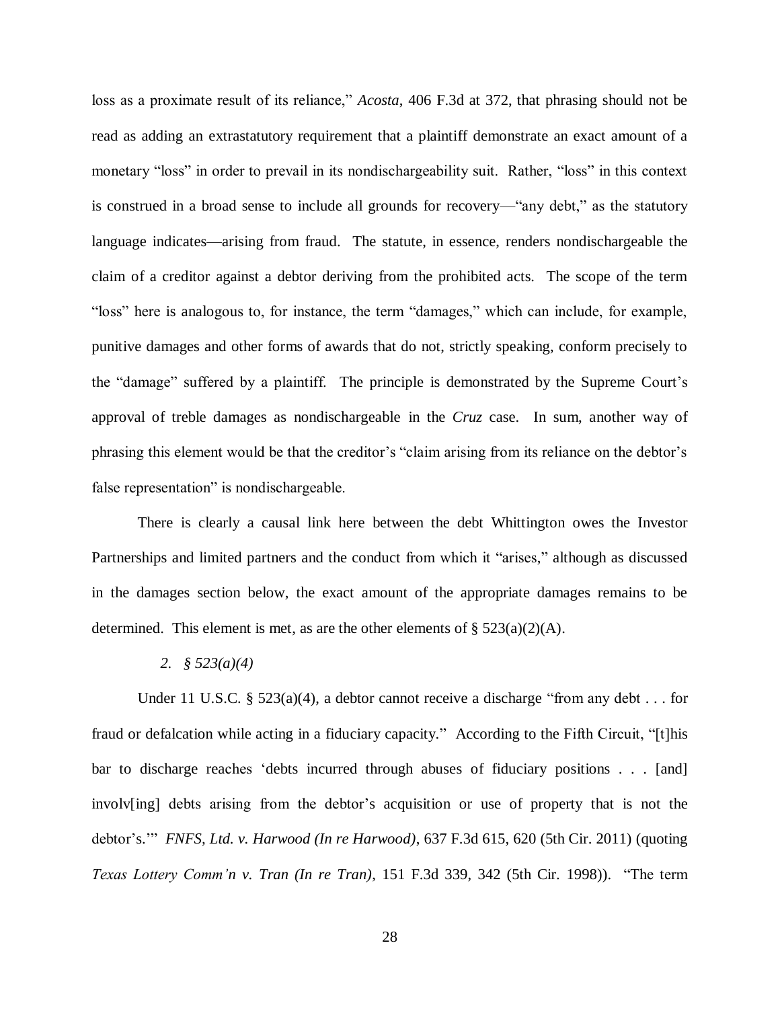loss as a proximate result of its reliance," *Acosta*, 406 F.3d at 372, that phrasing should not be read as adding an extrastatutory requirement that a plaintiff demonstrate an exact amount of a monetary "loss" in order to prevail in its nondischargeability suit. Rather, "loss" in this context is construed in a broad sense to include all grounds for recovery—"any debt," as the statutory language indicates—arising from fraud. The statute, in essence, renders nondischargeable the claim of a creditor against a debtor deriving from the prohibited acts. The scope of the term "loss" here is analogous to, for instance, the term "damages," which can include, for example, punitive damages and other forms of awards that do not, strictly speaking, conform precisely to the "damage" suffered by a plaintiff. The principle is demonstrated by the Supreme Court's approval of treble damages as nondischargeable in the *Cruz* case. In sum, another way of phrasing this element would be that the creditor's "claim arising from its reliance on the debtor's false representation" is nondischargeable.

There is clearly a causal link here between the debt Whittington owes the Investor Partnerships and limited partners and the conduct from which it "arises," although as discussed in the damages section below, the exact amount of the appropriate damages remains to be determined. This element is met, as are the other elements of  $\S$  523(a)(2)(A).

#### *2. § 523(a)(4)*

Under 11 U.S.C. § 523(a)(4), a debtor cannot receive a discharge "from any debt  $\dots$  for fraud or defalcation while acting in a fiduciary capacity." According to the Fifth Circuit, "[t]his bar to discharge reaches 'debts incurred through abuses of fiduciary positions . . . [and] involv[ing] debts arising from the debtor's acquisition or use of property that is not the debtor's.'" *FNFS, Ltd. v. Harwood (In re Harwood)*, 637 F.3d 615, 620 (5th Cir. 2011) (quoting *Texas Lottery Comm'n v. Tran (In re Tran)*, 151 F.3d 339, 342 (5th Cir. 1998)). "The term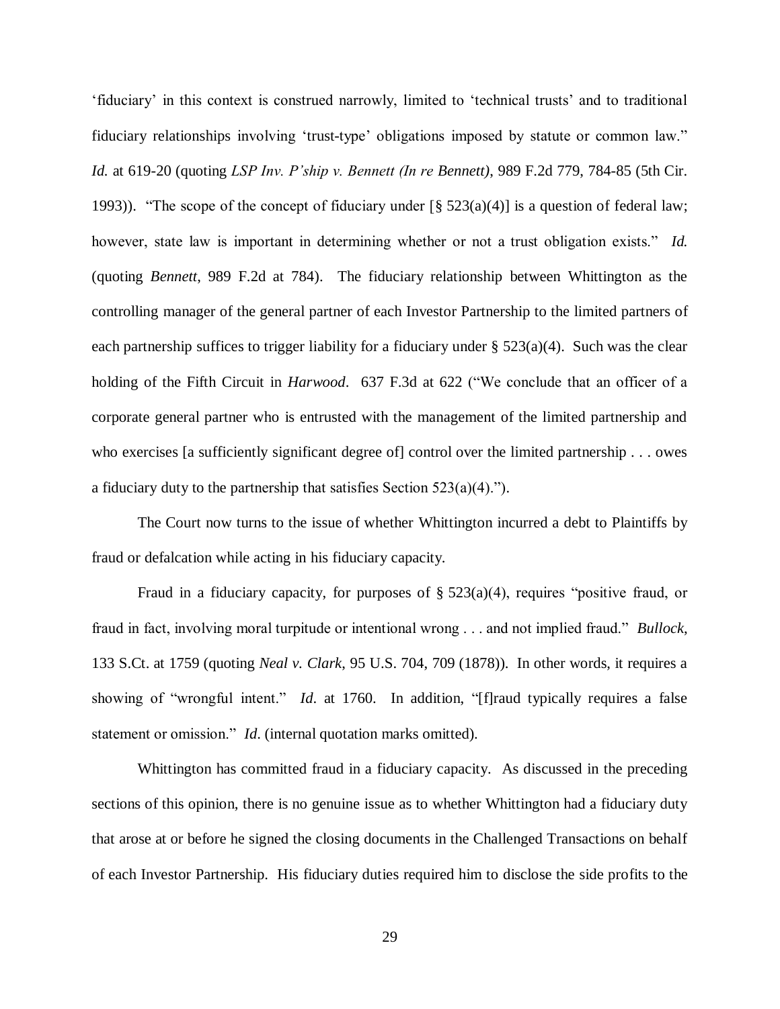'fiduciary' in this context is construed narrowly, limited to 'technical trusts' and to traditional fiduciary relationships involving 'trust-type' obligations imposed by statute or common law." *Id.* at 619-20 (quoting *LSP Inv. P'ship v. Bennett (In re Bennett)*, 989 F.2d 779, 784-85 (5th Cir. 1993)). "The scope of the concept of fiduciary under  $\lceil \frac{8}{5} \cdot 523(a)(4) \rceil$  is a question of federal law; however, state law is important in determining whether or not a trust obligation exists." *Id.* (quoting *Bennett*, 989 F.2d at 784). The fiduciary relationship between Whittington as the controlling manager of the general partner of each Investor Partnership to the limited partners of each partnership suffices to trigger liability for a fiduciary under § 523(a)(4). Such was the clear holding of the Fifth Circuit in *Harwood*. 637 F.3d at 622 ("We conclude that an officer of a corporate general partner who is entrusted with the management of the limited partnership and who exercises [a sufficiently significant degree of] control over the limited partnership . . . owes a fiduciary duty to the partnership that satisfies Section  $523(a)(4)$ .").

The Court now turns to the issue of whether Whittington incurred a debt to Plaintiffs by fraud or defalcation while acting in his fiduciary capacity.

Fraud in a fiduciary capacity, for purposes of  $\S$  523(a)(4), requires "positive fraud, or fraud in fact, involving moral turpitude or intentional wrong . . . and not implied fraud." *Bullock*, 133 S.Ct. at 1759 (quoting *Neal v. Clark*, 95 U.S. 704, 709 (1878)). In other words, it requires a showing of "wrongful intent." *Id*. at 1760. In addition, "[f]raud typically requires a false statement or omission." *Id*. (internal quotation marks omitted).

Whittington has committed fraud in a fiduciary capacity. As discussed in the preceding sections of this opinion, there is no genuine issue as to whether Whittington had a fiduciary duty that arose at or before he signed the closing documents in the Challenged Transactions on behalf of each Investor Partnership. His fiduciary duties required him to disclose the side profits to the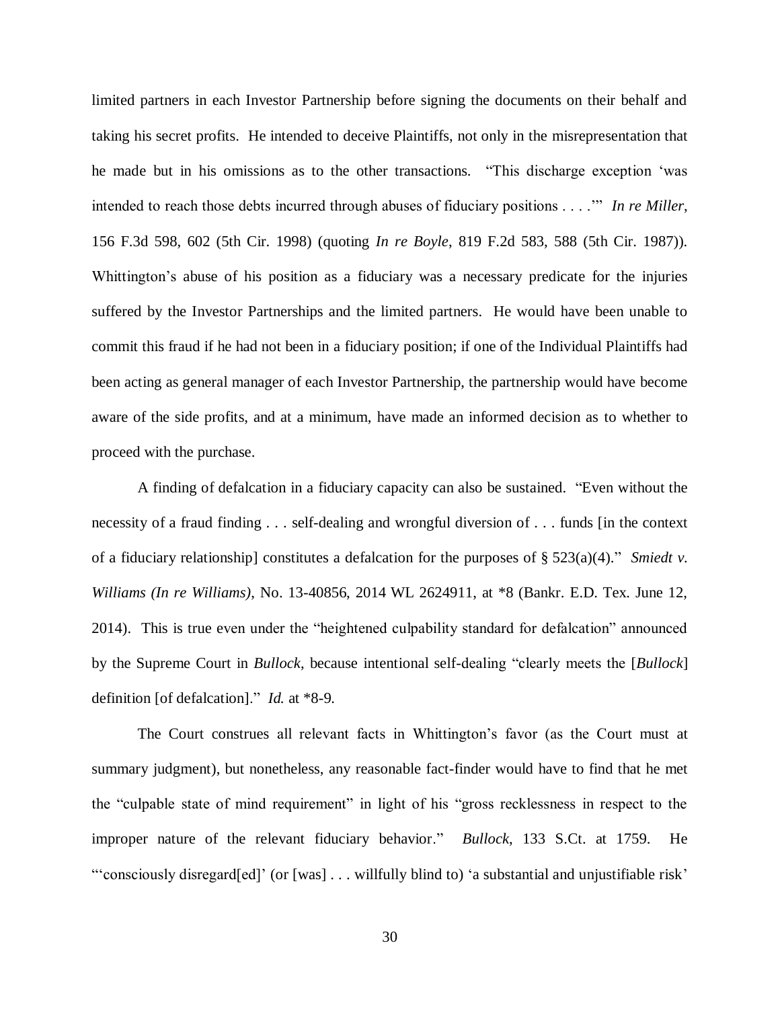limited partners in each Investor Partnership before signing the documents on their behalf and taking his secret profits. He intended to deceive Plaintiffs, not only in the misrepresentation that he made but in his omissions as to the other transactions. "This discharge exception 'was intended to reach those debts incurred through abuses of fiduciary positions . . . .'" *In re Miller*, 156 F.3d 598, 602 (5th Cir. 1998) (quoting *In re Boyle*, 819 F.2d 583, 588 (5th Cir. 1987)). Whittington's abuse of his position as a fiduciary was a necessary predicate for the injuries suffered by the Investor Partnerships and the limited partners. He would have been unable to commit this fraud if he had not been in a fiduciary position; if one of the Individual Plaintiffs had been acting as general manager of each Investor Partnership, the partnership would have become aware of the side profits, and at a minimum, have made an informed decision as to whether to proceed with the purchase.

A finding of defalcation in a fiduciary capacity can also be sustained. "Even without the necessity of a fraud finding . . . self-dealing and wrongful diversion of . . . funds [in the context of a fiduciary relationship] constitutes a defalcation for the purposes of § 523(a)(4)." *Smiedt v. Williams (In re Williams)*, No. 13-40856, 2014 WL 2624911, at \*8 (Bankr. E.D. Tex. June 12, 2014). This is true even under the "heightened culpability standard for defalcation" announced by the Supreme Court in *Bullock*, because intentional self-dealing "clearly meets the [*Bullock*] definition [of defalcation]." *Id.* at \*8-9.

The Court construes all relevant facts in Whittington's favor (as the Court must at summary judgment), but nonetheless, any reasonable fact-finder would have to find that he met the "culpable state of mind requirement" in light of his "gross recklessness in respect to the improper nature of the relevant fiduciary behavior." *Bullock*, 133 S.Ct. at 1759. He "'consciously disregard[ed]' (or [was] . . . willfully blind to) 'a substantial and unjustifiable risk'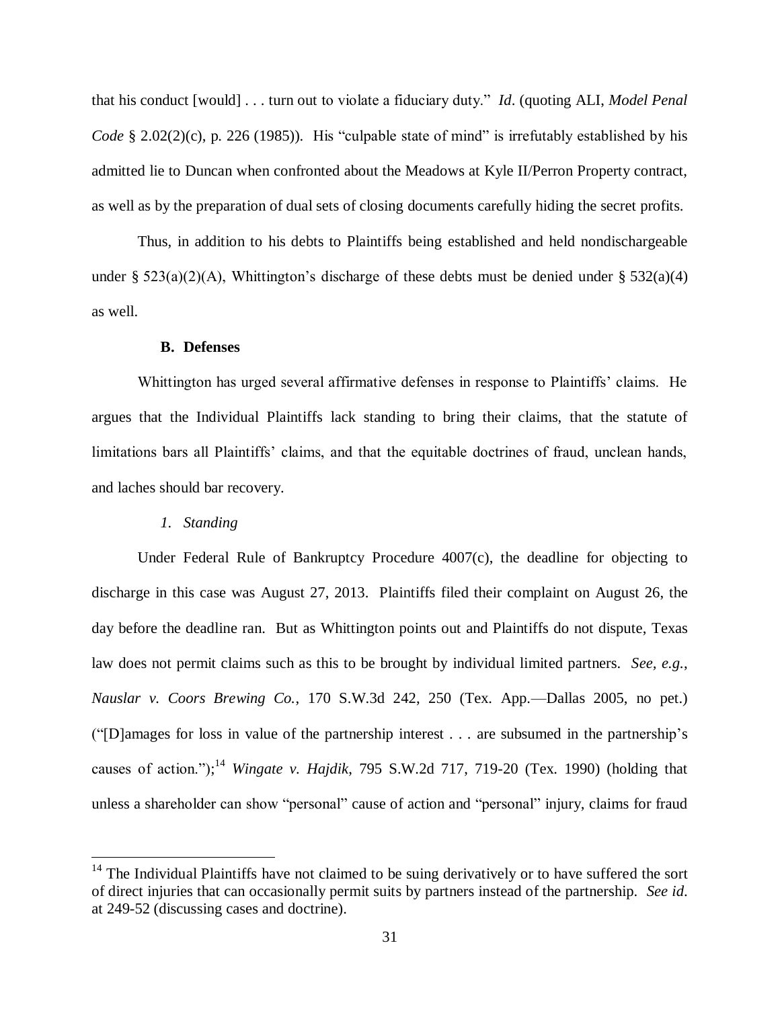that his conduct [would] . . . turn out to violate a fiduciary duty." *Id*. (quoting ALI, *Model Penal Code* § 2.02(2)(c), p. 226 (1985)). His "culpable state of mind" is irrefutably established by his admitted lie to Duncan when confronted about the Meadows at Kyle II/Perron Property contract, as well as by the preparation of dual sets of closing documents carefully hiding the secret profits.

Thus, in addition to his debts to Plaintiffs being established and held nondischargeable under § 523(a)(2)(A), Whittington's discharge of these debts must be denied under § 532(a)(4) as well.

#### **B. Defenses**

Whittington has urged several affirmative defenses in response to Plaintiffs' claims. He argues that the Individual Plaintiffs lack standing to bring their claims, that the statute of limitations bars all Plaintiffs' claims, and that the equitable doctrines of fraud, unclean hands, and laches should bar recovery.

## *1. Standing*

 $\overline{a}$ 

Under Federal Rule of Bankruptcy Procedure 4007(c), the deadline for objecting to discharge in this case was August 27, 2013. Plaintiffs filed their complaint on August 26, the day before the deadline ran. But as Whittington points out and Plaintiffs do not dispute, Texas law does not permit claims such as this to be brought by individual limited partners. *See, e.g.*, *Nauslar v. Coors Brewing Co.*, 170 S.W.3d 242, 250 (Tex. App.—Dallas 2005, no pet.) ("[D]amages for loss in value of the partnership interest . . . are subsumed in the partnership's causes of action.");<sup>14</sup> *Wingate v. Hajdik*, 795 S.W.2d 717, 719-20 (Tex. 1990) (holding that unless a shareholder can show "personal" cause of action and "personal" injury, claims for fraud

 $14$  The Individual Plaintiffs have not claimed to be suing derivatively or to have suffered the sort of direct injuries that can occasionally permit suits by partners instead of the partnership. *See id*. at 249-52 (discussing cases and doctrine).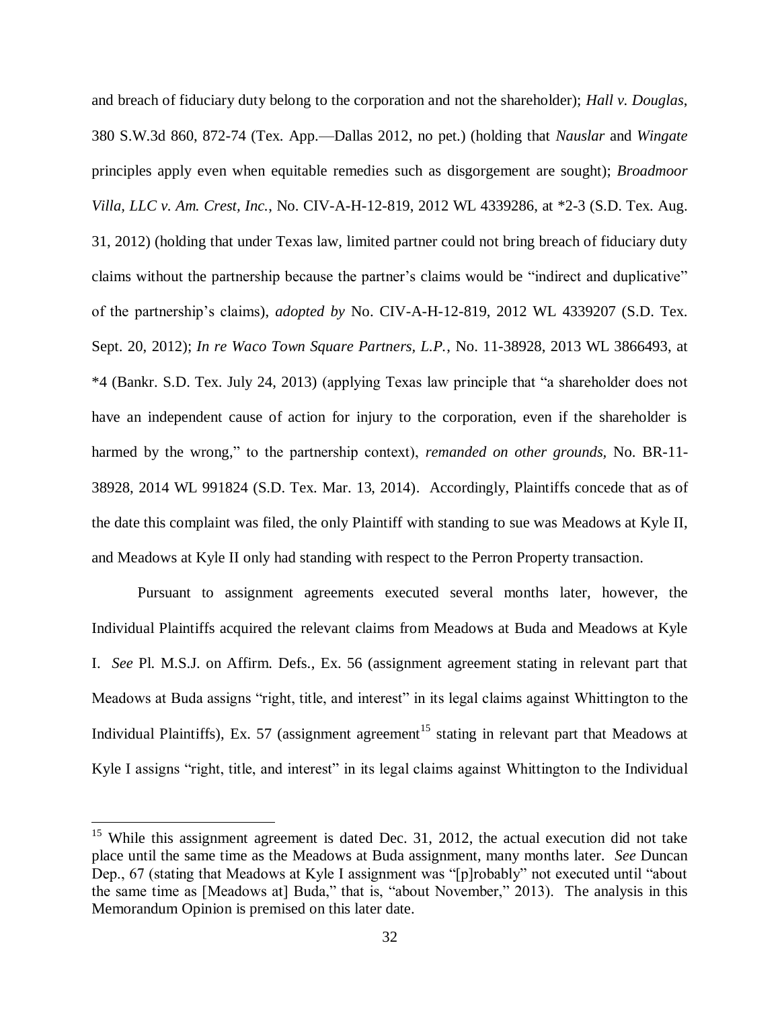and breach of fiduciary duty belong to the corporation and not the shareholder); *Hall v. Douglas*, 380 S.W.3d 860, 872-74 (Tex. App.—Dallas 2012, no pet.) (holding that *Nauslar* and *Wingate* principles apply even when equitable remedies such as disgorgement are sought); *Broadmoor Villa, LLC v. Am. Crest, Inc.*, No. CIV-A-H-12-819, 2012 WL 4339286, at \*2-3 (S.D. Tex. Aug. 31, 2012) (holding that under Texas law, limited partner could not bring breach of fiduciary duty claims without the partnership because the partner's claims would be "indirect and duplicative" of the partnership's claims), *adopted by* No. CIV-A-H-12-819, 2012 WL 4339207 (S.D. Tex. Sept. 20, 2012); *In re Waco Town Square Partners, L.P.*, No. 11-38928, 2013 WL 3866493, at \*4 (Bankr. S.D. Tex. July 24, 2013) (applying Texas law principle that "a shareholder does not have an independent cause of action for injury to the corporation, even if the shareholder is harmed by the wrong," to the partnership context), *remanded on other grounds,* No. BR-11- 38928, 2014 WL 991824 (S.D. Tex. Mar. 13, 2014). Accordingly, Plaintiffs concede that as of the date this complaint was filed, the only Plaintiff with standing to sue was Meadows at Kyle II, and Meadows at Kyle II only had standing with respect to the Perron Property transaction.

Pursuant to assignment agreements executed several months later, however, the Individual Plaintiffs acquired the relevant claims from Meadows at Buda and Meadows at Kyle I. *See* Pl. M.S.J. on Affirm. Defs., Ex. 56 (assignment agreement stating in relevant part that Meadows at Buda assigns "right, title, and interest" in its legal claims against Whittington to the Individual Plaintiffs), Ex. 57 (assignment agreement<sup>15</sup> stating in relevant part that Meadows at Kyle I assigns "right, title, and interest" in its legal claims against Whittington to the Individual

 $\overline{a}$ 

<sup>&</sup>lt;sup>15</sup> While this assignment agreement is dated Dec. 31, 2012, the actual execution did not take place until the same time as the Meadows at Buda assignment, many months later. *See* Duncan Dep., 67 (stating that Meadows at Kyle I assignment was "[p]robably" not executed until "about the same time as [Meadows at] Buda," that is, "about November," 2013). The analysis in this Memorandum Opinion is premised on this later date.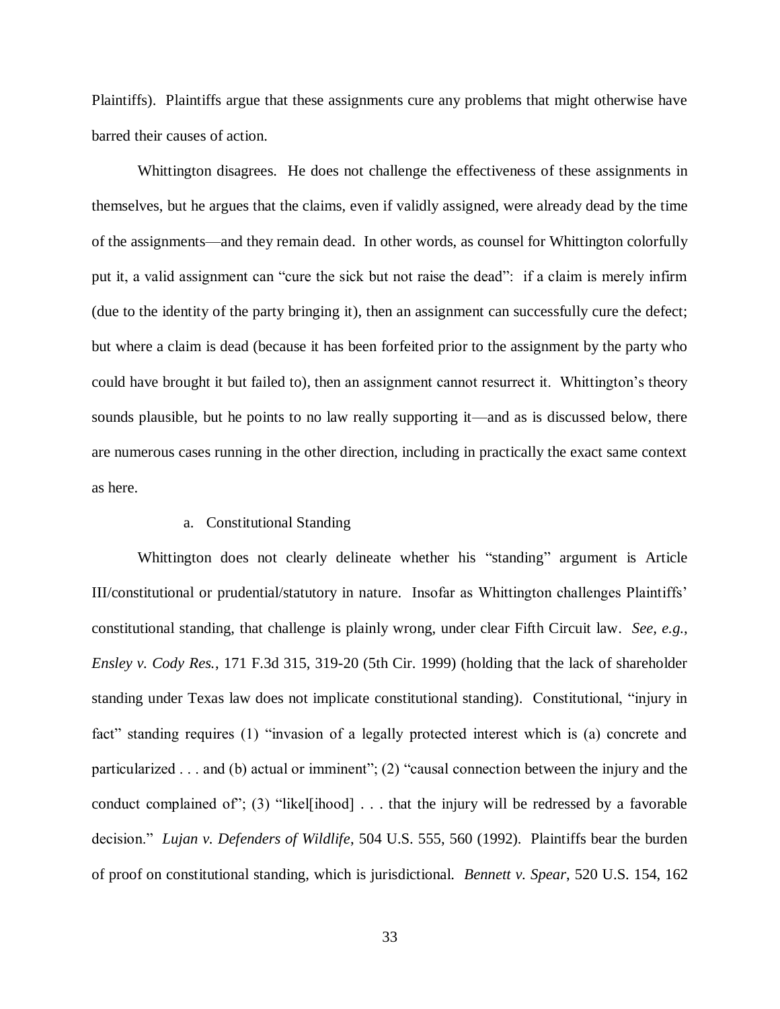Plaintiffs). Plaintiffs argue that these assignments cure any problems that might otherwise have barred their causes of action.

Whittington disagrees. He does not challenge the effectiveness of these assignments in themselves, but he argues that the claims, even if validly assigned, were already dead by the time of the assignments—and they remain dead. In other words, as counsel for Whittington colorfully put it, a valid assignment can "cure the sick but not raise the dead": if a claim is merely infirm (due to the identity of the party bringing it), then an assignment can successfully cure the defect; but where a claim is dead (because it has been forfeited prior to the assignment by the party who could have brought it but failed to), then an assignment cannot resurrect it. Whittington's theory sounds plausible, but he points to no law really supporting it—and as is discussed below, there are numerous cases running in the other direction, including in practically the exact same context as here.

#### a. Constitutional Standing

Whittington does not clearly delineate whether his "standing" argument is Article III/constitutional or prudential/statutory in nature. Insofar as Whittington challenges Plaintiffs' constitutional standing, that challenge is plainly wrong, under clear Fifth Circuit law. *See, e.g.*, *Ensley v. Cody Res.*, 171 F.3d 315, 319-20 (5th Cir. 1999) (holding that the lack of shareholder standing under Texas law does not implicate constitutional standing). Constitutional, "injury in fact" standing requires (1) "invasion of a legally protected interest which is (a) concrete and particularized . . . and (b) actual or imminent"; (2) "causal connection between the injury and the conduct complained of"; (3) "likel[ihood] . . . that the injury will be redressed by a favorable decision." *Lujan v. Defenders of Wildlife*, 504 U.S. 555, 560 (1992). Plaintiffs bear the burden of proof on constitutional standing, which is jurisdictional. *Bennett v. Spear*, 520 U.S. 154, 162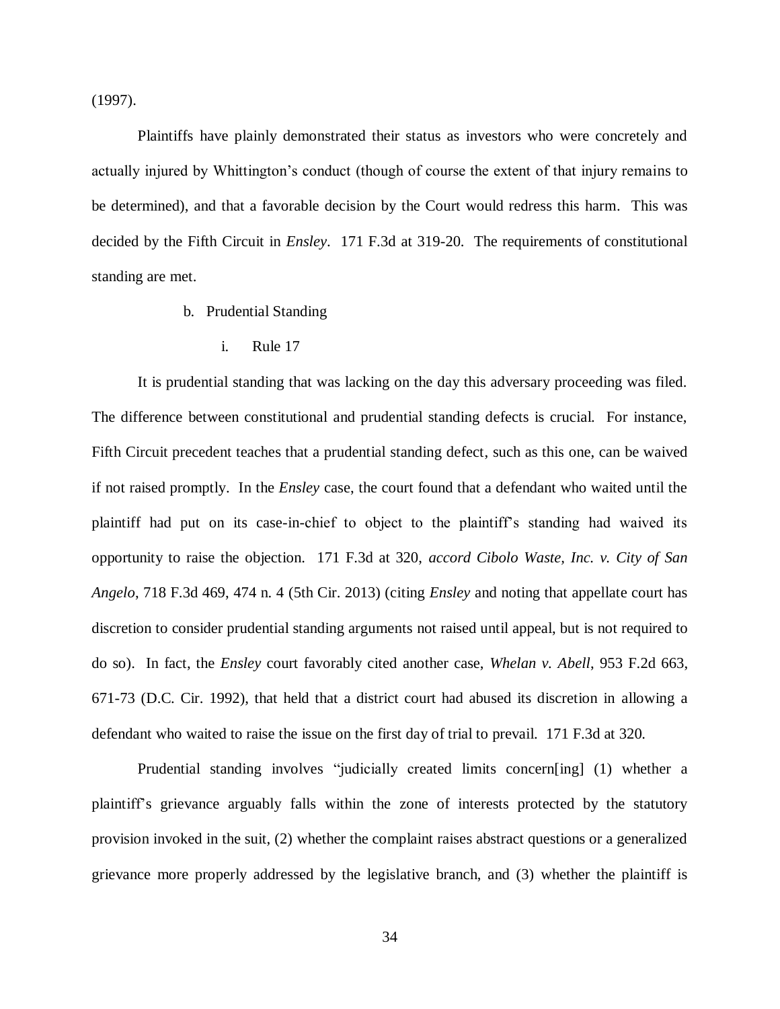(1997).

Plaintiffs have plainly demonstrated their status as investors who were concretely and actually injured by Whittington's conduct (though of course the extent of that injury remains to be determined), and that a favorable decision by the Court would redress this harm. This was decided by the Fifth Circuit in *Ensley*. 171 F.3d at 319-20. The requirements of constitutional standing are met.

- b. Prudential Standing
	- i. Rule 17

It is prudential standing that was lacking on the day this adversary proceeding was filed. The difference between constitutional and prudential standing defects is crucial. For instance, Fifth Circuit precedent teaches that a prudential standing defect, such as this one, can be waived if not raised promptly. In the *Ensley* case, the court found that a defendant who waited until the plaintiff had put on its case-in-chief to object to the plaintiff's standing had waived its opportunity to raise the objection. 171 F.3d at 320, *accord Cibolo Waste, Inc. v. City of San Angelo*, 718 F.3d 469, 474 n. 4 (5th Cir. 2013) (citing *Ensley* and noting that appellate court has discretion to consider prudential standing arguments not raised until appeal, but is not required to do so). In fact, the *Ensley* court favorably cited another case, *Whelan v. Abell*, 953 F.2d 663, 671-73 (D.C. Cir. 1992), that held that a district court had abused its discretion in allowing a defendant who waited to raise the issue on the first day of trial to prevail. 171 F.3d at 320.

Prudential standing involves "judicially created limits concern[ing] (1) whether a plaintiff's grievance arguably falls within the zone of interests protected by the statutory provision invoked in the suit, (2) whether the complaint raises abstract questions or a generalized grievance more properly addressed by the legislative branch, and (3) whether the plaintiff is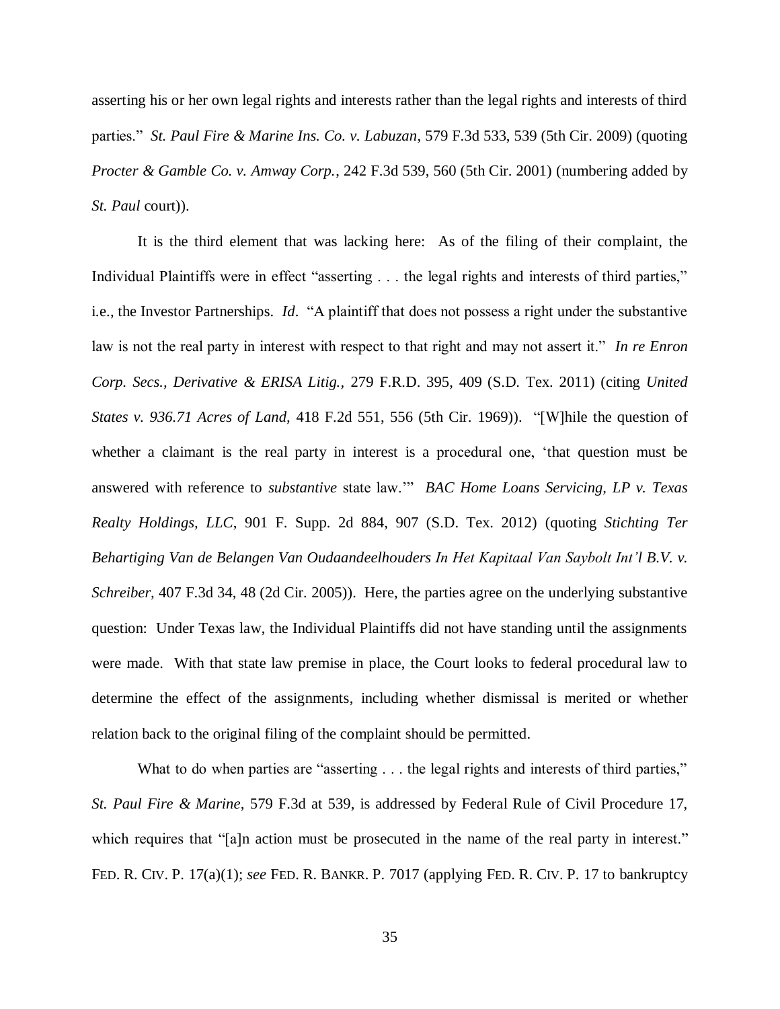asserting his or her own legal rights and interests rather than the legal rights and interests of third parties." *St. Paul Fire & Marine Ins. Co. v. Labuzan*, 579 F.3d 533, 539 (5th Cir. 2009) (quoting *Procter & Gamble Co. v. Amway Corp.*, 242 F.3d 539, 560 (5th Cir. 2001) (numbering added by *St. Paul* court)).

It is the third element that was lacking here: As of the filing of their complaint, the Individual Plaintiffs were in effect "asserting . . . the legal rights and interests of third parties," i.e., the Investor Partnerships. *Id*. "A plaintiff that does not possess a right under the substantive law is not the real party in interest with respect to that right and may not assert it." *In re Enron Corp. Secs., Derivative & ERISA Litig.,* 279 F.R.D. 395, 409 (S.D. Tex. 2011) (citing *United States v. 936.71 Acres of Land,* 418 F.2d 551, 556 (5th Cir. 1969)). "[W]hile the question of whether a claimant is the real party in interest is a procedural one, 'that question must be answered with reference to *substantive* state law.'" *BAC Home Loans Servicing, LP v. Texas Realty Holdings, LLC*, 901 F. Supp. 2d 884, 907 (S.D. Tex. 2012) (quoting *Stichting Ter Behartiging Van de Belangen Van Oudaandeelhouders In Het Kapitaal Van Saybolt Int'l B.V. v. Schreiber,* 407 F.3d 34, 48 (2d Cir. 2005)). Here, the parties agree on the underlying substantive question: Under Texas law, the Individual Plaintiffs did not have standing until the assignments were made. With that state law premise in place, the Court looks to federal procedural law to determine the effect of the assignments, including whether dismissal is merited or whether relation back to the original filing of the complaint should be permitted.

What to do when parties are "asserting . . . the legal rights and interests of third parties," *St. Paul Fire & Marine*, 579 F.3d at 539, is addressed by Federal Rule of Civil Procedure 17, which requires that "[a]n action must be prosecuted in the name of the real party in interest." FED. R. CIV. P. 17(a)(1); *see* FED. R. BANKR. P. 7017 (applying FED. R. CIV. P. 17 to bankruptcy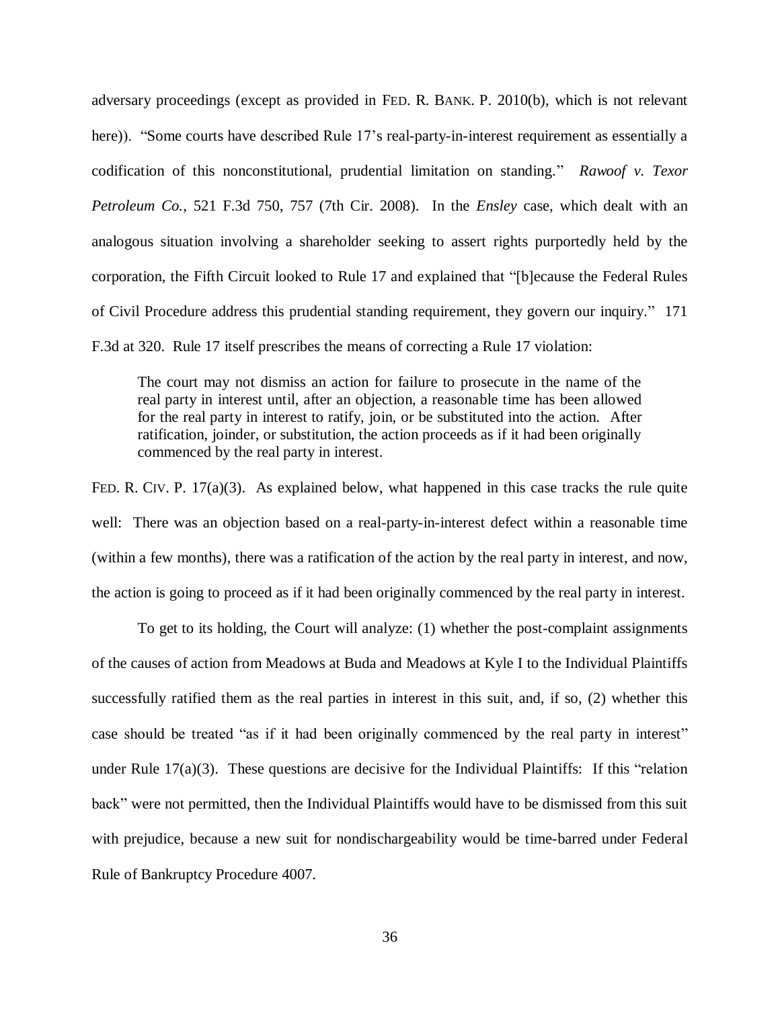adversary proceedings (except as provided in FED. R. BANK. P. 2010(b), which is not relevant here)). "Some courts have described Rule 17's real-party-in-interest requirement as essentially a codification of this nonconstitutional, prudential limitation on standing." *Rawoof v. Texor Petroleum Co.*, 521 F.3d 750, 757 (7th Cir. 2008). In the *Ensley* case, which dealt with an analogous situation involving a shareholder seeking to assert rights purportedly held by the corporation, the Fifth Circuit looked to Rule 17 and explained that "[b]ecause the Federal Rules of Civil Procedure address this prudential standing requirement, they govern our inquiry." 171

F.3d at 320. Rule 17 itself prescribes the means of correcting a Rule 17 violation:

The court may not dismiss an action for failure to prosecute in the name of the real party in interest until, after an objection, a reasonable time has been allowed for the real party in interest to ratify, join, or be substituted into the action. After ratification, joinder, or substitution, the action proceeds as if it had been originally commenced by the real party in interest.

FED. R. CIV. P. 17(a)(3). As explained below, what happened in this case tracks the rule quite well: There was an objection based on a real-party-in-interest defect within a reasonable time (within a few months), there was a ratification of the action by the real party in interest, and now, the action is going to proceed as if it had been originally commenced by the real party in interest.

To get to its holding, the Court will analyze: (1) whether the post-complaint assignments of the causes of action from Meadows at Buda and Meadows at Kyle I to the Individual Plaintiffs successfully ratified them as the real parties in interest in this suit, and, if so, (2) whether this case should be treated "as if it had been originally commenced by the real party in interest" under Rule  $17(a)(3)$ . These questions are decisive for the Individual Plaintiffs: If this "relation" back" were not permitted, then the Individual Plaintiffs would have to be dismissed from this suit with prejudice, because a new suit for nondischargeability would be time-barred under Federal Rule of Bankruptcy Procedure 4007.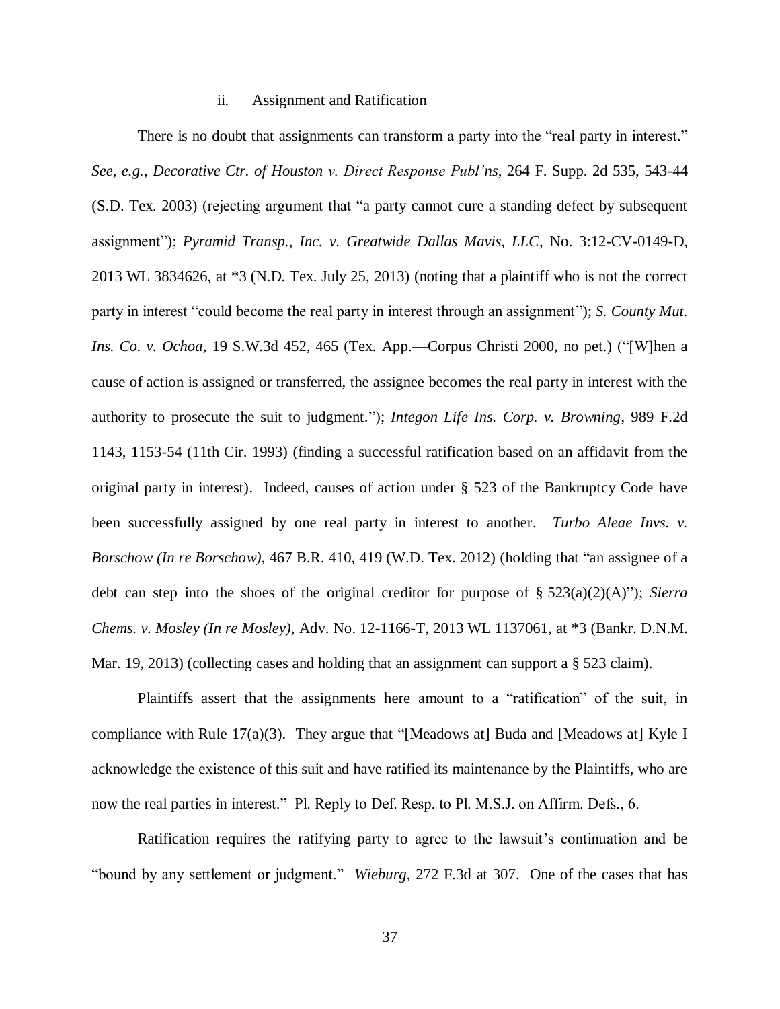#### ii. Assignment and Ratification

There is no doubt that assignments can transform a party into the "real party in interest." *See, e.g.*, *Decorative Ctr. of Houston v. Direct Response Publ'ns*, 264 F. Supp. 2d 535, 543-44 (S.D. Tex. 2003) (rejecting argument that "a party cannot cure a standing defect by subsequent assignment"); *Pyramid Transp., Inc. v. Greatwide Dallas Mavis, LLC*, No. 3:12-CV-0149-D, 2013 WL 3834626, at \*3 (N.D. Tex. July 25, 2013) (noting that a plaintiff who is not the correct party in interest "could become the real party in interest through an assignment"); *S. County Mut. Ins. Co. v. Ochoa*, 19 S.W.3d 452, 465 (Tex. App.—Corpus Christi 2000, no pet.) ("[W]hen a cause of action is assigned or transferred, the assignee becomes the real party in interest with the authority to prosecute the suit to judgment."); *Integon Life Ins. Corp. v. Browning*, 989 F.2d 1143, 1153-54 (11th Cir. 1993) (finding a successful ratification based on an affidavit from the original party in interest). Indeed, causes of action under § 523 of the Bankruptcy Code have been successfully assigned by one real party in interest to another. *Turbo Aleae Invs. v. Borschow (In re Borschow)*, 467 B.R. 410, 419 (W.D. Tex. 2012) (holding that "an assignee of a debt can step into the shoes of the original creditor for purpose of § 523(a)(2)(A)"); *Sierra Chems. v. Mosley (In re Mosley)*, Adv. No. 12-1166-T, 2013 WL 1137061, at \*3 (Bankr. D.N.M. Mar. 19, 2013) (collecting cases and holding that an assignment can support a § 523 claim).

Plaintiffs assert that the assignments here amount to a "ratification" of the suit, in compliance with Rule 17(a)(3). They argue that "[Meadows at] Buda and [Meadows at] Kyle I acknowledge the existence of this suit and have ratified its maintenance by the Plaintiffs, who are now the real parties in interest." Pl. Reply to Def. Resp. to Pl. M.S.J. on Affirm. Defs., 6.

Ratification requires the ratifying party to agree to the lawsuit's continuation and be "bound by any settlement or judgment." *Wieburg*, 272 F.3d at 307. One of the cases that has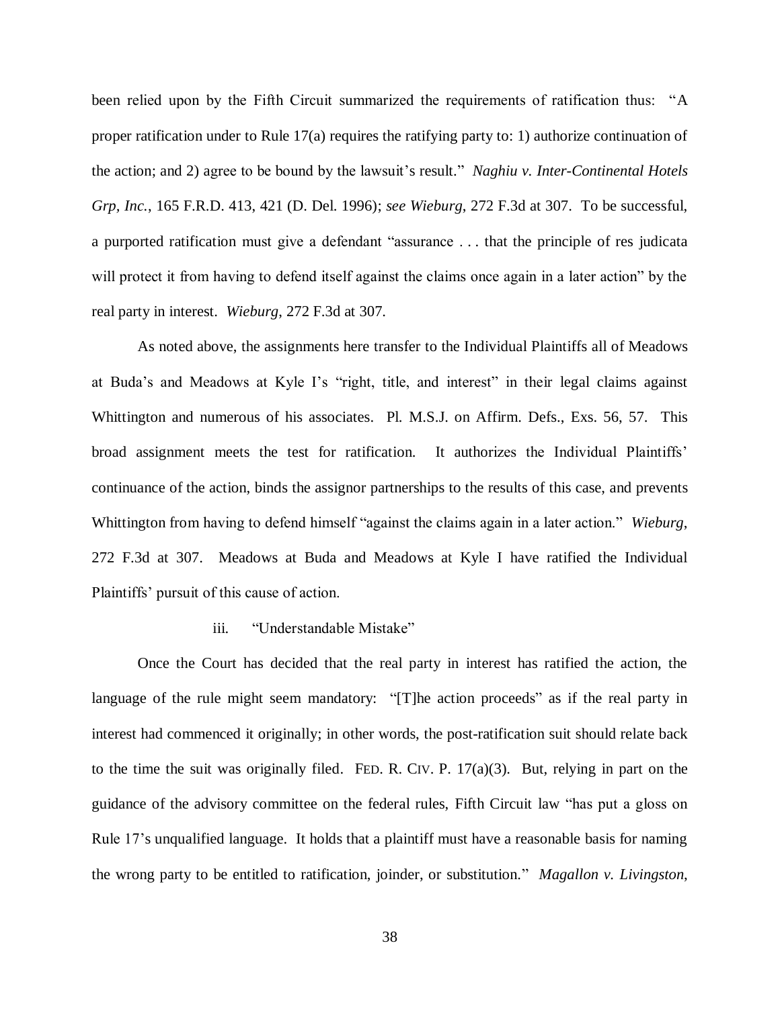been relied upon by the Fifth Circuit summarized the requirements of ratification thus: "A proper ratification under to Rule 17(a) requires the ratifying party to: 1) authorize continuation of the action; and 2) agree to be bound by the lawsuit's result." *Naghiu v. Inter-Continental Hotels Grp, Inc.*, 165 F.R.D. 413, 421 (D. Del. 1996); *see Wieburg*, 272 F.3d at 307. To be successful, a purported ratification must give a defendant "assurance . . . that the principle of res judicata will protect it from having to defend itself against the claims once again in a later action" by the real party in interest. *Wieburg*, 272 F.3d at 307.

As noted above, the assignments here transfer to the Individual Plaintiffs all of Meadows at Buda's and Meadows at Kyle I's "right, title, and interest" in their legal claims against Whittington and numerous of his associates. Pl. M.S.J. on Affirm. Defs., Exs. 56, 57. This broad assignment meets the test for ratification. It authorizes the Individual Plaintiffs' continuance of the action, binds the assignor partnerships to the results of this case, and prevents Whittington from having to defend himself "against the claims again in a later action." *Wieburg*, 272 F.3d at 307. Meadows at Buda and Meadows at Kyle I have ratified the Individual Plaintiffs' pursuit of this cause of action.

#### iii. "Understandable Mistake"

Once the Court has decided that the real party in interest has ratified the action, the language of the rule might seem mandatory: "[T]he action proceeds" as if the real party in interest had commenced it originally; in other words, the post-ratification suit should relate back to the time the suit was originally filed. FED. R. CIV. P.  $17(a)(3)$ . But, relying in part on the guidance of the advisory committee on the federal rules, Fifth Circuit law "has put a gloss on Rule 17's unqualified language. It holds that a plaintiff must have a reasonable basis for naming the wrong party to be entitled to ratification, joinder, or substitution." *Magallon v. Livingston*,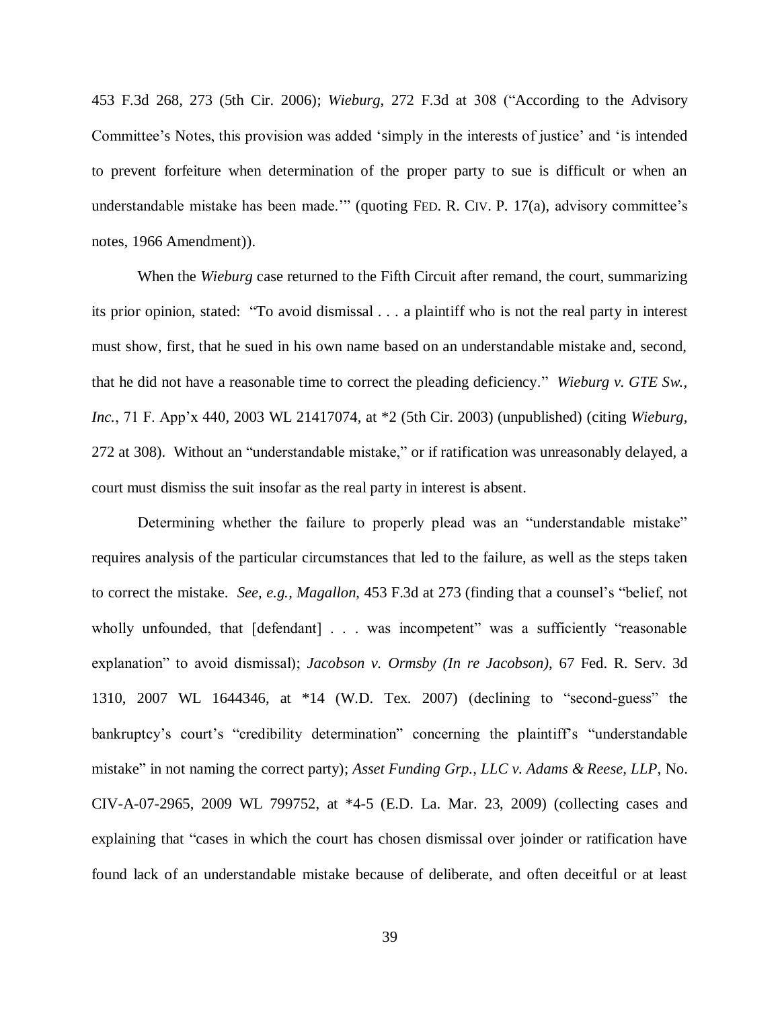453 F.3d 268, 273 (5th Cir. 2006); *Wieburg*, 272 F.3d at 308 ("According to the Advisory Committee's Notes, this provision was added 'simply in the interests of justice' and 'is intended to prevent forfeiture when determination of the proper party to sue is difficult or when an understandable mistake has been made.'" (quoting FED. R. CIV. P. 17(a), advisory committee's notes, 1966 Amendment)).

When the *Wieburg* case returned to the Fifth Circuit after remand, the court, summarizing its prior opinion, stated: "To avoid dismissal . . . a plaintiff who is not the real party in interest must show, first, that he sued in his own name based on an understandable mistake and, second, that he did not have a reasonable time to correct the pleading deficiency." *Wieburg v. GTE Sw., Inc.*, 71 F. App'x 440, 2003 WL 21417074, at \*2 (5th Cir. 2003) (unpublished) (citing *Wieburg*, 272 at 308). Without an "understandable mistake," or if ratification was unreasonably delayed, a court must dismiss the suit insofar as the real party in interest is absent.

Determining whether the failure to properly plead was an "understandable mistake" requires analysis of the particular circumstances that led to the failure, as well as the steps taken to correct the mistake. *See, e.g.*, *Magallon*, 453 F.3d at 273 (finding that a counsel's "belief, not wholly unfounded, that [defendant] . . . was incompetent" was a sufficiently "reasonable explanation" to avoid dismissal); *Jacobson v. Ormsby (In re Jacobson)*, 67 Fed. R. Serv. 3d 1310, 2007 WL 1644346, at \*14 (W.D. Tex. 2007) (declining to "second-guess" the bankruptcy's court's "credibility determination" concerning the plaintiff's "understandable mistake" in not naming the correct party); *Asset Funding Grp., LLC v. Adams & Reese, LLP*, No. CIV-A-07-2965, 2009 WL 799752, at \*4-5 (E.D. La. Mar. 23, 2009) (collecting cases and explaining that "cases in which the court has chosen dismissal over joinder or ratification have found lack of an understandable mistake because of deliberate, and often deceitful or at least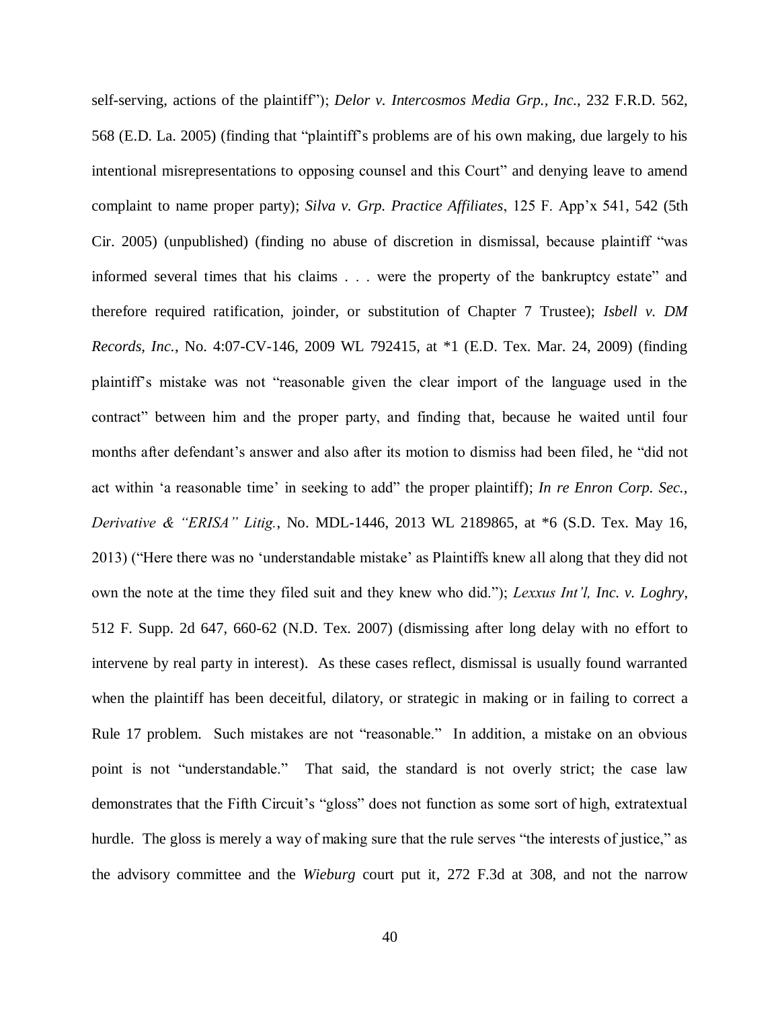self-serving, actions of the plaintiff"); *Delor v. Intercosmos Media Grp., Inc.*, 232 F.R.D. 562, 568 (E.D. La. 2005) (finding that "plaintiff's problems are of his own making, due largely to his intentional misrepresentations to opposing counsel and this Court" and denying leave to amend complaint to name proper party); *Silva v. Grp. Practice Affiliates*, 125 F. App'x 541, 542 (5th Cir. 2005) (unpublished) (finding no abuse of discretion in dismissal, because plaintiff "was informed several times that his claims . . . were the property of the bankruptcy estate" and therefore required ratification, joinder, or substitution of Chapter 7 Trustee); *Isbell v. DM Records, Inc.*, No. 4:07-CV-146, 2009 WL 792415, at \*1 (E.D. Tex. Mar. 24, 2009) (finding plaintiff's mistake was not "reasonable given the clear import of the language used in the contract" between him and the proper party, and finding that, because he waited until four months after defendant's answer and also after its motion to dismiss had been filed, he "did not act within 'a reasonable time' in seeking to add" the proper plaintiff); *In re Enron Corp. Sec., Derivative & "ERISA" Litig.*, No. MDL-1446, 2013 WL 2189865, at \*6 (S.D. Tex. May 16, 2013) ("Here there was no 'understandable mistake' as Plaintiffs knew all along that they did not own the note at the time they filed suit and they knew who did."); *Lexxus Int'l, Inc. v. Loghry*, 512 F. Supp. 2d 647, 660-62 (N.D. Tex. 2007) (dismissing after long delay with no effort to intervene by real party in interest). As these cases reflect, dismissal is usually found warranted when the plaintiff has been deceitful, dilatory, or strategic in making or in failing to correct a Rule 17 problem. Such mistakes are not "reasonable." In addition, a mistake on an obvious point is not "understandable." That said, the standard is not overly strict; the case law demonstrates that the Fifth Circuit's "gloss" does not function as some sort of high, extratextual hurdle. The gloss is merely a way of making sure that the rule serves "the interests of justice," as the advisory committee and the *Wieburg* court put it, 272 F.3d at 308, and not the narrow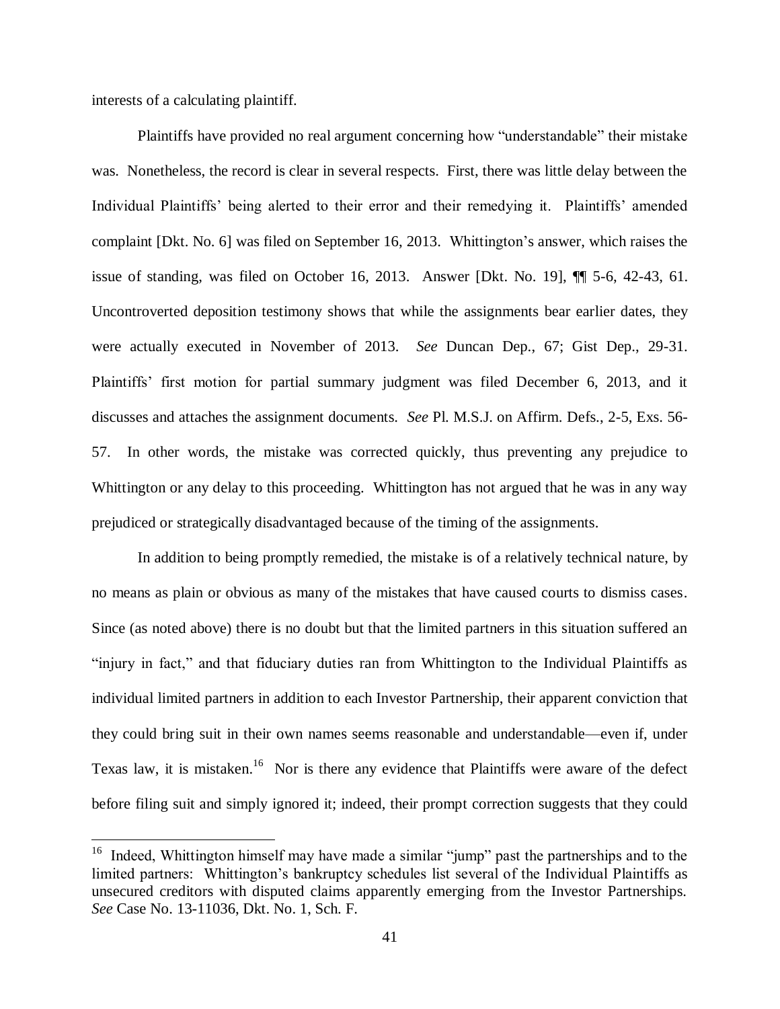interests of a calculating plaintiff.

 $\overline{a}$ 

Plaintiffs have provided no real argument concerning how "understandable" their mistake was. Nonetheless, the record is clear in several respects. First, there was little delay between the Individual Plaintiffs' being alerted to their error and their remedying it. Plaintiffs' amended complaint [Dkt. No. 6] was filed on September 16, 2013. Whittington's answer, which raises the issue of standing, was filed on October 16, 2013. Answer [Dkt. No. 19], ¶¶ 5-6, 42-43, 61. Uncontroverted deposition testimony shows that while the assignments bear earlier dates, they were actually executed in November of 2013. *See* Duncan Dep., 67; Gist Dep., 29-31. Plaintiffs' first motion for partial summary judgment was filed December 6, 2013, and it discusses and attaches the assignment documents. *See* Pl. M.S.J. on Affirm. Defs., 2-5, Exs. 56- 57. In other words, the mistake was corrected quickly, thus preventing any prejudice to Whittington or any delay to this proceeding. Whittington has not argued that he was in any way prejudiced or strategically disadvantaged because of the timing of the assignments.

In addition to being promptly remedied, the mistake is of a relatively technical nature, by no means as plain or obvious as many of the mistakes that have caused courts to dismiss cases. Since (as noted above) there is no doubt but that the limited partners in this situation suffered an "injury in fact," and that fiduciary duties ran from Whittington to the Individual Plaintiffs as individual limited partners in addition to each Investor Partnership, their apparent conviction that they could bring suit in their own names seems reasonable and understandable—even if, under Texas law, it is mistaken.<sup>16</sup> Nor is there any evidence that Plaintiffs were aware of the defect before filing suit and simply ignored it; indeed, their prompt correction suggests that they could

<sup>&</sup>lt;sup>16</sup> Indeed, Whittington himself may have made a similar "jump" past the partnerships and to the limited partners: Whittington's bankruptcy schedules list several of the Individual Plaintiffs as unsecured creditors with disputed claims apparently emerging from the Investor Partnerships. *See* Case No. 13-11036, Dkt. No. 1, Sch. F.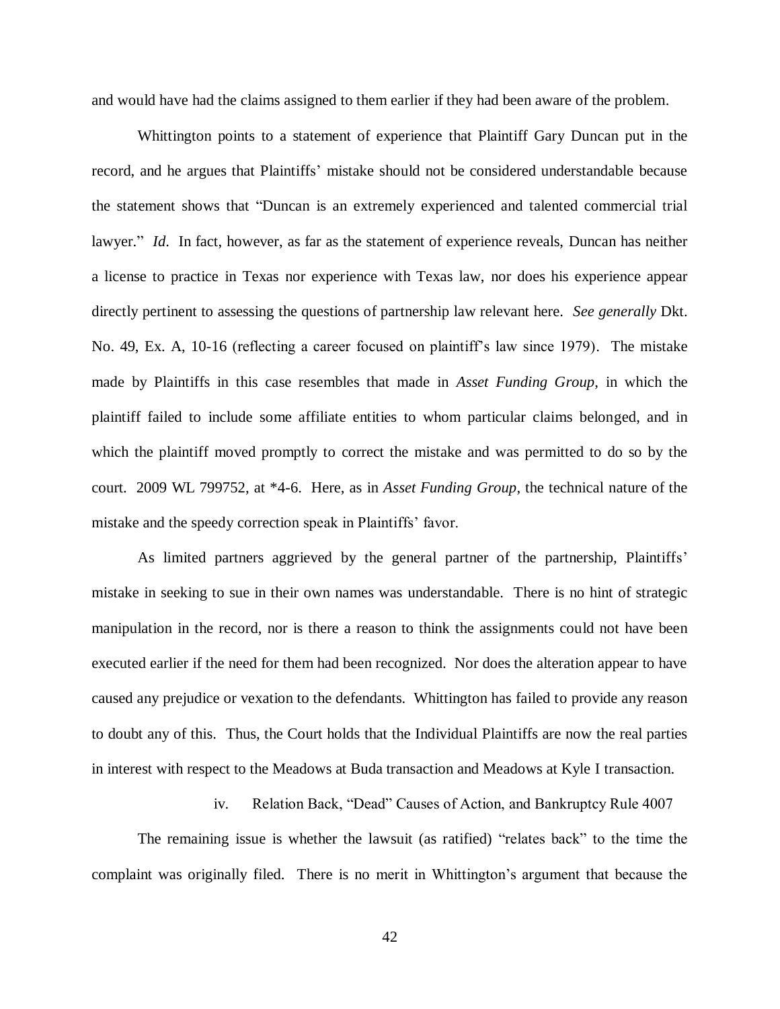and would have had the claims assigned to them earlier if they had been aware of the problem.

Whittington points to a statement of experience that Plaintiff Gary Duncan put in the record, and he argues that Plaintiffs' mistake should not be considered understandable because the statement shows that "Duncan is an extremely experienced and talented commercial trial lawyer." *Id*. In fact, however, as far as the statement of experience reveals, Duncan has neither a license to practice in Texas nor experience with Texas law, nor does his experience appear directly pertinent to assessing the questions of partnership law relevant here. *See generally* Dkt. No. 49, Ex. A, 10-16 (reflecting a career focused on plaintiff's law since 1979). The mistake made by Plaintiffs in this case resembles that made in *Asset Funding Group*, in which the plaintiff failed to include some affiliate entities to whom particular claims belonged, and in which the plaintiff moved promptly to correct the mistake and was permitted to do so by the court. 2009 WL 799752, at \*4-6. Here, as in *Asset Funding Group*, the technical nature of the mistake and the speedy correction speak in Plaintiffs' favor.

As limited partners aggrieved by the general partner of the partnership, Plaintiffs' mistake in seeking to sue in their own names was understandable. There is no hint of strategic manipulation in the record, nor is there a reason to think the assignments could not have been executed earlier if the need for them had been recognized. Nor does the alteration appear to have caused any prejudice or vexation to the defendants. Whittington has failed to provide any reason to doubt any of this. Thus, the Court holds that the Individual Plaintiffs are now the real parties in interest with respect to the Meadows at Buda transaction and Meadows at Kyle I transaction.

iv. Relation Back, "Dead" Causes of Action, and Bankruptcy Rule 4007

The remaining issue is whether the lawsuit (as ratified) "relates back" to the time the complaint was originally filed. There is no merit in Whittington's argument that because the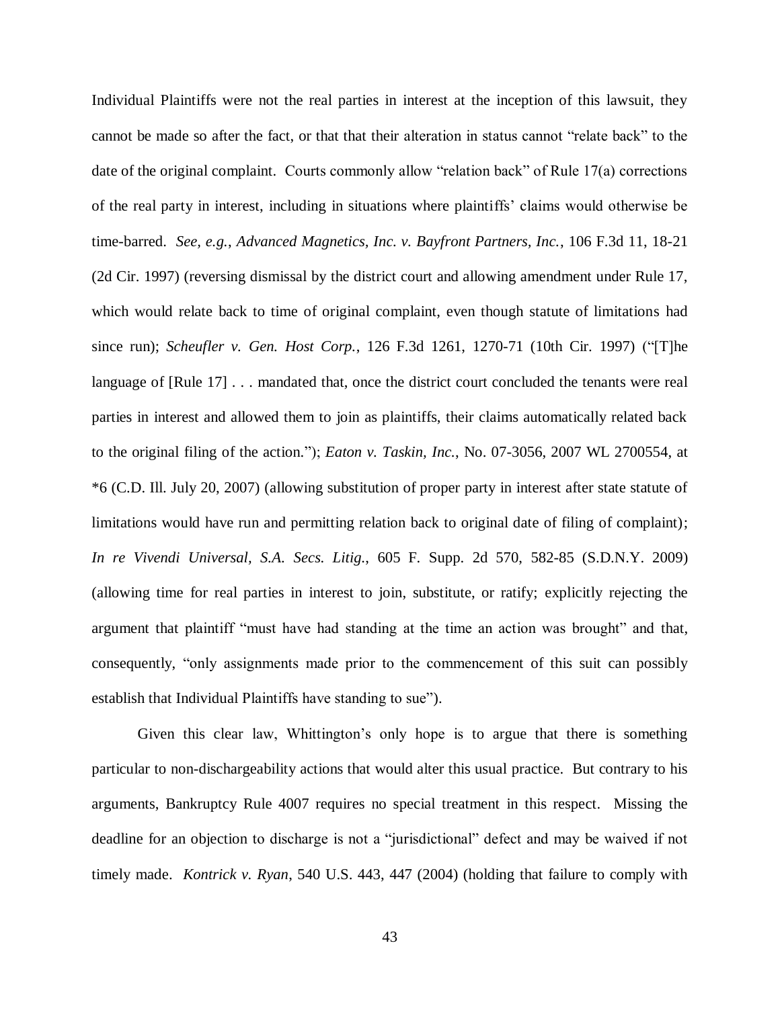Individual Plaintiffs were not the real parties in interest at the inception of this lawsuit, they cannot be made so after the fact, or that that their alteration in status cannot "relate back" to the date of the original complaint. Courts commonly allow "relation back" of Rule 17(a) corrections of the real party in interest, including in situations where plaintiffs' claims would otherwise be time-barred. *See, e.g.*, *Advanced Magnetics, Inc. v. Bayfront Partners, Inc.*, 106 F.3d 11, 18-21 (2d Cir. 1997) (reversing dismissal by the district court and allowing amendment under Rule 17, which would relate back to time of original complaint, even though statute of limitations had since run); *Scheufler v. Gen. Host Corp.*, 126 F.3d 1261, 1270-71 (10th Cir. 1997) ("[T]he language of [Rule 17]  $\dots$  mandated that, once the district court concluded the tenants were real parties in interest and allowed them to join as plaintiffs, their claims automatically related back to the original filing of the action."); *Eaton v. Taskin, Inc.*, No. 07-3056, 2007 WL 2700554, at \*6 (C.D. Ill. July 20, 2007) (allowing substitution of proper party in interest after state statute of limitations would have run and permitting relation back to original date of filing of complaint); *In re Vivendi Universal, S.A. Secs. Litig.*, 605 F. Supp. 2d 570, 582-85 (S.D.N.Y. 2009) (allowing time for real parties in interest to join, substitute, or ratify; explicitly rejecting the argument that plaintiff "must have had standing at the time an action was brought" and that, consequently, "only assignments made prior to the commencement of this suit can possibly establish that Individual Plaintiffs have standing to sue").

Given this clear law, Whittington's only hope is to argue that there is something particular to non-dischargeability actions that would alter this usual practice. But contrary to his arguments, Bankruptcy Rule 4007 requires no special treatment in this respect. Missing the deadline for an objection to discharge is not a "jurisdictional" defect and may be waived if not timely made. *Kontrick v. Ryan*, 540 U.S. 443, 447 (2004) (holding that failure to comply with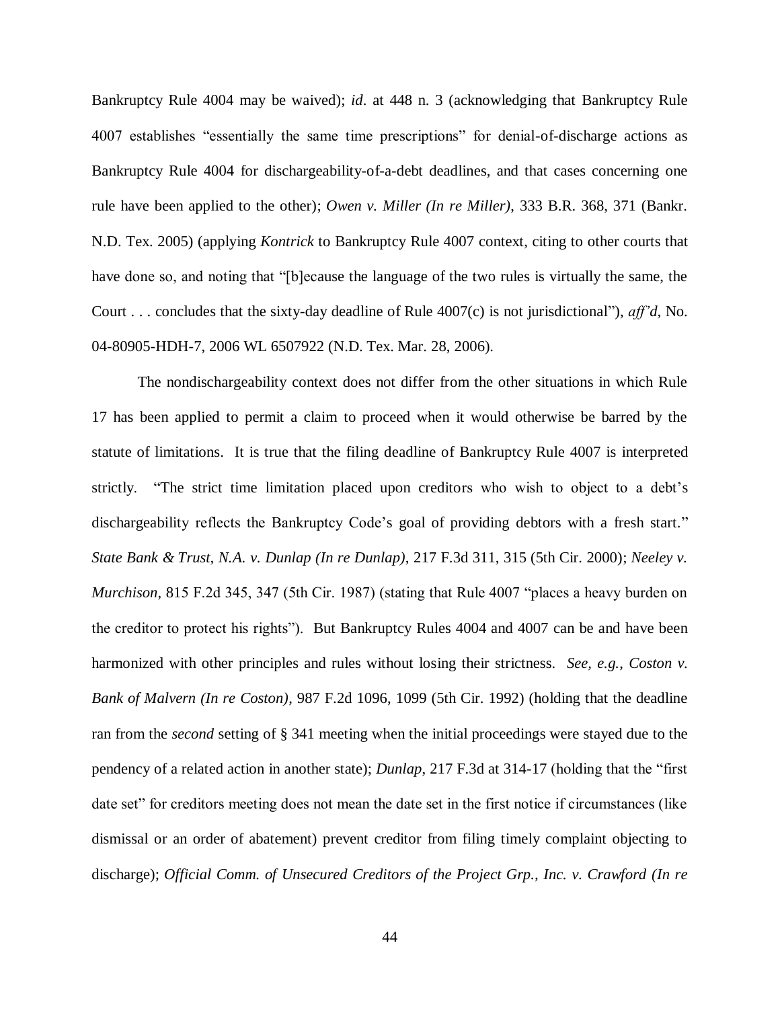Bankruptcy Rule 4004 may be waived); *id*. at 448 n. 3 (acknowledging that Bankruptcy Rule 4007 establishes "essentially the same time prescriptions" for denial-of-discharge actions as Bankruptcy Rule 4004 for dischargeability-of-a-debt deadlines, and that cases concerning one rule have been applied to the other); *Owen v. Miller (In re Miller)*, 333 B.R. 368, 371 (Bankr. N.D. Tex. 2005) (applying *Kontrick* to Bankruptcy Rule 4007 context, citing to other courts that have done so, and noting that "[b]ecause the language of the two rules is virtually the same, the Court . . . concludes that the sixty-day deadline of Rule 4007(c) is not jurisdictional"), *aff'd*, No. 04-80905-HDH-7, 2006 WL 6507922 (N.D. Tex. Mar. 28, 2006).

The nondischargeability context does not differ from the other situations in which Rule 17 has been applied to permit a claim to proceed when it would otherwise be barred by the statute of limitations. It is true that the filing deadline of Bankruptcy Rule 4007 is interpreted strictly. "The strict time limitation placed upon creditors who wish to object to a debt's dischargeability reflects the Bankruptcy Code's goal of providing debtors with a fresh start." *State Bank & Trust, N.A. v. Dunlap (In re Dunlap)*, 217 F.3d 311, 315 (5th Cir. 2000); *Neeley v. Murchison*, 815 F.2d 345, 347 (5th Cir. 1987) (stating that Rule 4007 "places a heavy burden on the creditor to protect his rights"). But Bankruptcy Rules 4004 and 4007 can be and have been harmonized with other principles and rules without losing their strictness. *See, e.g.*, *Coston v. Bank of Malvern (In re Coston)*, 987 F.2d 1096, 1099 (5th Cir. 1992) (holding that the deadline ran from the *second* setting of § 341 meeting when the initial proceedings were stayed due to the pendency of a related action in another state); *Dunlap*, 217 F.3d at 314-17 (holding that the "first date set" for creditors meeting does not mean the date set in the first notice if circumstances (like dismissal or an order of abatement) prevent creditor from filing timely complaint objecting to discharge); *Official Comm. of Unsecured Creditors of the Project Grp., Inc. v. Crawford (In re*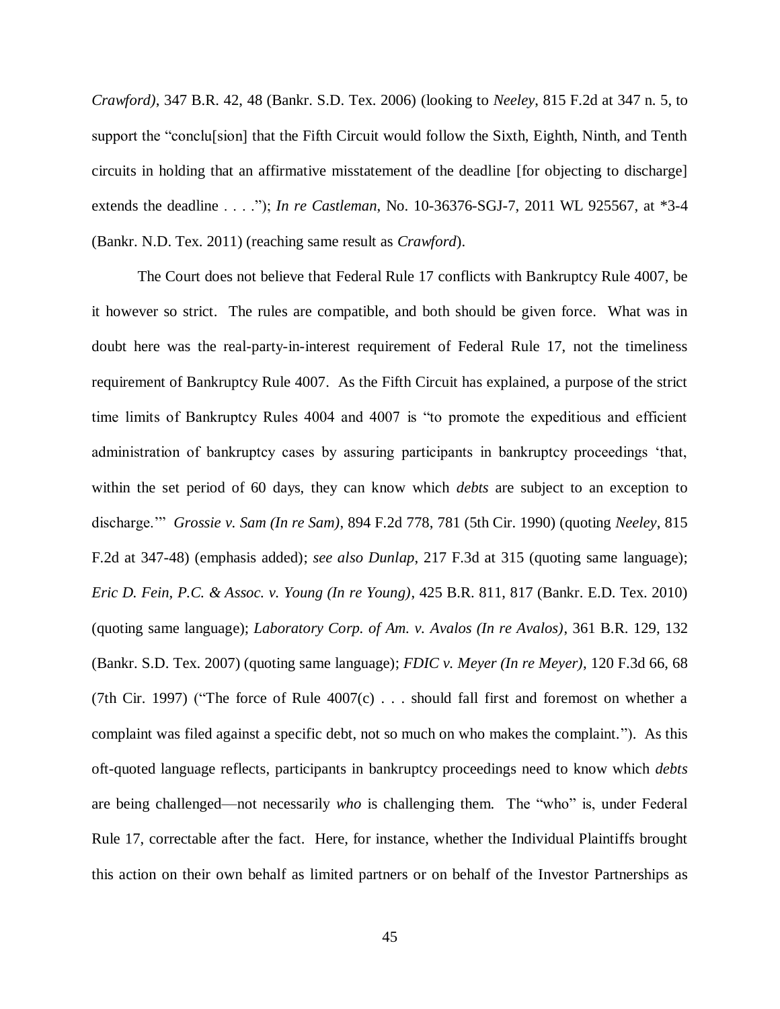*Crawford)*, 347 B.R. 42, 48 (Bankr. S.D. Tex. 2006) (looking to *Neeley*, 815 F.2d at 347 n. 5, to support the "conclu[sion] that the Fifth Circuit would follow the Sixth, Eighth, Ninth, and Tenth circuits in holding that an affirmative misstatement of the deadline [for objecting to discharge] extends the deadline . . . ."); *In re Castleman*, No. 10-36376-SGJ-7, 2011 WL 925567, at \*3-4 (Bankr. N.D. Tex. 2011) (reaching same result as *Crawford*).

The Court does not believe that Federal Rule 17 conflicts with Bankruptcy Rule 4007, be it however so strict. The rules are compatible, and both should be given force. What was in doubt here was the real-party-in-interest requirement of Federal Rule 17, not the timeliness requirement of Bankruptcy Rule 4007. As the Fifth Circuit has explained, a purpose of the strict time limits of Bankruptcy Rules 4004 and 4007 is "to promote the expeditious and efficient administration of bankruptcy cases by assuring participants in bankruptcy proceedings 'that, within the set period of 60 days, they can know which *debts* are subject to an exception to discharge.'" *Grossie v. Sam (In re Sam)*, 894 F.2d 778, 781 (5th Cir. 1990) (quoting *Neeley*, 815 F.2d at 347-48) (emphasis added); *see also Dunlap*, 217 F.3d at 315 (quoting same language); *Eric D. Fein, P.C. & Assoc. v. Young (In re Young)*, 425 B.R. 811, 817 (Bankr. E.D. Tex. 2010) (quoting same language); *Laboratory Corp. of Am. v. Avalos (In re Avalos)*, 361 B.R. 129, 132 (Bankr. S.D. Tex. 2007) (quoting same language); *FDIC v. Meyer (In re Meyer)*, 120 F.3d 66, 68 (7th Cir. 1997) ("The force of Rule  $4007(c)$ ... should fall first and foremost on whether a complaint was filed against a specific debt, not so much on who makes the complaint."). As this oft-quoted language reflects, participants in bankruptcy proceedings need to know which *debts* are being challenged—not necessarily *who* is challenging them. The "who" is, under Federal Rule 17, correctable after the fact. Here, for instance, whether the Individual Plaintiffs brought this action on their own behalf as limited partners or on behalf of the Investor Partnerships as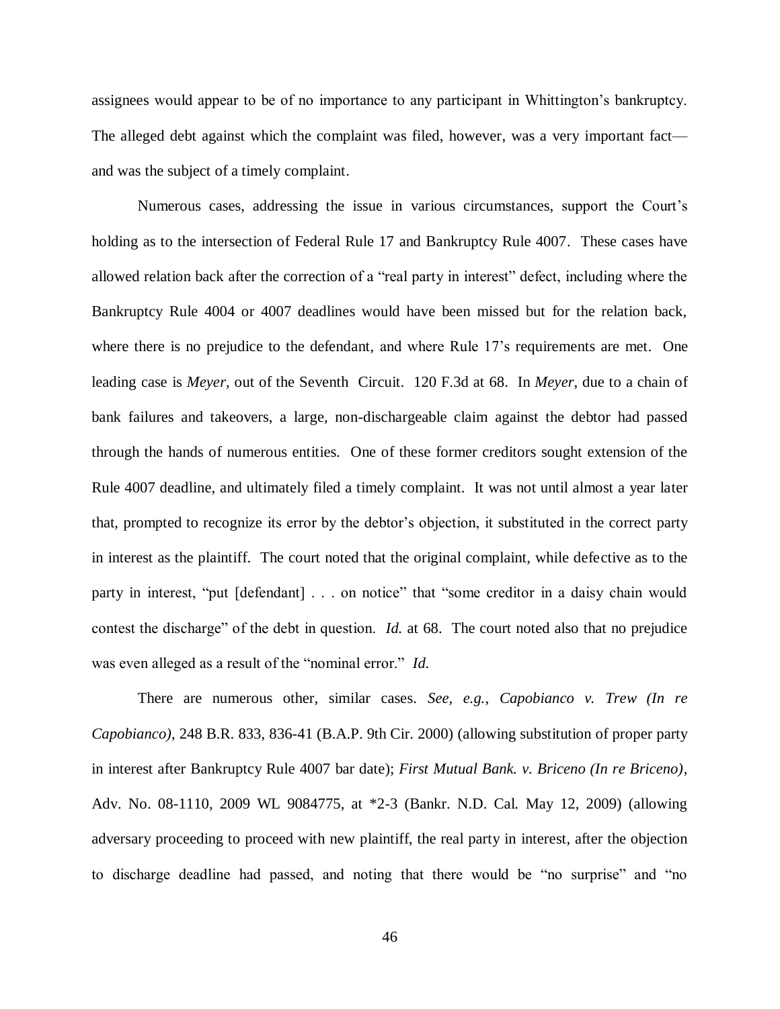assignees would appear to be of no importance to any participant in Whittington's bankruptcy. The alleged debt against which the complaint was filed, however, was a very important fact and was the subject of a timely complaint.

Numerous cases, addressing the issue in various circumstances, support the Court's holding as to the intersection of Federal Rule 17 and Bankruptcy Rule 4007. These cases have allowed relation back after the correction of a "real party in interest" defect, including where the Bankruptcy Rule 4004 or 4007 deadlines would have been missed but for the relation back, where there is no prejudice to the defendant, and where Rule 17's requirements are met. One leading case is *Meyer*, out of the Seventh Circuit. 120 F.3d at 68. In *Meyer*, due to a chain of bank failures and takeovers, a large, non-dischargeable claim against the debtor had passed through the hands of numerous entities. One of these former creditors sought extension of the Rule 4007 deadline, and ultimately filed a timely complaint. It was not until almost a year later that, prompted to recognize its error by the debtor's objection, it substituted in the correct party in interest as the plaintiff. The court noted that the original complaint, while defective as to the party in interest, "put [defendant] . . . on notice" that "some creditor in a daisy chain would contest the discharge" of the debt in question. *Id.* at 68. The court noted also that no prejudice was even alleged as a result of the "nominal error." *Id*.

There are numerous other, similar cases. *See, e.g.*, *Capobianco v. Trew (In re Capobianco)*, 248 B.R. 833, 836-41 (B.A.P. 9th Cir. 2000) (allowing substitution of proper party in interest after Bankruptcy Rule 4007 bar date); *First Mutual Bank. v. Briceno (In re Briceno)*, Adv. No. 08-1110, 2009 WL 9084775, at \*2-3 (Bankr. N.D. Cal. May 12, 2009) (allowing adversary proceeding to proceed with new plaintiff, the real party in interest, after the objection to discharge deadline had passed, and noting that there would be "no surprise" and "no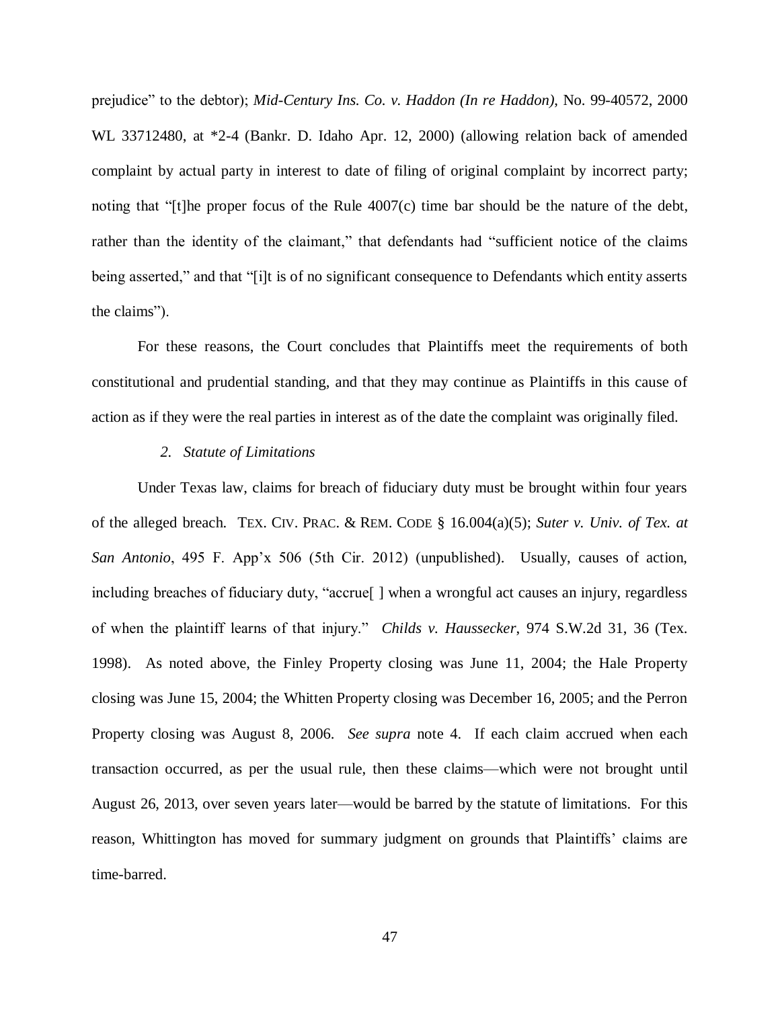prejudice" to the debtor); *Mid-Century Ins. Co. v. Haddon (In re Haddon)*, No. 99-40572, 2000 WL 33712480, at \*2-4 (Bankr. D. Idaho Apr. 12, 2000) (allowing relation back of amended complaint by actual party in interest to date of filing of original complaint by incorrect party; noting that "[t]he proper focus of the Rule  $4007(c)$  time bar should be the nature of the debt, rather than the identity of the claimant," that defendants had "sufficient notice of the claims being asserted," and that "[i]t is of no significant consequence to Defendants which entity asserts the claims").

For these reasons, the Court concludes that Plaintiffs meet the requirements of both constitutional and prudential standing, and that they may continue as Plaintiffs in this cause of action as if they were the real parties in interest as of the date the complaint was originally filed.

#### *2. Statute of Limitations*

Under Texas law, claims for breach of fiduciary duty must be brought within four years of the alleged breach. TEX. CIV. PRAC. & REM. CODE § 16.004(a)(5); *Suter v. Univ. of Tex. at San Antonio*, 495 F. App'x 506 (5th Cir. 2012) (unpublished). Usually, causes of action, including breaches of fiduciary duty, "accrue[ ] when a wrongful act causes an injury, regardless of when the plaintiff learns of that injury." *Childs v. Haussecker*, 974 S.W.2d 31, 36 (Tex. 1998). As noted above, the Finley Property closing was June 11, 2004; the Hale Property closing was June 15, 2004; the Whitten Property closing was December 16, 2005; and the Perron Property closing was August 8, 2006. *See supra* note [4.](#page-4-0) If each claim accrued when each transaction occurred, as per the usual rule, then these claims—which were not brought until August 26, 2013, over seven years later—would be barred by the statute of limitations. For this reason, Whittington has moved for summary judgment on grounds that Plaintiffs' claims are time-barred.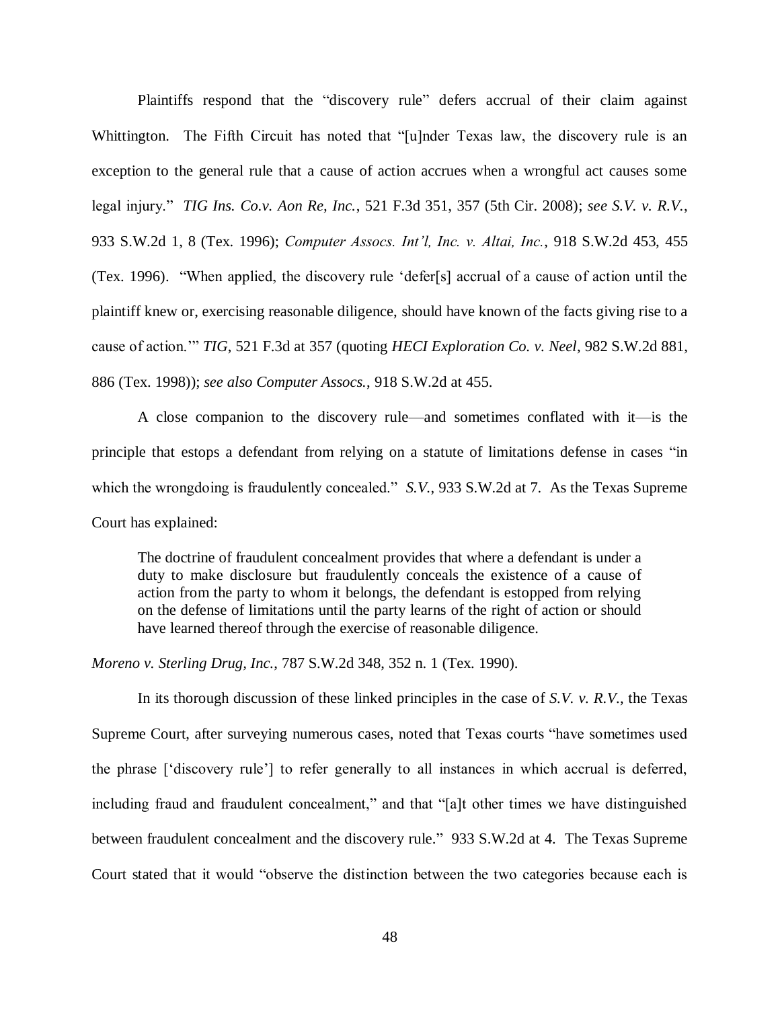Plaintiffs respond that the "discovery rule" defers accrual of their claim against Whittington. The Fifth Circuit has noted that "[u]nder Texas law, the discovery rule is an exception to the general rule that a cause of action accrues when a wrongful act causes some legal injury." *TIG Ins. Co.v. Aon Re, Inc.*, 521 F.3d 351, 357 (5th Cir. 2008); *see S.V. v. R.V.*, 933 S.W.2d 1, 8 (Tex. 1996); *Computer Assocs. Int'l, Inc. v. Altai, Inc.*, 918 S.W.2d 453, 455 (Tex. 1996). "When applied, the discovery rule 'defer[s] accrual of a cause of action until the plaintiff knew or, exercising reasonable diligence, should have known of the facts giving rise to a cause of action.'" *TIG*, 521 F.3d at 357 (quoting *HECI Exploration Co. v. Neel*, 982 S.W.2d 881, 886 (Tex. 1998)); *see also Computer Assocs.*, 918 S.W.2d at 455.

A close companion to the discovery rule—and sometimes conflated with it—is the principle that estops a defendant from relying on a statute of limitations defense in cases "in which the wrongdoing is fraudulently concealed." *S.V.*, 933 S.W.2d at 7. As the Texas Supreme Court has explained:

The doctrine of fraudulent concealment provides that where a defendant is under a duty to make disclosure but fraudulently conceals the existence of a cause of action from the party to whom it belongs, the defendant is estopped from relying on the defense of limitations until the party learns of the right of action or should have learned thereof through the exercise of reasonable diligence.

*Moreno v. Sterling Drug, Inc.*, 787 S.W.2d 348, 352 n. 1 (Tex. 1990).

In its thorough discussion of these linked principles in the case of *S.V. v. R.V.*, the Texas Supreme Court, after surveying numerous cases, noted that Texas courts "have sometimes used the phrase ['discovery rule'] to refer generally to all instances in which accrual is deferred, including fraud and fraudulent concealment," and that "[a]t other times we have distinguished between fraudulent concealment and the discovery rule." 933 S.W.2d at 4. The Texas Supreme Court stated that it would "observe the distinction between the two categories because each is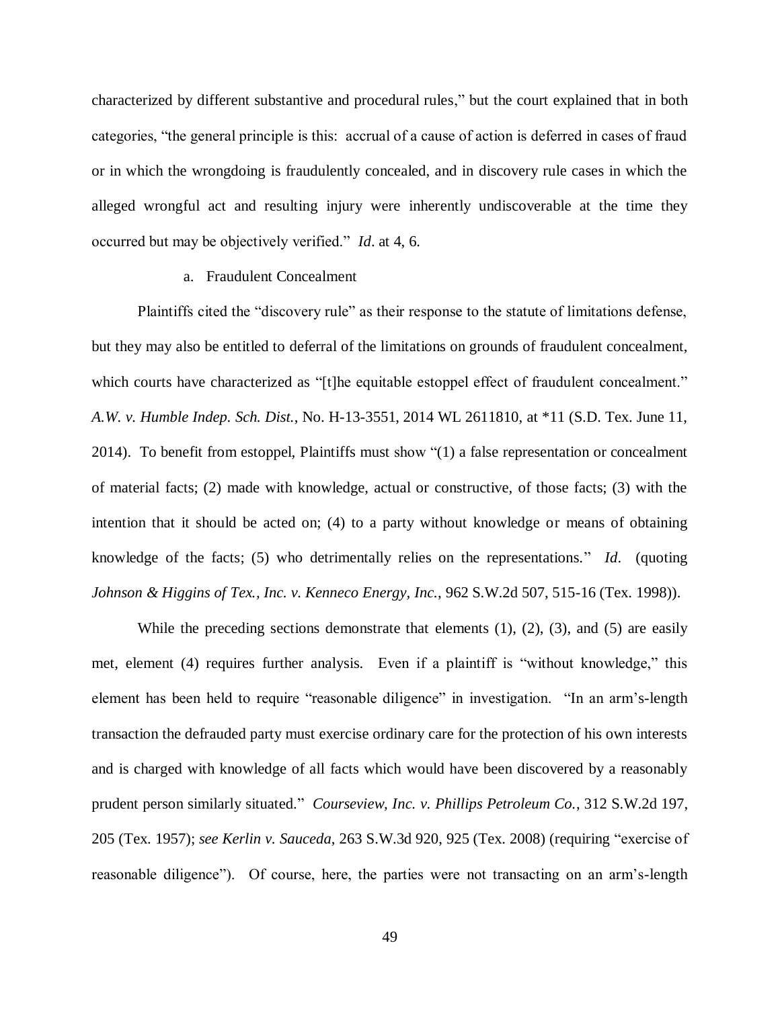characterized by different substantive and procedural rules," but the court explained that in both categories, "the general principle is this: accrual of a cause of action is deferred in cases of fraud or in which the wrongdoing is fraudulently concealed, and in discovery rule cases in which the alleged wrongful act and resulting injury were inherently undiscoverable at the time they occurred but may be objectively verified." *Id*. at 4, 6.

### a. Fraudulent Concealment

Plaintiffs cited the "discovery rule" as their response to the statute of limitations defense, but they may also be entitled to deferral of the limitations on grounds of fraudulent concealment, which courts have characterized as "[t]he equitable estoppel effect of fraudulent concealment." *A.W. v. Humble Indep. Sch. Dist.*, No. H-13-3551, 2014 WL 2611810, at \*11 (S.D. Tex. June 11, 2014). To benefit from estoppel, Plaintiffs must show "(1) a false representation or concealment of material facts; (2) made with knowledge, actual or constructive, of those facts; (3) with the intention that it should be acted on; (4) to a party without knowledge or means of obtaining knowledge of the facts; (5) who detrimentally relies on the representations." *Id*. (quoting *Johnson & Higgins of Tex., Inc. v. Kenneco Energy, Inc.*, 962 S.W.2d 507, 515-16 (Tex. 1998)).

While the preceding sections demonstrate that elements  $(1)$ ,  $(2)$ ,  $(3)$ , and  $(5)$  are easily met, element (4) requires further analysis. Even if a plaintiff is "without knowledge," this element has been held to require "reasonable diligence" in investigation. "In an arm's-length transaction the defrauded party must exercise ordinary care for the protection of his own interests and is charged with knowledge of all facts which would have been discovered by a reasonably prudent person similarly situated." *Courseview, Inc. v. Phillips Petroleum Co.*, 312 S.W.2d 197, 205 (Tex. 1957); *see Kerlin v. Sauceda*, 263 S.W.3d 920, 925 (Tex. 2008) (requiring "exercise of reasonable diligence"). Of course, here, the parties were not transacting on an arm's-length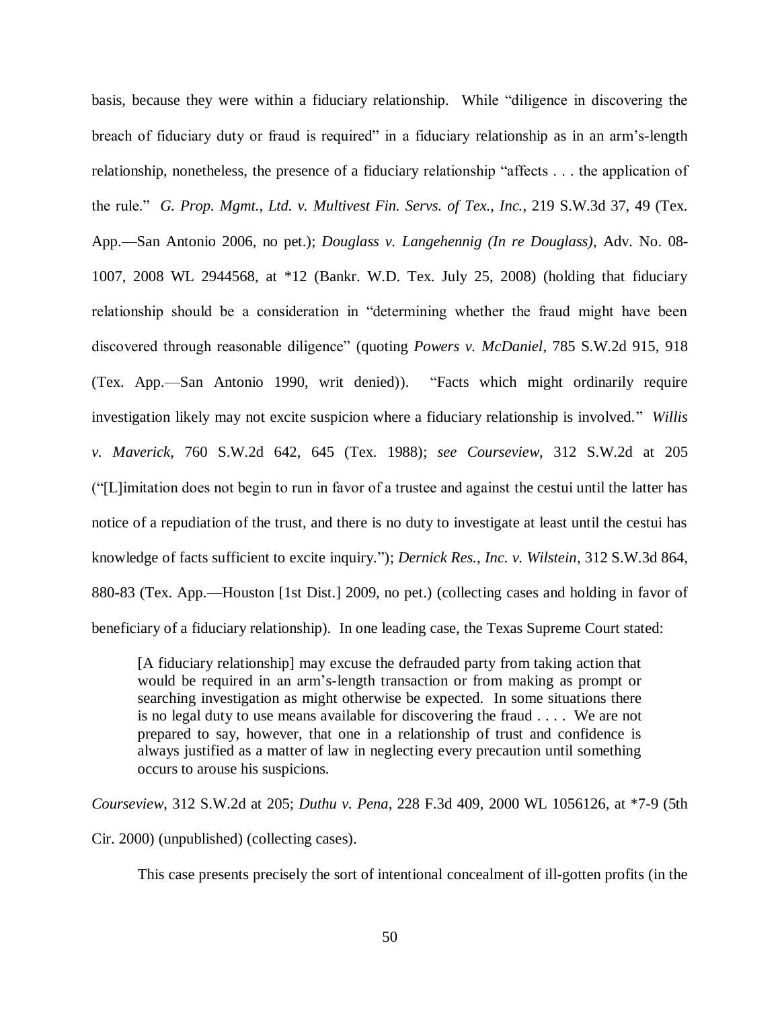basis, because they were within a fiduciary relationship. While "diligence in discovering the breach of fiduciary duty or fraud is required" in a fiduciary relationship as in an arm's-length relationship, nonetheless, the presence of a fiduciary relationship "affects . . . the application of the rule." *G. Prop. Mgmt., Ltd. v. Multivest Fin. Servs. of Tex., Inc.*, 219 S.W.3d 37, 49 (Tex. App.—San Antonio 2006, no pet.); *Douglass v. Langehennig (In re Douglass)*, Adv. No. 08- 1007, 2008 WL 2944568, at \*12 (Bankr. W.D. Tex. July 25, 2008) (holding that fiduciary relationship should be a consideration in "determining whether the fraud might have been discovered through reasonable diligence" (quoting *Powers v. McDaniel*, 785 S.W.2d 915, 918 (Tex. App.—San Antonio 1990, writ denied)). "Facts which might ordinarily require investigation likely may not excite suspicion where a fiduciary relationship is involved." *Willis v. Maverick*, 760 S.W.2d 642, 645 (Tex. 1988); *see Courseview*, 312 S.W.2d at 205 ("[L]imitation does not begin to run in favor of a trustee and against the cestui until the latter has notice of a repudiation of the trust, and there is no duty to investigate at least until the cestui has knowledge of facts sufficient to excite inquiry."); *Dernick Res., Inc. v. Wilstein*, 312 S.W.3d 864, 880-83 (Tex. App.—Houston [1st Dist.] 2009, no pet.) (collecting cases and holding in favor of beneficiary of a fiduciary relationship). In one leading case, the Texas Supreme Court stated:

[A fiduciary relationship] may excuse the defrauded party from taking action that would be required in an arm's-length transaction or from making as prompt or searching investigation as might otherwise be expected. In some situations there is no legal duty to use means available for discovering the fraud . . . . We are not prepared to say, however, that one in a relationship of trust and confidence is always justified as a matter of law in neglecting every precaution until something occurs to arouse his suspicions.

*Courseview*, 312 S.W.2d at 205; *Duthu v. Pena*, 228 F.3d 409, 2000 WL 1056126, at \*7-9 (5th

Cir. 2000) (unpublished) (collecting cases).

This case presents precisely the sort of intentional concealment of ill-gotten profits (in the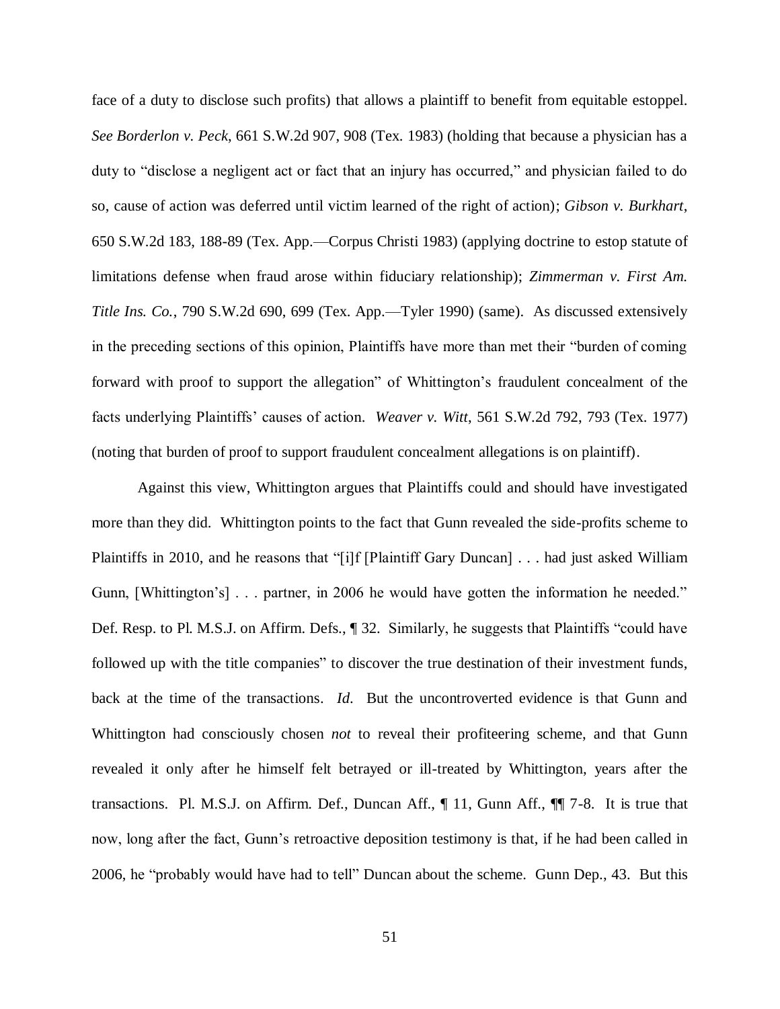face of a duty to disclose such profits) that allows a plaintiff to benefit from equitable estoppel. *See Borderlon v. Peck*, 661 S.W.2d 907, 908 (Tex. 1983) (holding that because a physician has a duty to "disclose a negligent act or fact that an injury has occurred," and physician failed to do so, cause of action was deferred until victim learned of the right of action); *Gibson v. Burkhart*, 650 S.W.2d 183, 188-89 (Tex. App.—Corpus Christi 1983) (applying doctrine to estop statute of limitations defense when fraud arose within fiduciary relationship); *Zimmerman v. First Am. Title Ins. Co.*, 790 S.W.2d 690, 699 (Tex. App.—Tyler 1990) (same). As discussed extensively in the preceding sections of this opinion, Plaintiffs have more than met their "burden of coming forward with proof to support the allegation" of Whittington's fraudulent concealment of the facts underlying Plaintiffs' causes of action. *Weaver v. Witt*, 561 S.W.2d 792, 793 (Tex. 1977) (noting that burden of proof to support fraudulent concealment allegations is on plaintiff).

Against this view, Whittington argues that Plaintiffs could and should have investigated more than they did. Whittington points to the fact that Gunn revealed the side-profits scheme to Plaintiffs in 2010, and he reasons that "[i]f [Plaintiff Gary Duncan] . . . had just asked William Gunn, [Whittington's] . . . partner, in 2006 he would have gotten the information he needed." Def. Resp. to Pl. M.S.J. on Affirm. Defs., ¶ 32. Similarly, he suggests that Plaintiffs "could have followed up with the title companies" to discover the true destination of their investment funds, back at the time of the transactions. *Id*. But the uncontroverted evidence is that Gunn and Whittington had consciously chosen *not* to reveal their profiteering scheme, and that Gunn revealed it only after he himself felt betrayed or ill-treated by Whittington, years after the transactions. Pl. M.S.J. on Affirm. Def., Duncan Aff., ¶ 11, Gunn Aff., ¶¶ 7-8. It is true that now, long after the fact, Gunn's retroactive deposition testimony is that, if he had been called in 2006, he "probably would have had to tell" Duncan about the scheme. Gunn Dep., 43. But this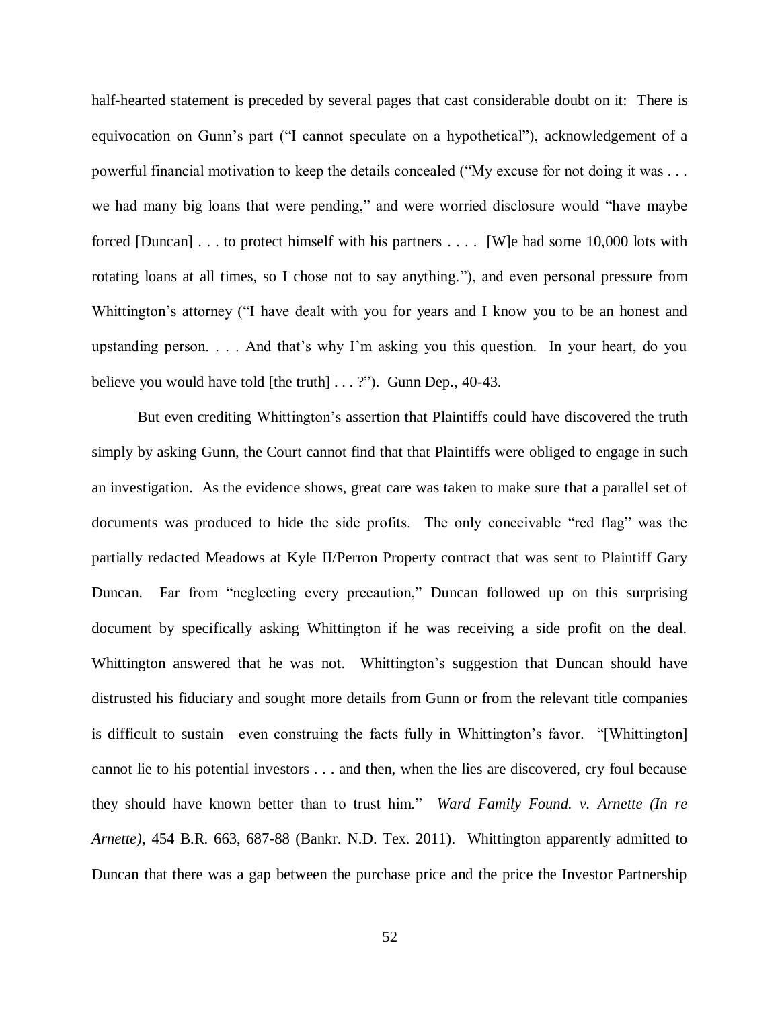half-hearted statement is preceded by several pages that cast considerable doubt on it: There is equivocation on Gunn's part ("I cannot speculate on a hypothetical"), acknowledgement of a powerful financial motivation to keep the details concealed ("My excuse for not doing it was . . . we had many big loans that were pending," and were worried disclosure would "have maybe forced [Duncan] . . . to protect himself with his partners . . . . [W]e had some 10,000 lots with rotating loans at all times, so I chose not to say anything."), and even personal pressure from Whittington's attorney ("I have dealt with you for years and I know you to be an honest and upstanding person. . . . And that's why I'm asking you this question. In your heart, do you believe you would have told [the truth] . . . ?"). Gunn Dep., 40-43.

But even crediting Whittington's assertion that Plaintiffs could have discovered the truth simply by asking Gunn, the Court cannot find that that Plaintiffs were obliged to engage in such an investigation. As the evidence shows, great care was taken to make sure that a parallel set of documents was produced to hide the side profits. The only conceivable "red flag" was the partially redacted Meadows at Kyle II/Perron Property contract that was sent to Plaintiff Gary Duncan. Far from "neglecting every precaution," Duncan followed up on this surprising document by specifically asking Whittington if he was receiving a side profit on the deal. Whittington answered that he was not. Whittington's suggestion that Duncan should have distrusted his fiduciary and sought more details from Gunn or from the relevant title companies is difficult to sustain—even construing the facts fully in Whittington's favor. "[Whittington] cannot lie to his potential investors . . . and then, when the lies are discovered, cry foul because they should have known better than to trust him." *Ward Family Found. v. Arnette (In re Arnette)*, 454 B.R. 663, 687-88 (Bankr. N.D. Tex. 2011). Whittington apparently admitted to Duncan that there was a gap between the purchase price and the price the Investor Partnership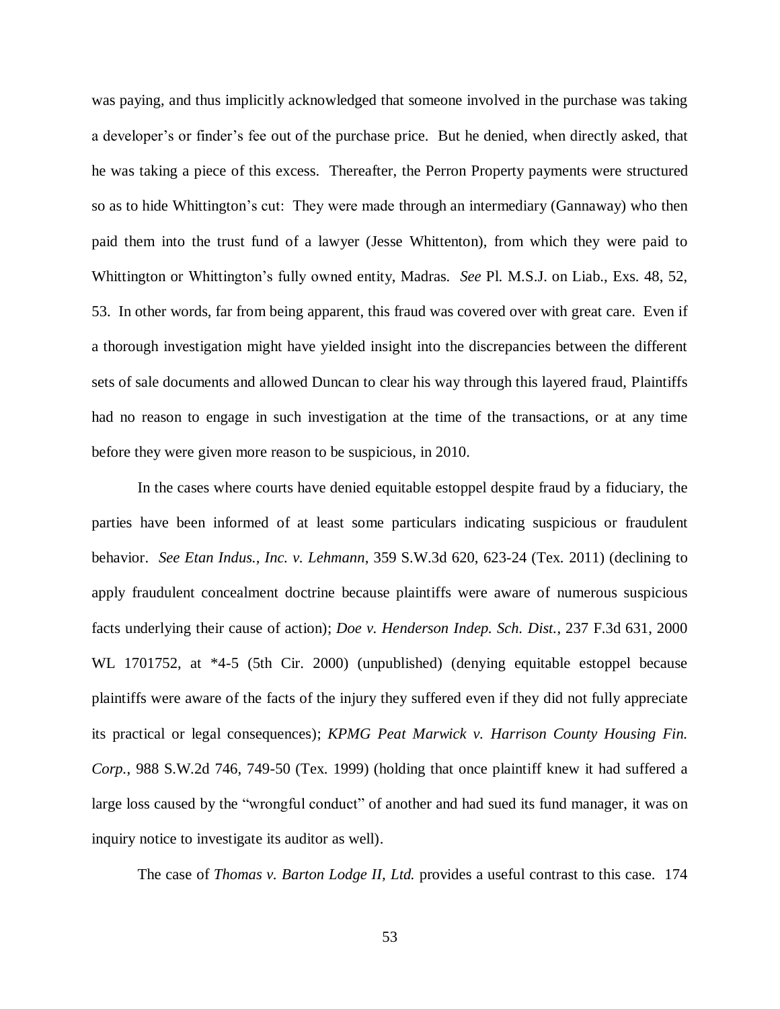was paying, and thus implicitly acknowledged that someone involved in the purchase was taking a developer's or finder's fee out of the purchase price. But he denied, when directly asked, that he was taking a piece of this excess. Thereafter, the Perron Property payments were structured so as to hide Whittington's cut: They were made through an intermediary (Gannaway) who then paid them into the trust fund of a lawyer (Jesse Whittenton), from which they were paid to Whittington or Whittington's fully owned entity, Madras. *See* Pl. M.S.J. on Liab., Exs. 48, 52, 53. In other words, far from being apparent, this fraud was covered over with great care. Even if a thorough investigation might have yielded insight into the discrepancies between the different sets of sale documents and allowed Duncan to clear his way through this layered fraud, Plaintiffs had no reason to engage in such investigation at the time of the transactions, or at any time before they were given more reason to be suspicious, in 2010.

In the cases where courts have denied equitable estoppel despite fraud by a fiduciary, the parties have been informed of at least some particulars indicating suspicious or fraudulent behavior. *See Etan Indus., Inc. v. Lehmann*, 359 S.W.3d 620, 623-24 (Tex. 2011) (declining to apply fraudulent concealment doctrine because plaintiffs were aware of numerous suspicious facts underlying their cause of action); *Doe v. Henderson Indep. Sch. Dist.*, 237 F.3d 631, 2000 WL 1701752, at \*4-5 (5th Cir. 2000) (unpublished) (denying equitable estoppel because plaintiffs were aware of the facts of the injury they suffered even if they did not fully appreciate its practical or legal consequences); *KPMG Peat Marwick v. Harrison County Housing Fin. Corp.*, 988 S.W.2d 746, 749-50 (Tex. 1999) (holding that once plaintiff knew it had suffered a large loss caused by the "wrongful conduct" of another and had sued its fund manager, it was on inquiry notice to investigate its auditor as well).

The case of *Thomas v. Barton Lodge II, Ltd.* provides a useful contrast to this case. 174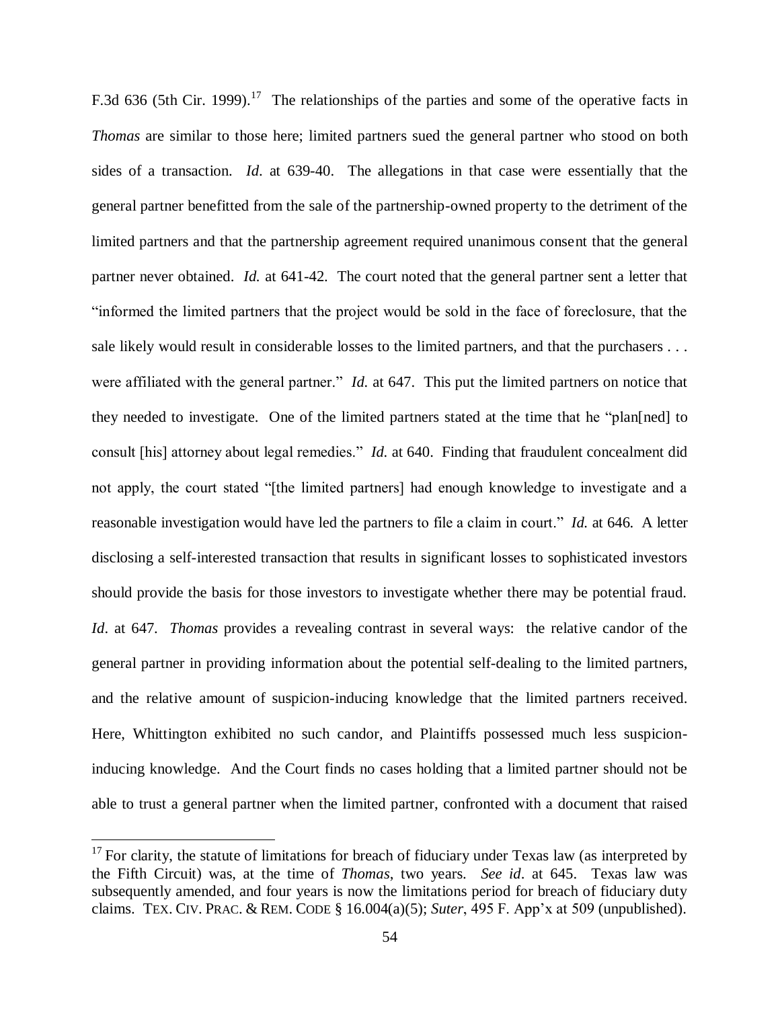F.3d 636 (5th Cir. 1999).<sup>17</sup> The relationships of the parties and some of the operative facts in *Thomas* are similar to those here; limited partners sued the general partner who stood on both sides of a transaction. *Id*. at 639-40. The allegations in that case were essentially that the general partner benefitted from the sale of the partnership-owned property to the detriment of the limited partners and that the partnership agreement required unanimous consent that the general partner never obtained. *Id.* at 641-42. The court noted that the general partner sent a letter that "informed the limited partners that the project would be sold in the face of foreclosure, that the sale likely would result in considerable losses to the limited partners, and that the purchasers . . . were affiliated with the general partner." *Id.* at 647. This put the limited partners on notice that they needed to investigate. One of the limited partners stated at the time that he "plan[ned] to consult [his] attorney about legal remedies." *Id.* at 640. Finding that fraudulent concealment did not apply, the court stated "[the limited partners] had enough knowledge to investigate and a reasonable investigation would have led the partners to file a claim in court." *Id.* at 646. A letter disclosing a self-interested transaction that results in significant losses to sophisticated investors should provide the basis for those investors to investigate whether there may be potential fraud. *Id*. at 647. *Thomas* provides a revealing contrast in several ways: the relative candor of the general partner in providing information about the potential self-dealing to the limited partners, and the relative amount of suspicion-inducing knowledge that the limited partners received. Here, Whittington exhibited no such candor, and Plaintiffs possessed much less suspicioninducing knowledge. And the Court finds no cases holding that a limited partner should not be able to trust a general partner when the limited partner, confronted with a document that raised

 $\overline{a}$ 

 $17$  For clarity, the statute of limitations for breach of fiduciary under Texas law (as interpreted by the Fifth Circuit) was, at the time of *Thomas*, two years. *See id*. at 645. Texas law was subsequently amended, and four years is now the limitations period for breach of fiduciary duty claims. TEX. CIV. PRAC. & REM. CODE § 16.004(a)(5); *Suter*, 495 F. App'x at 509 (unpublished).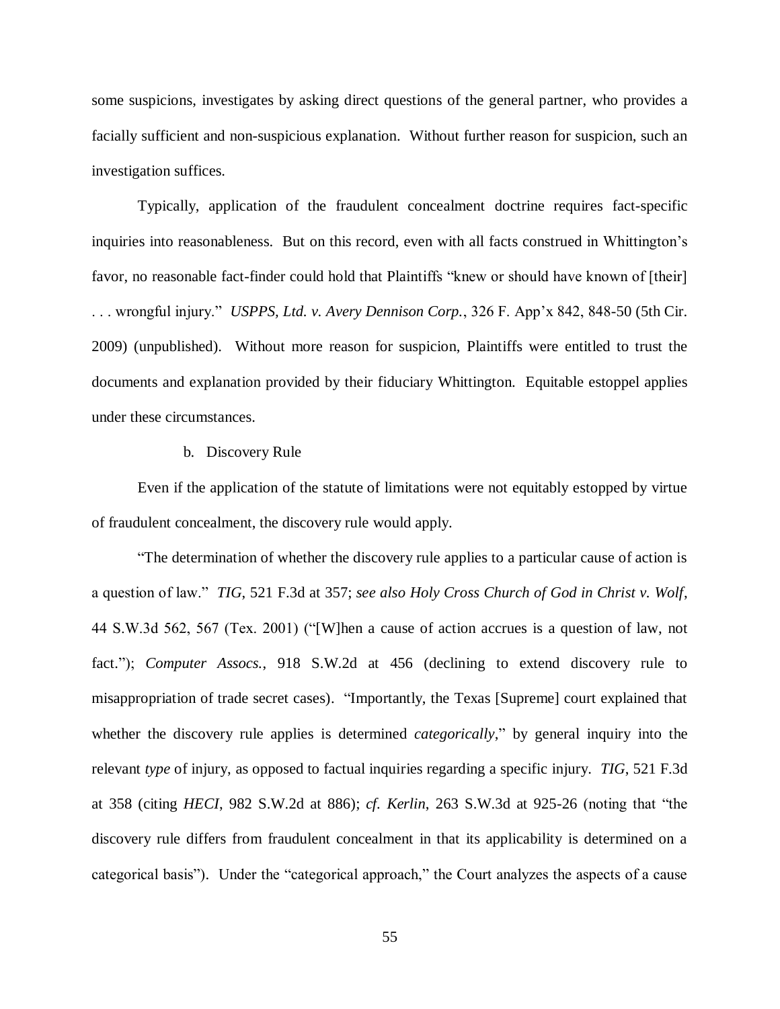some suspicions, investigates by asking direct questions of the general partner, who provides a facially sufficient and non-suspicious explanation. Without further reason for suspicion, such an investigation suffices.

Typically, application of the fraudulent concealment doctrine requires fact-specific inquiries into reasonableness. But on this record, even with all facts construed in Whittington's favor, no reasonable fact-finder could hold that Plaintiffs "knew or should have known of [their] . . . wrongful injury." *USPPS, Ltd. v. Avery Dennison Corp.*, 326 F. App'x 842, 848-50 (5th Cir. 2009) (unpublished). Without more reason for suspicion, Plaintiffs were entitled to trust the documents and explanation provided by their fiduciary Whittington. Equitable estoppel applies under these circumstances.

#### b. Discovery Rule

Even if the application of the statute of limitations were not equitably estopped by virtue of fraudulent concealment, the discovery rule would apply.

"The determination of whether the discovery rule applies to a particular cause of action is a question of law." *TIG*, 521 F.3d at 357; *see also Holy Cross Church of God in Christ v. Wolf*, 44 S.W.3d 562, 567 (Tex. 2001) ("[W]hen a cause of action accrues is a question of law, not fact."); *Computer Assocs.*, 918 S.W.2d at 456 (declining to extend discovery rule to misappropriation of trade secret cases). "Importantly, the Texas [Supreme] court explained that whether the discovery rule applies is determined *categorically*," by general inquiry into the relevant *type* of injury, as opposed to factual inquiries regarding a specific injury. *TIG*, 521 F.3d at 358 (citing *HECI*, 982 S.W.2d at 886); *cf. Kerlin*, 263 S.W.3d at 925-26 (noting that "the discovery rule differs from fraudulent concealment in that its applicability is determined on a categorical basis"). Under the "categorical approach," the Court analyzes the aspects of a cause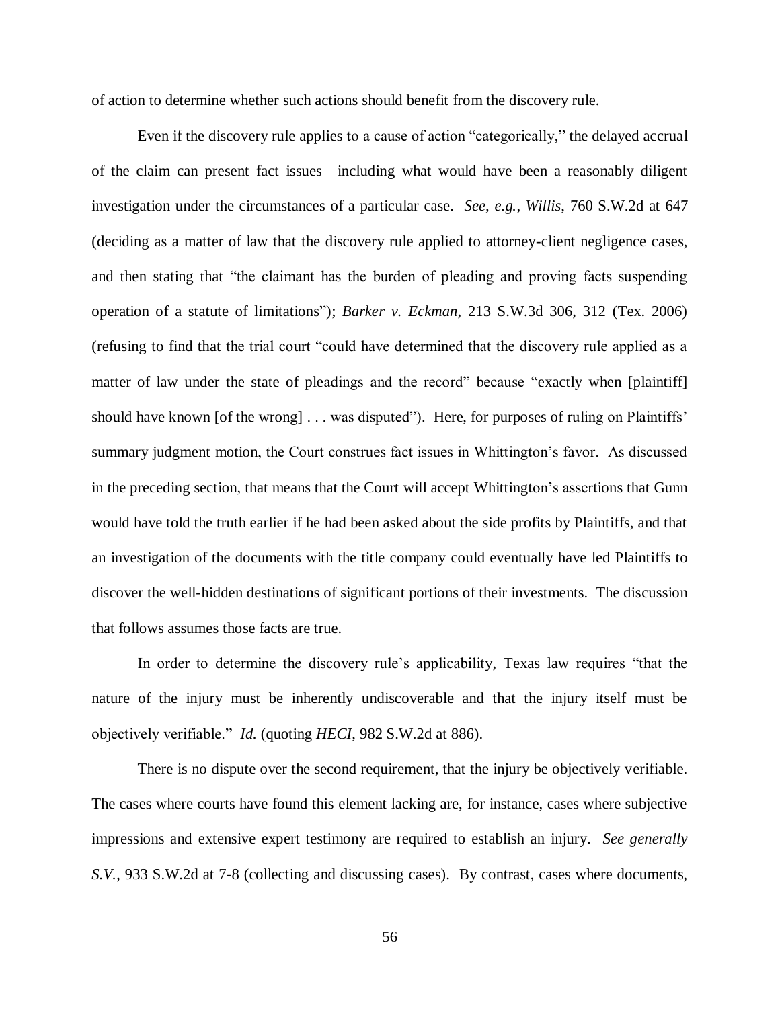of action to determine whether such actions should benefit from the discovery rule.

Even if the discovery rule applies to a cause of action "categorically," the delayed accrual of the claim can present fact issues—including what would have been a reasonably diligent investigation under the circumstances of a particular case. *See, e.g.*, *Willis*, 760 S.W.2d at 647 (deciding as a matter of law that the discovery rule applied to attorney-client negligence cases, and then stating that "the claimant has the burden of pleading and proving facts suspending operation of a statute of limitations"); *Barker v. Eckman*, 213 S.W.3d 306, 312 (Tex. 2006) (refusing to find that the trial court "could have determined that the discovery rule applied as a matter of law under the state of pleadings and the record" because "exactly when [plaintiff] should have known [of the wrong] . . . was disputed"). Here, for purposes of ruling on Plaintiffs' summary judgment motion, the Court construes fact issues in Whittington's favor. As discussed in the preceding section, that means that the Court will accept Whittington's assertions that Gunn would have told the truth earlier if he had been asked about the side profits by Plaintiffs, and that an investigation of the documents with the title company could eventually have led Plaintiffs to discover the well-hidden destinations of significant portions of their investments. The discussion that follows assumes those facts are true.

In order to determine the discovery rule's applicability, Texas law requires "that the nature of the injury must be inherently undiscoverable and that the injury itself must be objectively verifiable." *Id.* (quoting *HECI*, 982 S.W.2d at 886).

There is no dispute over the second requirement, that the injury be objectively verifiable. The cases where courts have found this element lacking are, for instance, cases where subjective impressions and extensive expert testimony are required to establish an injury. *See generally S.V.*, 933 S.W.2d at 7-8 (collecting and discussing cases). By contrast, cases where documents,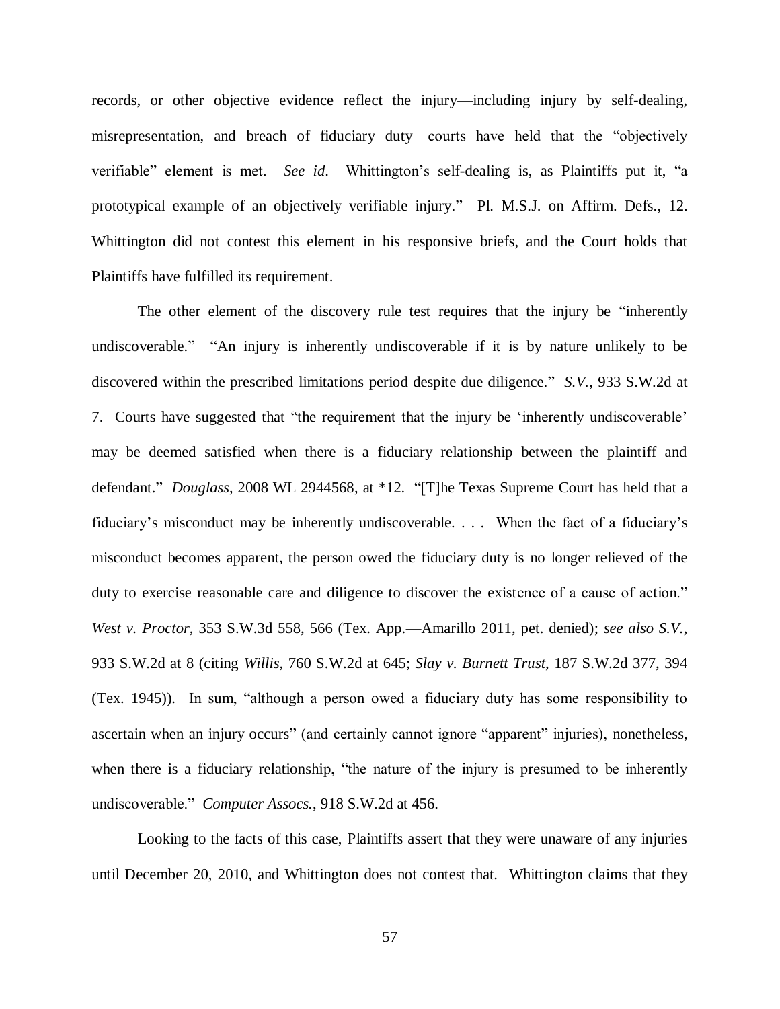records, or other objective evidence reflect the injury—including injury by self-dealing, misrepresentation, and breach of fiduciary duty—courts have held that the "objectively verifiable" element is met. *See id*. Whittington's self-dealing is, as Plaintiffs put it, "a prototypical example of an objectively verifiable injury." Pl. M.S.J. on Affirm. Defs., 12. Whittington did not contest this element in his responsive briefs, and the Court holds that Plaintiffs have fulfilled its requirement.

The other element of the discovery rule test requires that the injury be "inherently undiscoverable." "An injury is inherently undiscoverable if it is by nature unlikely to be discovered within the prescribed limitations period despite due diligence." *S.V.*, 933 S.W.2d at 7. Courts have suggested that "the requirement that the injury be 'inherently undiscoverable' may be deemed satisfied when there is a fiduciary relationship between the plaintiff and defendant." *Douglass*, 2008 WL 2944568, at \*12. "[T]he Texas Supreme Court has held that a fiduciary's misconduct may be inherently undiscoverable. . . . When the fact of a fiduciary's misconduct becomes apparent, the person owed the fiduciary duty is no longer relieved of the duty to exercise reasonable care and diligence to discover the existence of a cause of action." *West v. Proctor*, 353 S.W.3d 558, 566 (Tex. App.—Amarillo 2011, pet. denied); *see also S.V.*, 933 S.W.2d at 8 (citing *Willis*, 760 S.W.2d at 645; *Slay v. Burnett Trust*, 187 S.W.2d 377, 394 (Tex. 1945)). In sum, "although a person owed a fiduciary duty has some responsibility to ascertain when an injury occurs" (and certainly cannot ignore "apparent" injuries), nonetheless, when there is a fiduciary relationship, "the nature of the injury is presumed to be inherently undiscoverable." *Computer Assocs.*, 918 S.W.2d at 456.

Looking to the facts of this case, Plaintiffs assert that they were unaware of any injuries until December 20, 2010, and Whittington does not contest that. Whittington claims that they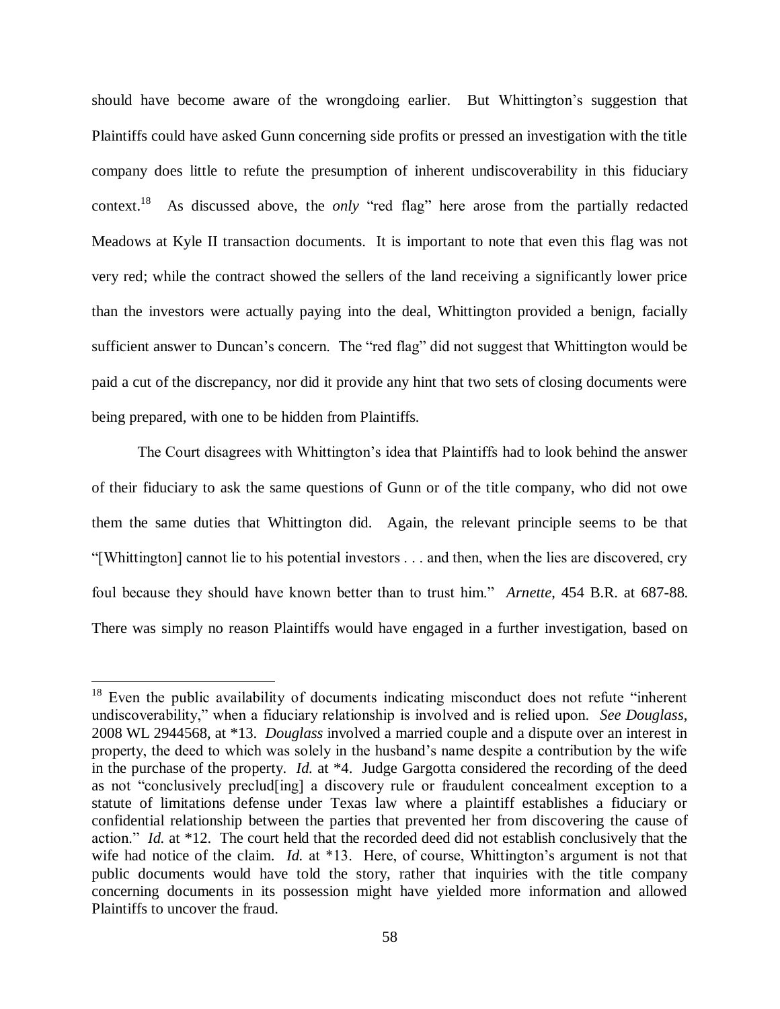should have become aware of the wrongdoing earlier. But Whittington's suggestion that Plaintiffs could have asked Gunn concerning side profits or pressed an investigation with the title company does little to refute the presumption of inherent undiscoverability in this fiduciary context.<sup>18</sup> As discussed above, the *only* "red flag" here arose from the partially redacted Meadows at Kyle II transaction documents. It is important to note that even this flag was not very red; while the contract showed the sellers of the land receiving a significantly lower price than the investors were actually paying into the deal, Whittington provided a benign, facially sufficient answer to Duncan's concern. The "red flag" did not suggest that Whittington would be paid a cut of the discrepancy, nor did it provide any hint that two sets of closing documents were being prepared, with one to be hidden from Plaintiffs.

The Court disagrees with Whittington's idea that Plaintiffs had to look behind the answer of their fiduciary to ask the same questions of Gunn or of the title company, who did not owe them the same duties that Whittington did. Again, the relevant principle seems to be that "[Whittington] cannot lie to his potential investors . . . and then, when the lies are discovered, cry foul because they should have known better than to trust him." *Arnette*, 454 B.R. at 687-88. There was simply no reason Plaintiffs would have engaged in a further investigation, based on

 $\overline{a}$ 

 $18$  Even the public availability of documents indicating misconduct does not refute "inherent" undiscoverability," when a fiduciary relationship is involved and is relied upon. *See Douglass*, 2008 WL 2944568, at \*13. *Douglass* involved a married couple and a dispute over an interest in property, the deed to which was solely in the husband's name despite a contribution by the wife in the purchase of the property. *Id.* at \*4. Judge Gargotta considered the recording of the deed as not "conclusively preclud[ing] a discovery rule or fraudulent concealment exception to a statute of limitations defense under Texas law where a plaintiff establishes a fiduciary or confidential relationship between the parties that prevented her from discovering the cause of action." *Id.* at \*12. The court held that the recorded deed did not establish conclusively that the wife had notice of the claim. *Id.* at \*13. Here, of course, Whittington's argument is not that public documents would have told the story, rather that inquiries with the title company concerning documents in its possession might have yielded more information and allowed Plaintiffs to uncover the fraud.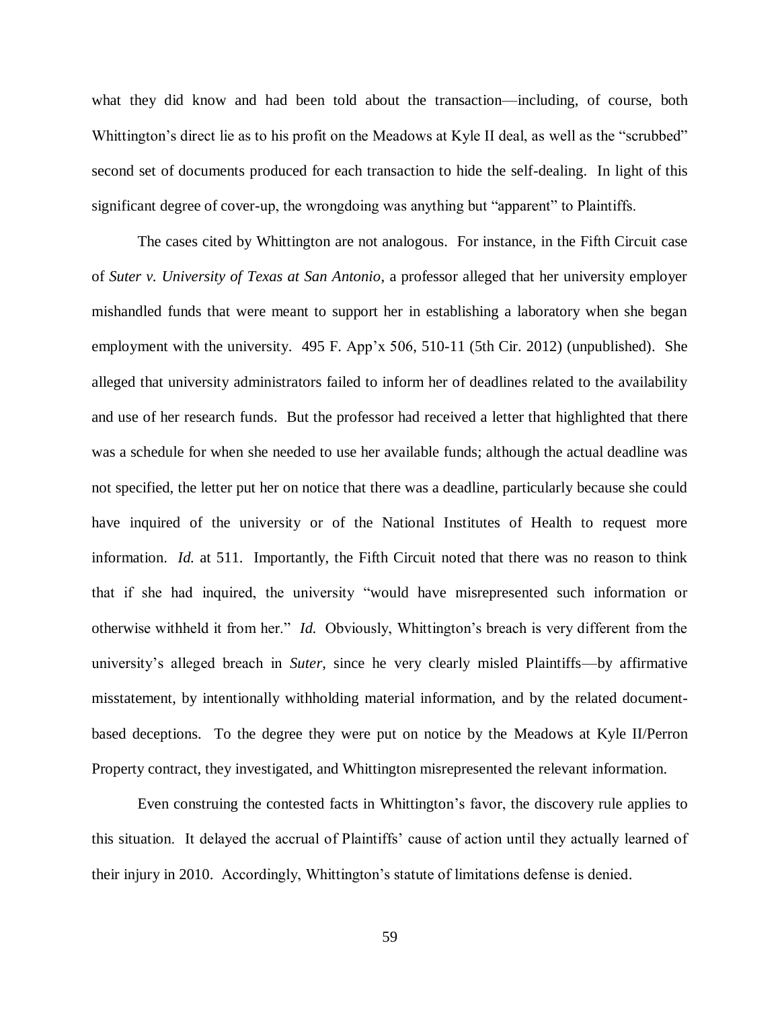what they did know and had been told about the transaction—including, of course, both Whittington's direct lie as to his profit on the Meadows at Kyle II deal, as well as the "scrubbed" second set of documents produced for each transaction to hide the self-dealing. In light of this significant degree of cover-up, the wrongdoing was anything but "apparent" to Plaintiffs.

The cases cited by Whittington are not analogous. For instance, in the Fifth Circuit case of *Suter v. University of Texas at San Antonio*, a professor alleged that her university employer mishandled funds that were meant to support her in establishing a laboratory when she began employment with the university. 495 F. App'x 506, 510-11 (5th Cir. 2012) (unpublished). She alleged that university administrators failed to inform her of deadlines related to the availability and use of her research funds. But the professor had received a letter that highlighted that there was a schedule for when she needed to use her available funds; although the actual deadline was not specified, the letter put her on notice that there was a deadline, particularly because she could have inquired of the university or of the National Institutes of Health to request more information. *Id.* at 511. Importantly, the Fifth Circuit noted that there was no reason to think that if she had inquired, the university "would have misrepresented such information or otherwise withheld it from her." *Id*. Obviously, Whittington's breach is very different from the university's alleged breach in *Suter*, since he very clearly misled Plaintiffs—by affirmative misstatement, by intentionally withholding material information, and by the related documentbased deceptions. To the degree they were put on notice by the Meadows at Kyle II/Perron Property contract, they investigated, and Whittington misrepresented the relevant information.

Even construing the contested facts in Whittington's favor, the discovery rule applies to this situation. It delayed the accrual of Plaintiffs' cause of action until they actually learned of their injury in 2010. Accordingly, Whittington's statute of limitations defense is denied.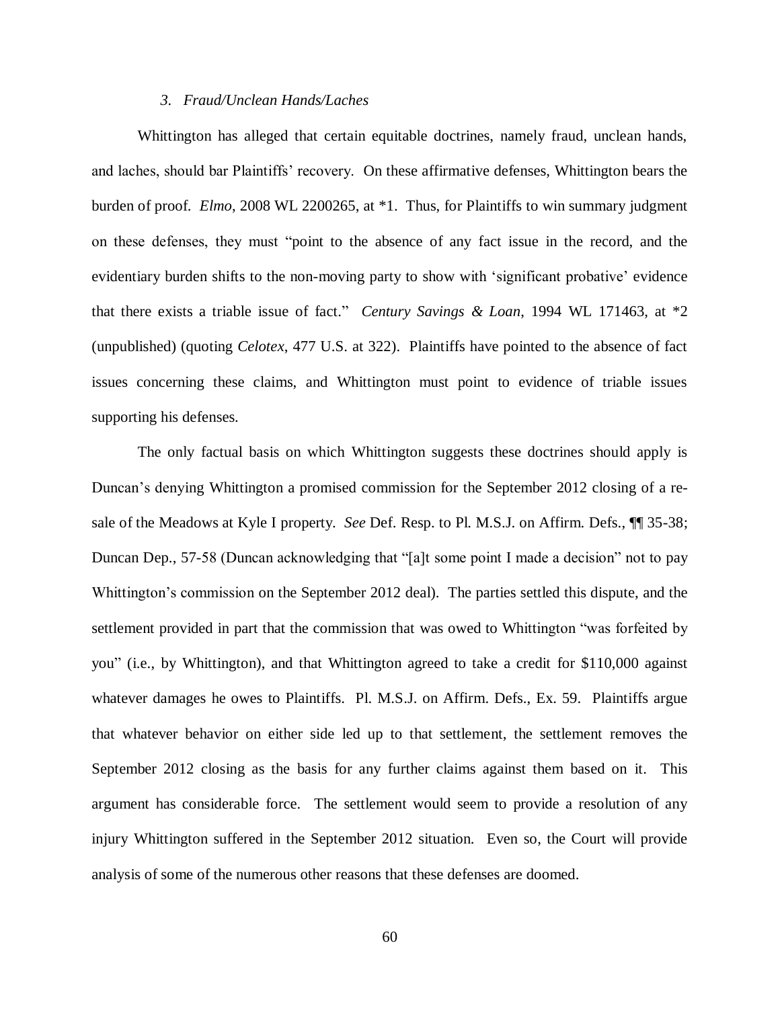#### *3. Fraud/Unclean Hands/Laches*

Whittington has alleged that certain equitable doctrines, namely fraud, unclean hands, and laches, should bar Plaintiffs' recovery. On these affirmative defenses, Whittington bears the burden of proof. *Elmo*, 2008 WL 2200265, at \*1. Thus, for Plaintiffs to win summary judgment on these defenses, they must "point to the absence of any fact issue in the record, and the evidentiary burden shifts to the non-moving party to show with 'significant probative' evidence that there exists a triable issue of fact." *Century Savings & Loan*, 1994 WL 171463, at \*2 (unpublished) (quoting *Celotex*, 477 U.S. at 322). Plaintiffs have pointed to the absence of fact issues concerning these claims, and Whittington must point to evidence of triable issues supporting his defenses.

The only factual basis on which Whittington suggests these doctrines should apply is Duncan's denying Whittington a promised commission for the September 2012 closing of a resale of the Meadows at Kyle I property. *See* Def. Resp. to Pl. M.S.J. on Affirm. Defs., ¶¶ 35-38; Duncan Dep., 57-58 (Duncan acknowledging that "[a]t some point I made a decision" not to pay Whittington's commission on the September 2012 deal). The parties settled this dispute, and the settlement provided in part that the commission that was owed to Whittington "was forfeited by you" (i.e., by Whittington), and that Whittington agreed to take a credit for \$110,000 against whatever damages he owes to Plaintiffs. Pl. M.S.J. on Affirm. Defs., Ex. 59. Plaintiffs argue that whatever behavior on either side led up to that settlement, the settlement removes the September 2012 closing as the basis for any further claims against them based on it. This argument has considerable force. The settlement would seem to provide a resolution of any injury Whittington suffered in the September 2012 situation. Even so, the Court will provide analysis of some of the numerous other reasons that these defenses are doomed.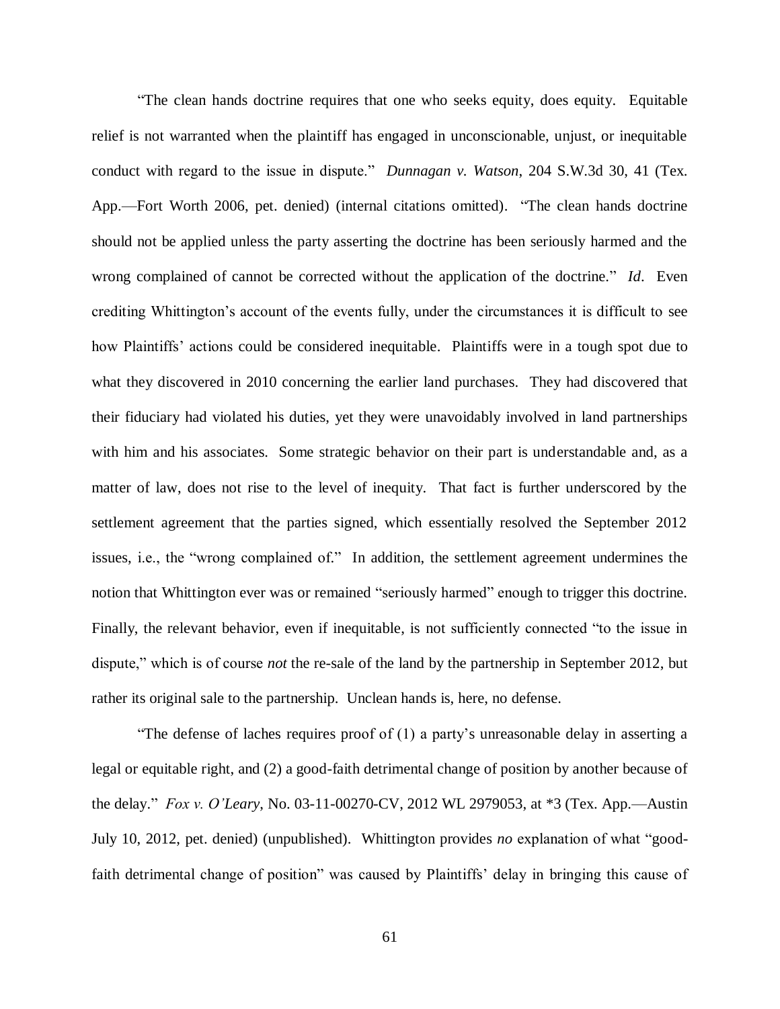"The clean hands doctrine requires that one who seeks equity, does equity. Equitable relief is not warranted when the plaintiff has engaged in unconscionable, unjust, or inequitable conduct with regard to the issue in dispute." *Dunnagan v. Watson*, 204 S.W.3d 30, 41 (Tex. App.—Fort Worth 2006, pet. denied) (internal citations omitted). "The clean hands doctrine should not be applied unless the party asserting the doctrine has been seriously harmed and the wrong complained of cannot be corrected without the application of the doctrine." *Id*. Even crediting Whittington's account of the events fully, under the circumstances it is difficult to see how Plaintiffs' actions could be considered inequitable. Plaintiffs were in a tough spot due to what they discovered in 2010 concerning the earlier land purchases. They had discovered that their fiduciary had violated his duties, yet they were unavoidably involved in land partnerships with him and his associates. Some strategic behavior on their part is understandable and, as a matter of law, does not rise to the level of inequity. That fact is further underscored by the settlement agreement that the parties signed, which essentially resolved the September 2012 issues, i.e., the "wrong complained of." In addition, the settlement agreement undermines the notion that Whittington ever was or remained "seriously harmed" enough to trigger this doctrine. Finally, the relevant behavior, even if inequitable, is not sufficiently connected "to the issue in dispute," which is of course *not* the re-sale of the land by the partnership in September 2012, but rather its original sale to the partnership. Unclean hands is, here, no defense.

"The defense of laches requires proof of (1) a party's unreasonable delay in asserting a legal or equitable right, and (2) a good-faith detrimental change of position by another because of the delay." *Fox v. O'Leary*, No. 03-11-00270-CV, 2012 WL 2979053, at \*3 (Tex. App.—Austin July 10, 2012, pet. denied) (unpublished). Whittington provides *no* explanation of what "goodfaith detrimental change of position" was caused by Plaintiffs' delay in bringing this cause of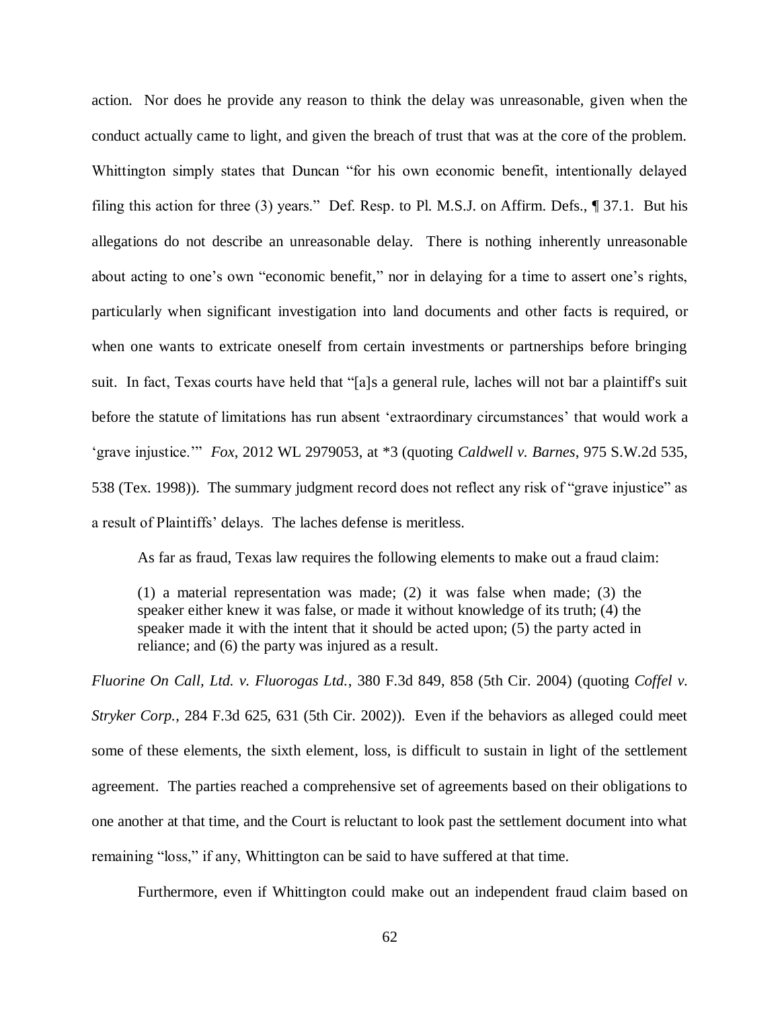action. Nor does he provide any reason to think the delay was unreasonable, given when the conduct actually came to light, and given the breach of trust that was at the core of the problem. Whittington simply states that Duncan "for his own economic benefit, intentionally delayed filing this action for three (3) years." Def. Resp. to Pl. M.S.J. on Affirm. Defs., ¶ 37.1. But his allegations do not describe an unreasonable delay. There is nothing inherently unreasonable about acting to one's own "economic benefit," nor in delaying for a time to assert one's rights, particularly when significant investigation into land documents and other facts is required, or when one wants to extricate oneself from certain investments or partnerships before bringing suit. In fact, Texas courts have held that "[a]s a general rule, laches will not bar a plaintiff's suit before the statute of limitations has run absent 'extraordinary circumstances' that would work a 'grave injustice.'" *Fox*, 2012 WL 2979053, at \*3 (quoting *Caldwell v. Barnes*, 975 S.W.2d 535, 538 (Tex. 1998)). The summary judgment record does not reflect any risk of "grave injustice" as a result of Plaintiffs' delays. The laches defense is meritless.

As far as fraud, Texas law requires the following elements to make out a fraud claim:

(1) a material representation was made; (2) it was false when made; (3) the speaker either knew it was false, or made it without knowledge of its truth; (4) the speaker made it with the intent that it should be acted upon; (5) the party acted in reliance; and (6) the party was injured as a result.

*Fluorine On Call, Ltd. v. Fluorogas Ltd.*, 380 F.3d 849, 858 (5th Cir. 2004) (quoting *Coffel v. Stryker Corp.*, 284 F.3d 625, 631 (5th Cir. 2002)). Even if the behaviors as alleged could meet some of these elements, the sixth element, loss, is difficult to sustain in light of the settlement agreement. The parties reached a comprehensive set of agreements based on their obligations to one another at that time, and the Court is reluctant to look past the settlement document into what remaining "loss," if any, Whittington can be said to have suffered at that time.

Furthermore, even if Whittington could make out an independent fraud claim based on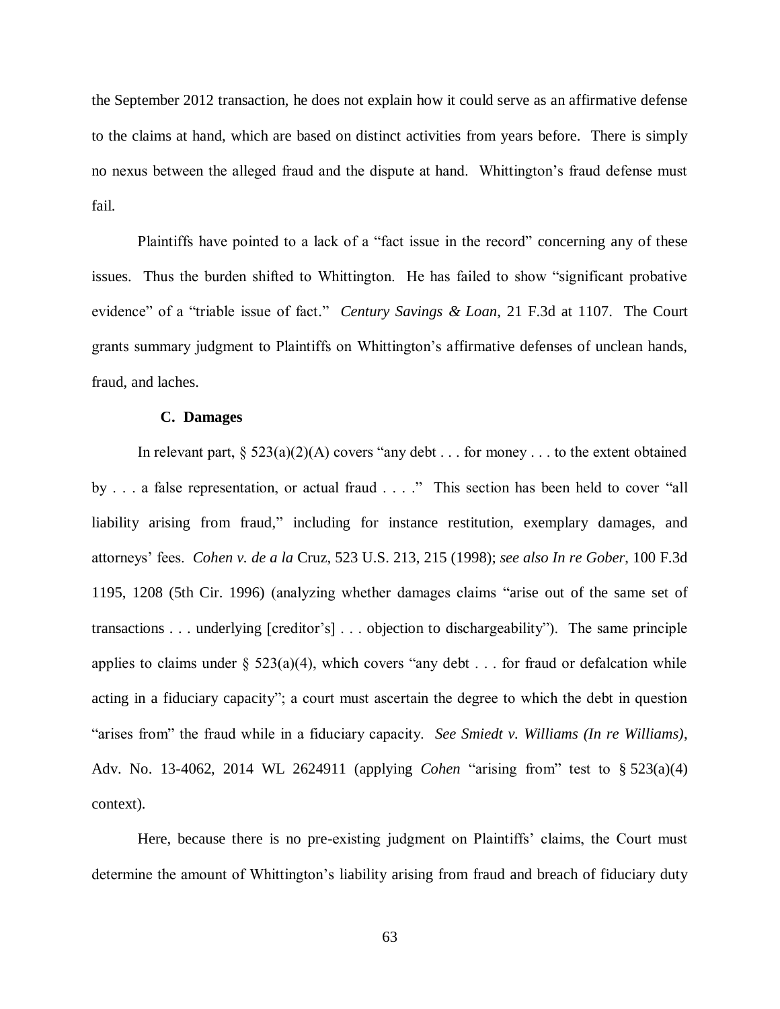the September 2012 transaction, he does not explain how it could serve as an affirmative defense to the claims at hand, which are based on distinct activities from years before. There is simply no nexus between the alleged fraud and the dispute at hand. Whittington's fraud defense must fail.

Plaintiffs have pointed to a lack of a "fact issue in the record" concerning any of these issues. Thus the burden shifted to Whittington. He has failed to show "significant probative evidence" of a "triable issue of fact." *Century Savings & Loan*, 21 F.3d at 1107. The Court grants summary judgment to Plaintiffs on Whittington's affirmative defenses of unclean hands, fraud, and laches.

### **C. Damages**

In relevant part,  $\S 523(a)(2)(A)$  covers "any debt . . . for money . . . to the extent obtained by . . . a false representation, or actual fraud . . . ." This section has been held to cover "all liability arising from fraud," including for instance restitution, exemplary damages, and attorneys' fees. *Cohen v. de a la* Cruz, 523 U.S. 213, 215 (1998); *see also In re Gober*, 100 F.3d 1195, 1208 (5th Cir. 1996) (analyzing whether damages claims "arise out of the same set of transactions . . . underlying [creditor's] . . . objection to dischargeability"). The same principle applies to claims under  $\S$  523(a)(4), which covers "any debt . . . for fraud or defalcation while acting in a fiduciary capacity"; a court must ascertain the degree to which the debt in question "arises from" the fraud while in a fiduciary capacity. *See Smiedt v. Williams (In re Williams)*, Adv. No. 13-4062, 2014 WL 2624911 (applying *Cohen* "arising from" test to § 523(a)(4) context).

Here, because there is no pre-existing judgment on Plaintiffs' claims, the Court must determine the amount of Whittington's liability arising from fraud and breach of fiduciary duty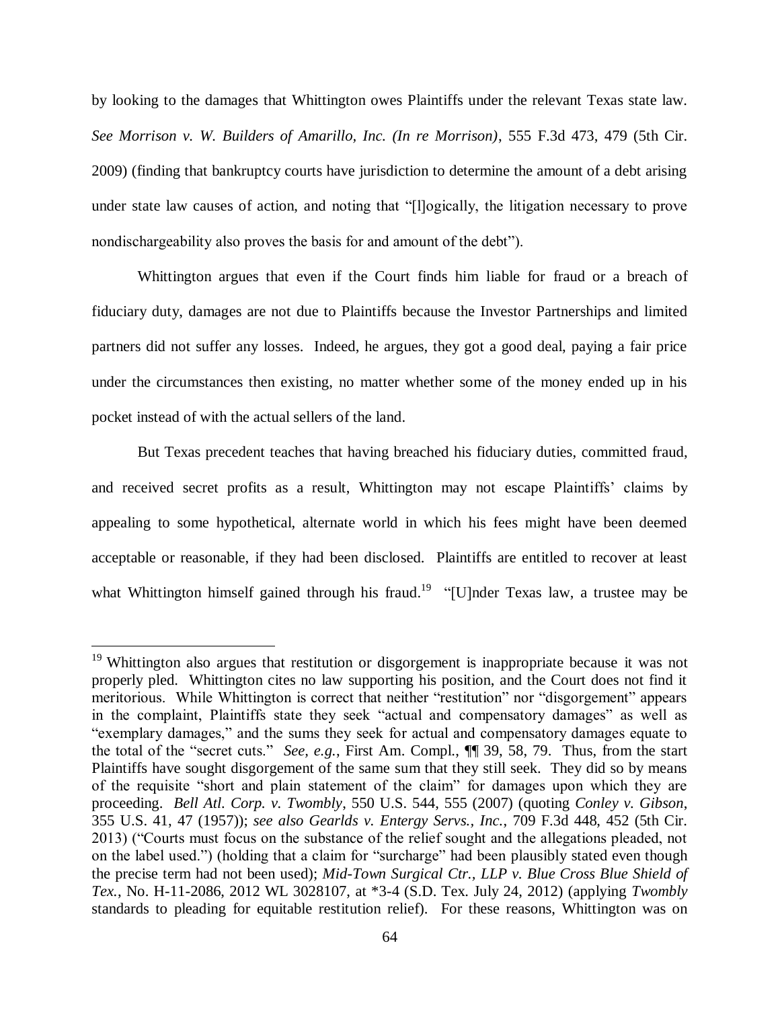by looking to the damages that Whittington owes Plaintiffs under the relevant Texas state law. *See Morrison v. W. Builders of Amarillo, Inc. (In re Morrison)*, 555 F.3d 473, 479 (5th Cir. 2009) (finding that bankruptcy courts have jurisdiction to determine the amount of a debt arising under state law causes of action, and noting that "[l]ogically, the litigation necessary to prove nondischargeability also proves the basis for and amount of the debt").

Whittington argues that even if the Court finds him liable for fraud or a breach of fiduciary duty, damages are not due to Plaintiffs because the Investor Partnerships and limited partners did not suffer any losses. Indeed, he argues, they got a good deal, paying a fair price under the circumstances then existing, no matter whether some of the money ended up in his pocket instead of with the actual sellers of the land.

But Texas precedent teaches that having breached his fiduciary duties, committed fraud, and received secret profits as a result, Whittington may not escape Plaintiffs' claims by appealing to some hypothetical, alternate world in which his fees might have been deemed acceptable or reasonable, if they had been disclosed. Plaintiffs are entitled to recover at least what Whittington himself gained through his fraud.<sup>19</sup> "[U]nder Texas law, a trustee may be

 $\overline{a}$ 

 $19$  Whittington also argues that restitution or disgorgement is inappropriate because it was not properly pled. Whittington cites no law supporting his position, and the Court does not find it meritorious. While Whittington is correct that neither "restitution" nor "disgorgement" appears in the complaint, Plaintiffs state they seek "actual and compensatory damages" as well as "exemplary damages," and the sums they seek for actual and compensatory damages equate to the total of the "secret cuts." *See, e.g.*, First Am. Compl., ¶¶ 39, 58, 79. Thus, from the start Plaintiffs have sought disgorgement of the same sum that they still seek. They did so by means of the requisite "short and plain statement of the claim" for damages upon which they are proceeding. *Bell Atl. Corp. v. Twombly*, 550 U.S. 544, 555 (2007) (quoting *Conley v. Gibson*, 355 U.S. 41, 47 (1957)); *see also Gearlds v. Entergy Servs., Inc.*, 709 F.3d 448, 452 (5th Cir. 2013) ("Courts must focus on the substance of the relief sought and the allegations pleaded, not on the label used.") (holding that a claim for "surcharge" had been plausibly stated even though the precise term had not been used); *Mid-Town Surgical Ctr., LLP v. Blue Cross Blue Shield of Tex.*, No. H-11-2086, 2012 WL 3028107, at \*3-4 (S.D. Tex. July 24, 2012) (applying *Twombly* standards to pleading for equitable restitution relief). For these reasons, Whittington was on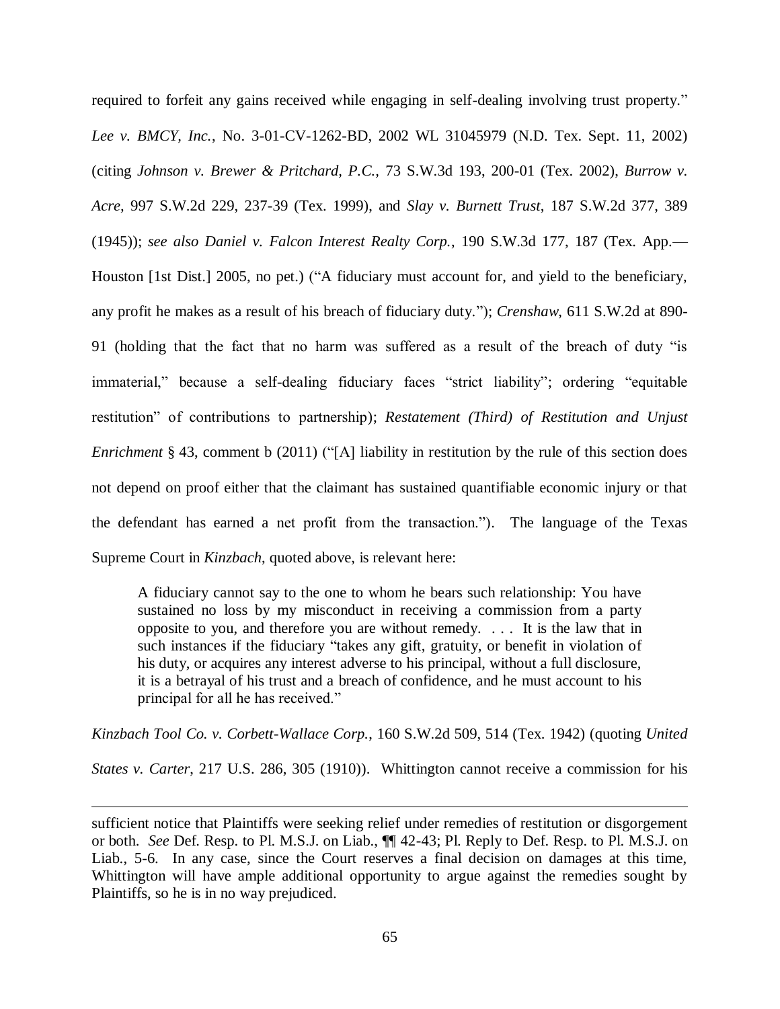required to forfeit any gains received while engaging in self-dealing involving trust property." *Lee v. BMCY, Inc.*, No. 3-01-CV-1262-BD, 2002 WL 31045979 (N.D. Tex. Sept. 11, 2002) (citing *Johnson v. Brewer & Pritchard, P.C.,* 73 S.W.3d 193, 200-01 (Tex. 2002), *Burrow v. Acre,* 997 S.W.2d 229, 237-39 (Tex. 1999), and *Slay v. Burnett Trust*, 187 S.W.2d 377, 389 (1945)); *see also Daniel v. Falcon Interest Realty Corp.*, 190 S.W.3d 177, 187 (Tex. App.— Houston [1st Dist.] 2005, no pet.) ("A fiduciary must account for, and yield to the beneficiary, any profit he makes as a result of his breach of fiduciary duty."); *Crenshaw*, 611 S.W.2d at 890- 91 (holding that the fact that no harm was suffered as a result of the breach of duty "is immaterial," because a self-dealing fiduciary faces "strict liability"; ordering "equitable restitution" of contributions to partnership); *Restatement (Third) of Restitution and Unjust Enrichment* § 43, comment b (2011) ("[A] liability in restitution by the rule of this section does not depend on proof either that the claimant has sustained quantifiable economic injury or that the defendant has earned a net profit from the transaction."). The language of the Texas Supreme Court in *Kinzbach*, quoted above, is relevant here:

A fiduciary cannot say to the one to whom he bears such relationship: You have sustained no loss by my misconduct in receiving a commission from a party opposite to you, and therefore you are without remedy. . . . It is the law that in such instances if the fiduciary "takes any gift, gratuity, or benefit in violation of his duty, or acquires any interest adverse to his principal, without a full disclosure, it is a betrayal of his trust and a breach of confidence, and he must account to his principal for all he has received."

*Kinzbach Tool Co. v. Corbett-Wallace Corp.*, 160 S.W.2d 509, 514 (Tex. 1942) (quoting *United* 

*States v. Carter*, 217 U.S. 286, 305 (1910)). Whittington cannot receive a commission for his

 $\overline{a}$ 

sufficient notice that Plaintiffs were seeking relief under remedies of restitution or disgorgement or both. *See* Def. Resp. to Pl. M.S.J. on Liab., ¶¶ 42-43; Pl. Reply to Def. Resp. to Pl. M.S.J. on Liab., 5-6. In any case, since the Court reserves a final decision on damages at this time, Whittington will have ample additional opportunity to argue against the remedies sought by Plaintiffs, so he is in no way prejudiced.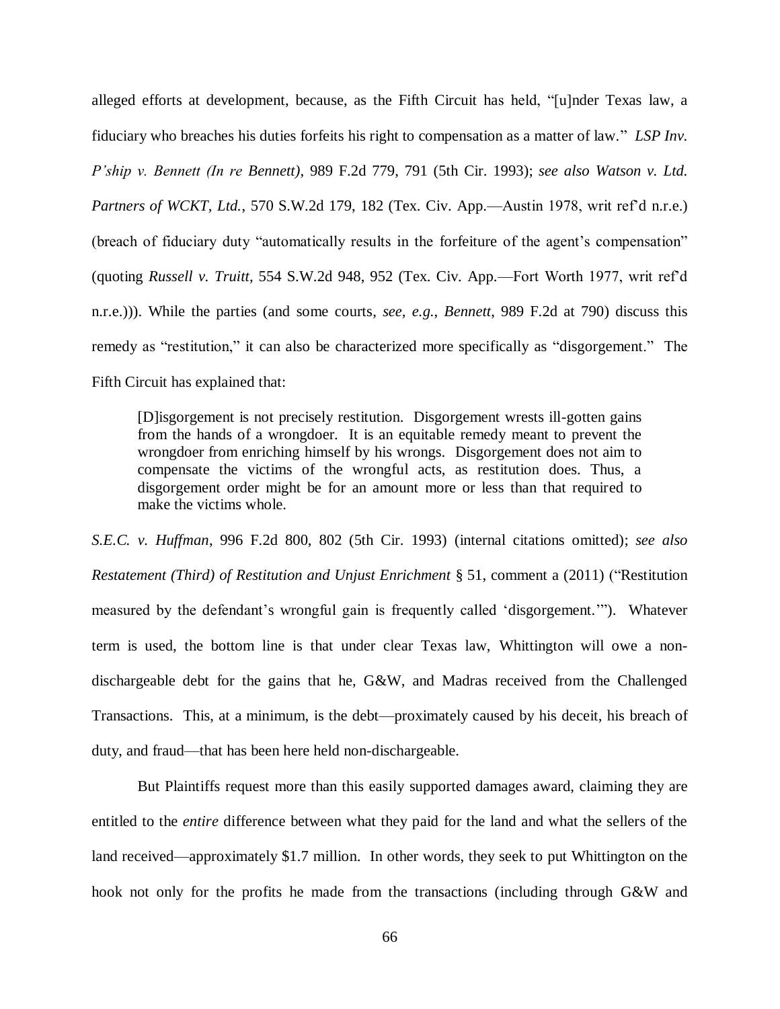alleged efforts at development, because, as the Fifth Circuit has held, "[u]nder Texas law, a fiduciary who breaches his duties forfeits his right to compensation as a matter of law." *LSP Inv. P'ship v. Bennett (In re Bennett)*, 989 F.2d 779, 791 (5th Cir. 1993); *see also Watson v. Ltd. Partners of WCKT, Ltd.*, 570 S.W.2d 179, 182 (Tex. Civ. App.—Austin 1978, writ ref'd n.r.e.) (breach of fiduciary duty "automatically results in the forfeiture of the agent's compensation" (quoting *Russell v. Truitt*, 554 S.W.2d 948, 952 (Tex. Civ. App.—Fort Worth 1977, writ ref'd n.r.e.))). While the parties (and some courts, *see, e.g.*, *Bennett*, 989 F.2d at 790) discuss this remedy as "restitution," it can also be characterized more specifically as "disgorgement." The Fifth Circuit has explained that:

[D]isgorgement is not precisely restitution. Disgorgement wrests ill-gotten gains from the hands of a wrongdoer. It is an equitable remedy meant to prevent the wrongdoer from enriching himself by his wrongs. Disgorgement does not aim to compensate the victims of the wrongful acts, as restitution does. Thus, a disgorgement order might be for an amount more or less than that required to make the victims whole.

*S.E.C. v. Huffman*, 996 F.2d 800, 802 (5th Cir. 1993) (internal citations omitted); *see also Restatement (Third) of Restitution and Unjust Enrichment* § 51, comment a (2011) ("Restitution measured by the defendant's wrongful gain is frequently called 'disgorgement.'"). Whatever term is used, the bottom line is that under clear Texas law, Whittington will owe a nondischargeable debt for the gains that he, G&W, and Madras received from the Challenged Transactions. This, at a minimum, is the debt—proximately caused by his deceit, his breach of duty, and fraud—that has been here held non-dischargeable.

But Plaintiffs request more than this easily supported damages award, claiming they are entitled to the *entire* difference between what they paid for the land and what the sellers of the land received—approximately \$1.7 million. In other words, they seek to put Whittington on the hook not only for the profits he made from the transactions (including through G&W and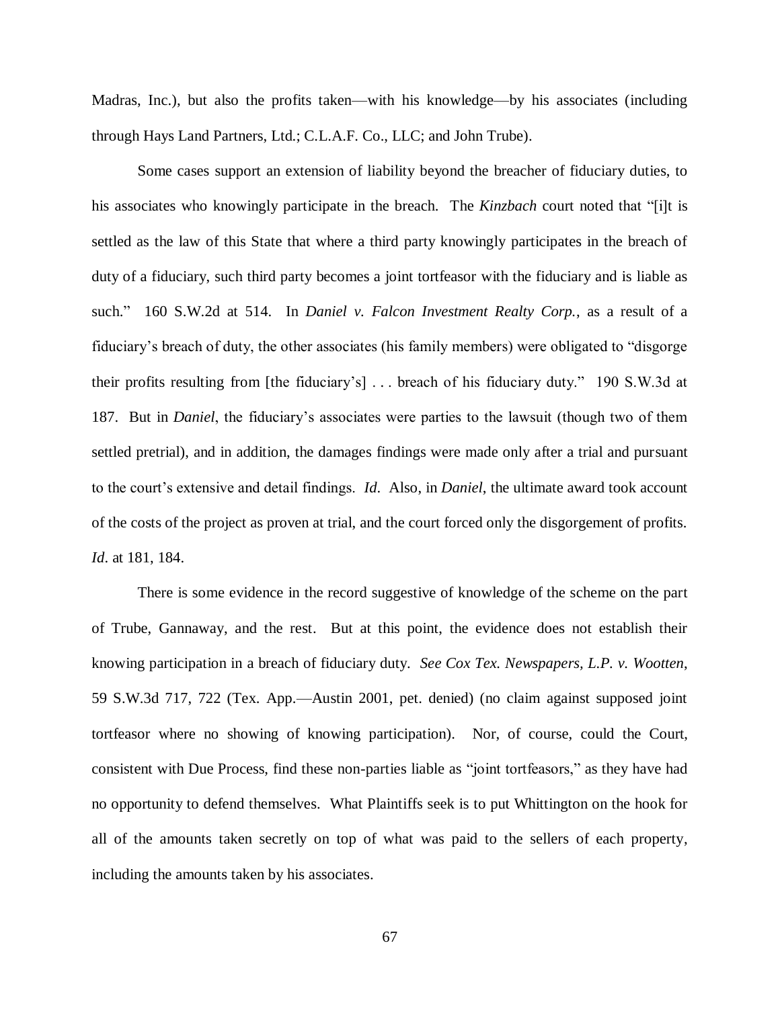Madras, Inc.), but also the profits taken—with his knowledge—by his associates (including through Hays Land Partners, Ltd.; C.L.A.F. Co., LLC; and John Trube).

Some cases support an extension of liability beyond the breacher of fiduciary duties, to his associates who knowingly participate in the breach. The *Kinzbach* court noted that "[i]t is settled as the law of this State that where a third party knowingly participates in the breach of duty of a fiduciary, such third party becomes a joint tortfeasor with the fiduciary and is liable as such." 160 S.W.2d at 514. In *Daniel v. Falcon Investment Realty Corp.*, as a result of a fiduciary's breach of duty, the other associates (his family members) were obligated to "disgorge their profits resulting from [the fiduciary's] . . . breach of his fiduciary duty." 190 S.W.3d at 187. But in *Daniel*, the fiduciary's associates were parties to the lawsuit (though two of them settled pretrial), and in addition, the damages findings were made only after a trial and pursuant to the court's extensive and detail findings. *Id*. Also, in *Daniel*, the ultimate award took account of the costs of the project as proven at trial, and the court forced only the disgorgement of profits. *Id*. at 181, 184.

There is some evidence in the record suggestive of knowledge of the scheme on the part of Trube, Gannaway, and the rest. But at this point, the evidence does not establish their knowing participation in a breach of fiduciary duty. *See Cox Tex. Newspapers, L.P. v. Wootten*, 59 S.W.3d 717, 722 (Tex. App.—Austin 2001, pet. denied) (no claim against supposed joint tortfeasor where no showing of knowing participation). Nor, of course, could the Court, consistent with Due Process, find these non-parties liable as "joint tortfeasors," as they have had no opportunity to defend themselves. What Plaintiffs seek is to put Whittington on the hook for all of the amounts taken secretly on top of what was paid to the sellers of each property, including the amounts taken by his associates.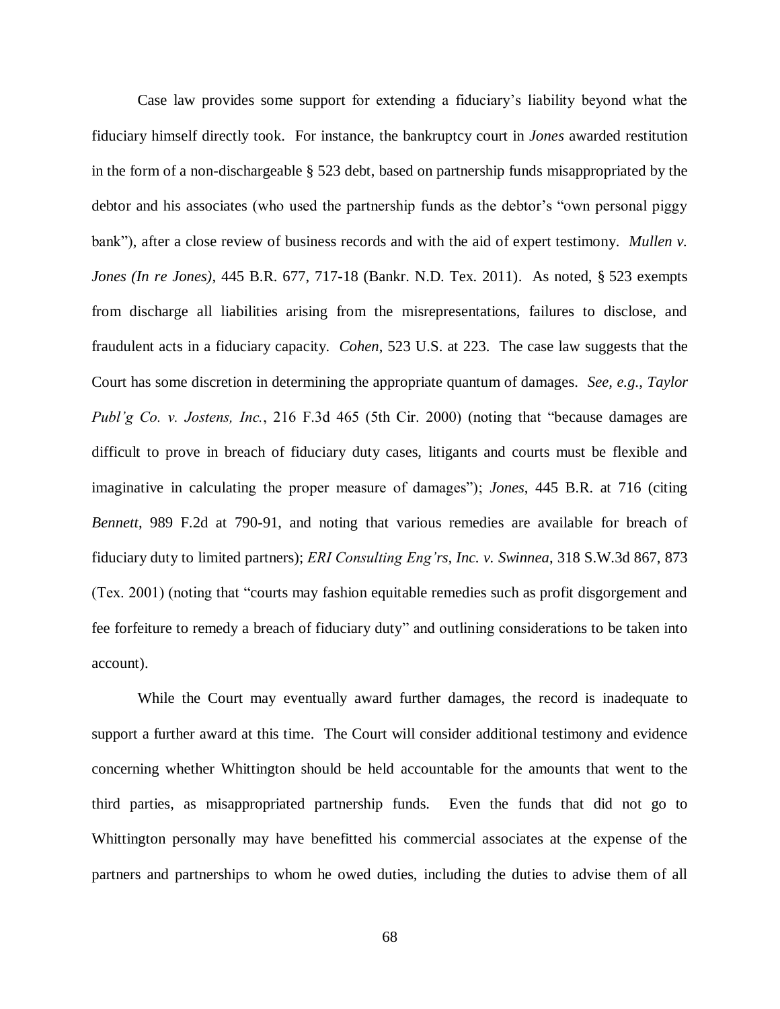Case law provides some support for extending a fiduciary's liability beyond what the fiduciary himself directly took. For instance, the bankruptcy court in *Jones* awarded restitution in the form of a non-dischargeable § 523 debt, based on partnership funds misappropriated by the debtor and his associates (who used the partnership funds as the debtor's "own personal piggy bank"), after a close review of business records and with the aid of expert testimony. *Mullen v. Jones (In re Jones)*, 445 B.R. 677, 717-18 (Bankr. N.D. Tex. 2011). As noted, § 523 exempts from discharge all liabilities arising from the misrepresentations, failures to disclose, and fraudulent acts in a fiduciary capacity. *Cohen*, 523 U.S. at 223. The case law suggests that the Court has some discretion in determining the appropriate quantum of damages. *See, e.g.*, *Taylor Publ'g Co. v. Jostens, Inc.*, 216 F.3d 465 (5th Cir. 2000) (noting that "because damages are difficult to prove in breach of fiduciary duty cases, litigants and courts must be flexible and imaginative in calculating the proper measure of damages"); *Jones*, 445 B.R. at 716 (citing *Bennett*, 989 F.2d at 790-91, and noting that various remedies are available for breach of fiduciary duty to limited partners); *ERI Consulting Eng'rs, Inc. v. Swinnea*, 318 S.W.3d 867, 873 (Tex. 2001) (noting that "courts may fashion equitable remedies such as profit disgorgement and fee forfeiture to remedy a breach of fiduciary duty" and outlining considerations to be taken into account).

While the Court may eventually award further damages, the record is inadequate to support a further award at this time. The Court will consider additional testimony and evidence concerning whether Whittington should be held accountable for the amounts that went to the third parties, as misappropriated partnership funds. Even the funds that did not go to Whittington personally may have benefitted his commercial associates at the expense of the partners and partnerships to whom he owed duties, including the duties to advise them of all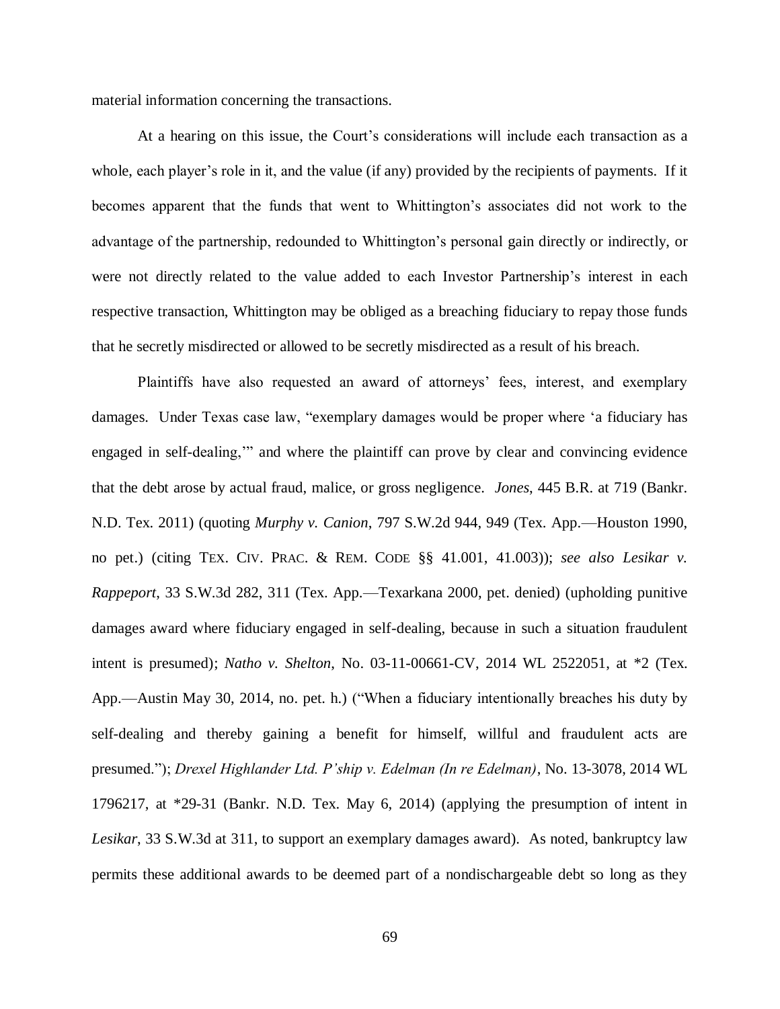material information concerning the transactions.

At a hearing on this issue, the Court's considerations will include each transaction as a whole, each player's role in it, and the value (if any) provided by the recipients of payments. If it becomes apparent that the funds that went to Whittington's associates did not work to the advantage of the partnership, redounded to Whittington's personal gain directly or indirectly, or were not directly related to the value added to each Investor Partnership's interest in each respective transaction, Whittington may be obliged as a breaching fiduciary to repay those funds that he secretly misdirected or allowed to be secretly misdirected as a result of his breach.

Plaintiffs have also requested an award of attorneys' fees, interest, and exemplary damages. Under Texas case law, "exemplary damages would be proper where 'a fiduciary has engaged in self-dealing,'" and where the plaintiff can prove by clear and convincing evidence that the debt arose by actual fraud, malice, or gross negligence. *Jones*, 445 B.R. at 719 (Bankr. N.D. Tex. 2011) (quoting *Murphy v. Canion*, 797 S.W.2d 944, 949 (Tex. App.—Houston 1990, no pet.) (citing TEX. CIV. PRAC. & REM. CODE §§ 41.001, 41.003)); *see also Lesikar v. Rappeport*, 33 S.W.3d 282, 311 (Tex. App.—Texarkana 2000, pet. denied) (upholding punitive damages award where fiduciary engaged in self-dealing, because in such a situation fraudulent intent is presumed); *Natho v. Shelton*, No. 03-11-00661-CV, 2014 WL 2522051, at \*2 (Tex. App.—Austin May 30, 2014, no. pet. h.) ("When a fiduciary intentionally breaches his duty by self-dealing and thereby gaining a benefit for himself, willful and fraudulent acts are presumed."); *Drexel Highlander Ltd. P'ship v. Edelman (In re Edelman)*, No. 13-3078, 2014 WL 1796217, at \*29-31 (Bankr. N.D. Tex. May 6, 2014) (applying the presumption of intent in *Lesikar*, 33 S.W.3d at 311, to support an exemplary damages award). As noted, bankruptcy law permits these additional awards to be deemed part of a nondischargeable debt so long as they